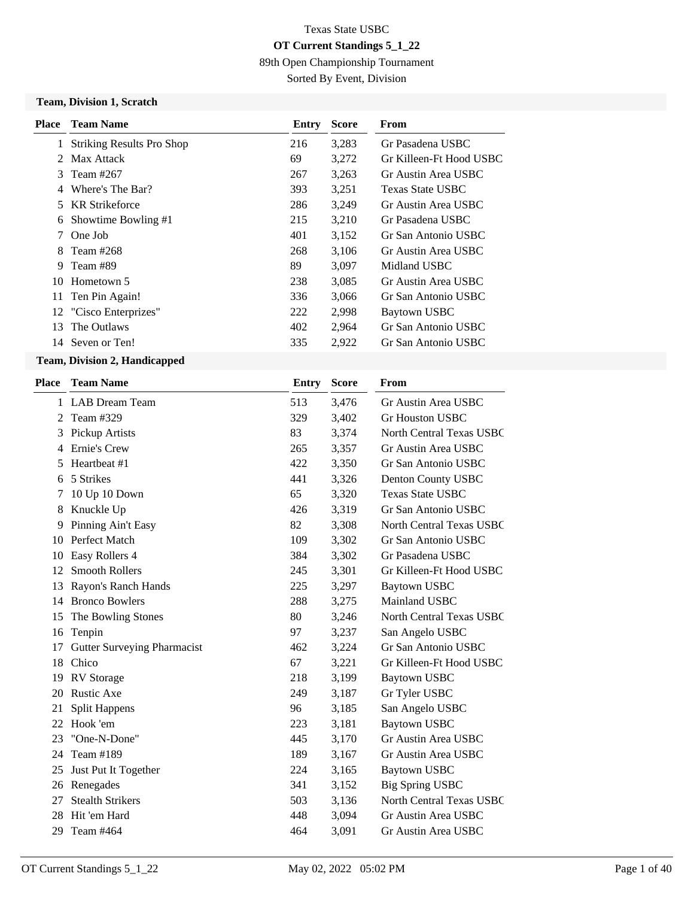89th Open Championship Tournament

Sorted By Event, Division

#### **Team, Division 1, Scratch**

| Place         | <b>Team Name</b>                 | Entry | <b>Score</b> | <b>From</b>             |
|---------------|----------------------------------|-------|--------------|-------------------------|
| 1             | <b>Striking Results Pro Shop</b> | 216   | 3,283        | Gr Pasadena USBC        |
| $\mathcal{L}$ | Max Attack                       | 69    | 3,272        | Gr Killeen-Ft Hood USBC |
| 3             | Team #267                        | 267   | 3,263        | Gr Austin Area USBC     |
| 4             | Where's The Bar?                 | 393   | 3,251        | Texas State USBC        |
| 5             | <b>KR</b> Strikeforce            | 286   | 3,249        | Gr Austin Area USBC     |
| 6             | Showtime Bowling #1              | 215   | 3,210        | Gr Pasadena USBC        |
| 7             | One Job                          | 401   | 3,152        | Gr San Antonio USBC     |
| 8             | Team #268                        | 268   | 3,106        | Gr Austin Area USBC     |
| 9             | Team #89                         | 89    | 3,097        | Midland USBC            |
| 10            | Hometown 5                       | 238   | 3,085        | Gr Austin Area USBC     |
| 11            | Ten Pin Again!                   | 336   | 3,066        | Gr San Antonio USBC     |
| 12            | "Cisco Enterprizes"              | 222   | 2,998        | Baytown USBC            |
| 13            | The Outlaws                      | 402   | 2,964        | Gr San Antonio USBC     |
| 14            | Seven or Ten!                    | 335   | 2,922        | Gr San Antonio USBC     |

### **Team, Division 2, Handicapped**

| Place | <b>Team Name</b>            | Entry | <b>Score</b> | From                            |
|-------|-----------------------------|-------|--------------|---------------------------------|
|       | 1 LAB Dream Team            | 513   | 3,476        | Gr Austin Area USBC             |
| 2     | Team #329                   | 329   | 3,402        | <b>Gr Houston USBC</b>          |
| 3     | Pickup Artists              | 83    | 3,374        | <b>North Central Texas USBC</b> |
| 4     | Ernie's Crew                | 265   | 3,357        | Gr Austin Area USBC             |
| 5     | Heartheat #1                | 422   | 3,350        | Gr San Antonio USBC             |
| 6     | 5 Strikes                   | 441   | 3,326        | Denton County USBC              |
| 7     | 10 Up 10 Down               | 65    | 3,320        | <b>Texas State USBC</b>         |
| 8     | Knuckle Up                  | 426   | 3,319        | Gr San Antonio USBC             |
| 9     | Pinning Ain't Easy          | 82    | 3,308        | North Central Texas USBC        |
| 10    | <b>Perfect Match</b>        | 109   | 3,302        | Gr San Antonio USBC             |
| 10    | Easy Rollers 4              | 384   | 3,302        | Gr Pasadena USBC                |
| 12    | <b>Smooth Rollers</b>       | 245   | 3,301        | Gr Killeen-Ft Hood USBC         |
| 13    | Rayon's Ranch Hands         | 225   | 3,297        | <b>Baytown USBC</b>             |
| 14    | <b>Bronco Bowlers</b>       | 288   | 3,275        | Mainland USBC                   |
| 15    | The Bowling Stones          | 80    | 3,246        | North Central Texas USBC        |
| 16    | Tenpin                      | 97    | 3,237        | San Angelo USBC                 |
| 17    | Gutter Surveying Pharmacist | 462   | 3,224        | Gr San Antonio USBC             |
| 18    | Chico                       | 67    | 3,221        | Gr Killeen-Ft Hood USBC         |
| 19    | <b>RV</b> Storage           | 218   | 3,199        | <b>Baytown USBC</b>             |
| 20    | <b>Rustic Axe</b>           | 249   | 3,187        | Gr Tyler USBC                   |
| 21    | <b>Split Happens</b>        | 96    | 3,185        | San Angelo USBC                 |
| 22    | Hook 'em                    | 223   | 3,181        | <b>Baytown USBC</b>             |
| 23    | "One-N-Done"                | 445   | 3,170        | Gr Austin Area USBC             |
| 24    | Team #189                   | 189   | 3,167        | Gr Austin Area USBC             |
| 25    | Just Put It Together        | 224   | 3,165        | <b>Baytown USBC</b>             |
| 26    | Renegades                   | 341   | 3,152        | <b>Big Spring USBC</b>          |
| 27    | <b>Stealth Strikers</b>     | 503   | 3,136        | North Central Texas USBC        |
| 28    | Hit 'em Hard                | 448   | 3,094        | Gr Austin Area USBC             |
| 29    | Team #464                   | 464   | 3,091        | Gr Austin Area USBC             |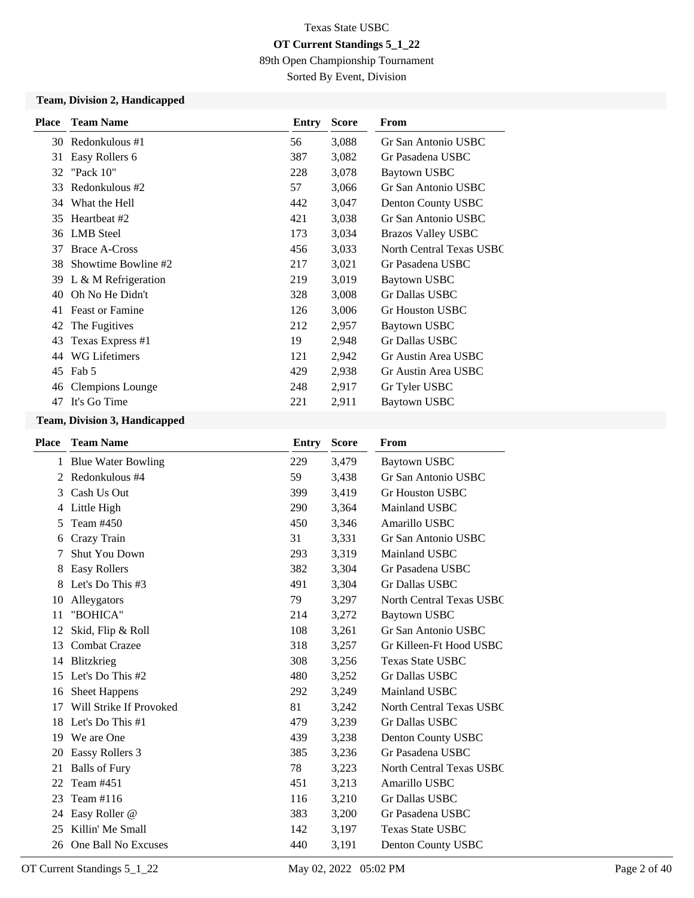89th Open Championship Tournament

Sorted By Event, Division

### **Team, Division 2, Handicapped**

| <b>Place</b> | <b>Team Name</b>        | Entry | <b>Score</b> | From                      |
|--------------|-------------------------|-------|--------------|---------------------------|
|              | 30 Redonkulous #1       | 56    | 3,088        | Gr San Antonio USBC       |
| 31           | Easy Rollers 6          | 387   | 3,082        | Gr Pasadena USBC          |
| 32           | "Pack $10$ "            | 228   | 3,078        | Baytown USBC              |
| 33           | Redonkulous #2          | 57    | 3,066        | Gr San Antonio USBC       |
| 34           | What the Hell           | 442   | 3,047        | Denton County USBC        |
| 35           | Heartbeat #2            | 421   | 3,038        | Gr San Antonio USBC       |
| 36           | LMB Steel               | 173   | 3,034        | <b>Brazos Valley USBC</b> |
| 37           | <b>Brace A-Cross</b>    | 456   | 3,033        | North Central Texas USBC  |
| 38           | Showtime Bowline #2     | 217   | 3,021        | Gr Pasadena USBC          |
| 39           | L & M Refrigeration     | 219   | 3,019        | Baytown USBC              |
| 40           | Oh No He Didn't         | 328   | 3,008        | Gr Dallas USBC            |
| 41           | <b>Feast or Famine</b>  | 126   | 3,006        | Gr Houston USBC           |
| 42           | The Fugitives           | 212   | 2,957        | Baytown USBC              |
| 43           | Texas Express #1        | 19    | 2,948        | Gr Dallas USBC            |
| 44           | <b>WG Lifetimers</b>    | 121   | 2,942        | Gr Austin Area USBC       |
| 45           | Fab 5                   | 429   | 2,938        | Gr Austin Area USBC       |
| 46           | <b>Clempions Lounge</b> | 248   | 2,917        | Gr Tyler USBC             |
| 47           | It's Go Time            | 221   | 2,911        | Baytown USBC              |

### **Team, Division 3, Handicapped**

| Place | <b>Team Name</b>          | Entry | <b>Score</b> | From                            |
|-------|---------------------------|-------|--------------|---------------------------------|
| 1     | <b>Blue Water Bowling</b> | 229   | 3,479        | <b>Baytown USBC</b>             |
| 2     | Redonkulous #4            | 59    | 3,438        | Gr San Antonio USBC             |
| 3     | Cash Us Out               | 399   | 3,419        | <b>Gr Houston USBC</b>          |
| 4     | Little High               | 290   | 3,364        | Mainland USBC                   |
| 5     | Team #450                 | 450   | 3,346        | Amarillo USBC                   |
| 6     | Crazy Train               | 31    | 3,331        | Gr San Antonio USBC             |
| 7     | <b>Shut You Down</b>      | 293   | 3,319        | Mainland USBC                   |
| 8     | <b>Easy Rollers</b>       | 382   | 3,304        | Gr Pasadena USBC                |
| 8     | Let's Do This #3          | 491   | 3,304        | Gr Dallas USBC                  |
| 10    | Alleygators               | 79    | 3,297        | North Central Texas USBC        |
| 11    | "BOHICA"                  | 214   | 3,272        | <b>Baytown USBC</b>             |
| 12    | Skid, Flip & Roll         | 108   | 3,261        | Gr San Antonio USBC             |
| 13    | Combat Crazee             | 318   | 3,257        | Gr Killeen-Ft Hood USBC         |
| 14    | Blitzkrieg                | 308   | 3,256        | <b>Texas State USBC</b>         |
| 15    | Let's Do This #2          | 480   | 3,252        | Gr Dallas USBC                  |
| 16    | <b>Sheet Happens</b>      | 292   | 3,249        | Mainland USBC                   |
| 17    | Will Strike If Provoked   | 81    | 3,242        | North Central Texas USBC        |
| 18    | Let's Do This #1          | 479   | 3,239        | Gr Dallas USBC                  |
| 19    | We are One                | 439   | 3,238        | Denton County USBC              |
| 20    | Eassy Rollers 3           | 385   | 3,236        | Gr Pasadena USBC                |
| 21    | <b>Balls of Fury</b>      | 78    | 3,223        | <b>North Central Texas USBC</b> |
| 22    | Team #451                 | 451   | 3,213        | Amarillo USBC                   |
| 23    | Team #116                 | 116   | 3,210        | <b>Gr Dallas USBC</b>           |
| 24    | Easy Roller @             | 383   | 3,200        | Gr Pasadena USBC                |
| 25    | Killin' Me Small          | 142   | 3,197        | <b>Texas State USBC</b>         |
| 26    | One Ball No Excuses       | 440   | 3,191        | Denton County USBC              |
|       |                           |       |              |                                 |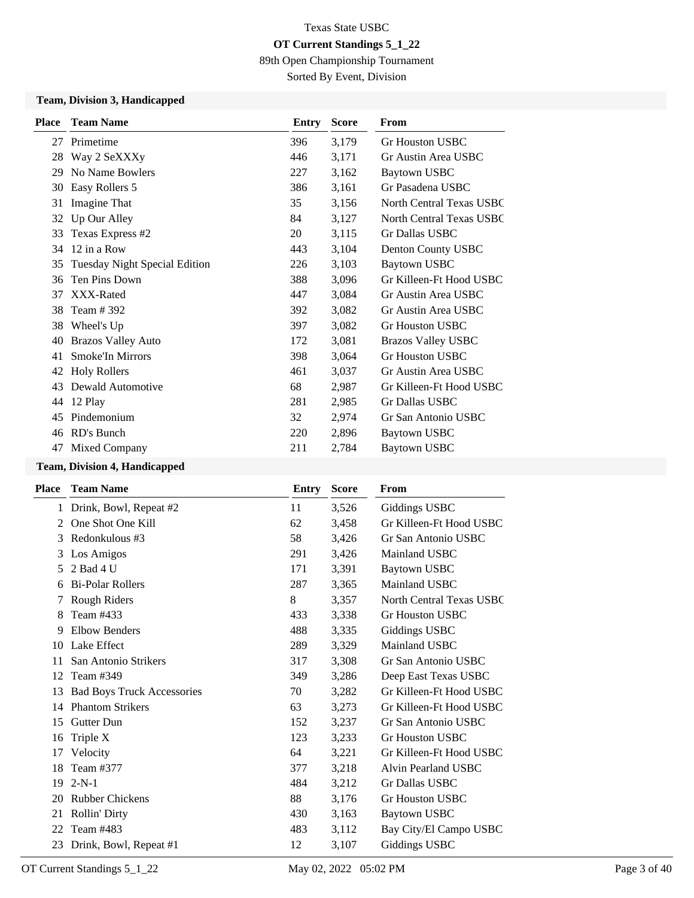89th Open Championship Tournament

Sorted By Event, Division

### **Team, Division 3, Handicapped**

| <b>Place</b> | <b>Team Name</b>                     | Entry | <b>Score</b> | From                      |
|--------------|--------------------------------------|-------|--------------|---------------------------|
| 27           | Primetime                            | 396   | 3,179        | Gr Houston USBC           |
| 28           | Way 2 SeXXXy                         | 446   | 3,171        | Gr Austin Area USBC       |
| 29           | No Name Bowlers                      | 227   | 3,162        | Baytown USBC              |
| 30           | Easy Rollers 5                       | 386   | 3,161        | Gr Pasadena USBC          |
| 31           | Imagine That                         | 35    | 3,156        | North Central Texas USBC  |
| 32           | Up Our Alley                         | 84    | 3,127        | North Central Texas USBC  |
| 33           | Texas Express #2                     | 20    | 3,115        | <b>Gr Dallas USBC</b>     |
| 34           | 12 in a Row                          | 443   | 3,104        | Denton County USBC        |
| 35           | <b>Tuesday Night Special Edition</b> | 226   | 3,103        | <b>Baytown USBC</b>       |
| 36           | Ten Pins Down                        | 388   | 3,096        | Gr Killeen-Ft Hood USBC   |
| 37           | XXX-Rated                            | 447   | 3,084        | Gr Austin Area USBC       |
| 38           | Team # 392                           | 392   | 3,082        | Gr Austin Area USBC       |
| 38           | Wheel's Up                           | 397   | 3,082        | <b>Gr Houston USBC</b>    |
| 40           | <b>Brazos Valley Auto</b>            | 172   | 3,081        | <b>Brazos Valley USBC</b> |
| 41           | <b>Smoke'In Mirrors</b>              | 398   | 3,064        | <b>Gr Houston USBC</b>    |
| 42           | <b>Holy Rollers</b>                  | 461   | 3,037        | Gr Austin Area USBC       |
| 43           | Dewald Automotive                    | 68    | 2,987        | Gr Killeen-Ft Hood USBC   |
| 44           | 12 Play                              | 281   | 2,985        | <b>Gr Dallas USBC</b>     |
| 45           | Pindemonium                          | 32    | 2,974        | Gr San Antonio USBC       |
| 46           | RD's Bunch                           | 220   | 2,896        | <b>Baytown USBC</b>       |
| 47           | Mixed Company                        | 211   | 2,784        | Baytown USBC              |
|              |                                      |       |              |                           |

# **Team, Division 4, Handicapped**

| Place         | <b>Team Name</b>                  | Entry | <b>Score</b> | From                            |
|---------------|-----------------------------------|-------|--------------|---------------------------------|
| 1             | Drink, Bowl, Repeat #2            | 11    | 3,526        | Giddings USBC                   |
| $\mathcal{L}$ | One Shot One Kill                 | 62    | 3,458        | Gr Killeen-Ft Hood USBC         |
| 3             | Redonkulous #3                    | 58    | 3,426        | Gr San Antonio USBC             |
| 3             | Los Amigos                        | 291   | 3,426        | Mainland USBC                   |
| 5             | 2 Bad 4 U                         | 171   | 3,391        | <b>Baytown USBC</b>             |
| 6             | <b>Bi-Polar Rollers</b>           | 287   | 3,365        | Mainland USBC                   |
|               | Rough Riders                      | 8     | 3,357        | <b>North Central Texas USBC</b> |
| 8             | Team #433                         | 433   | 3,338        | Gr Houston USBC                 |
| 9             | <b>Elbow Benders</b>              | 488   | 3,335        | Giddings USBC                   |
| 10            | Lake Effect                       | 289   | 3,329        | Mainland USBC                   |
| 11            | San Antonio Strikers              | 317   | 3,308        | Gr San Antonio USBC             |
| 12            | Team #349                         | 349   | 3,286        | Deep East Texas USBC            |
| 13            | <b>Bad Boys Truck Accessories</b> | 70    | 3,282        | Gr Killeen-Ft Hood USBC         |
| 14            | <b>Phantom Strikers</b>           | 63    | 3,273        | Gr Killeen-Ft Hood USBC         |
| 15            | Gutter Dun                        | 152   | 3,237        | Gr San Antonio USBC             |
| 16            | Triple X                          | 123   | 3,233        | <b>Gr Houston USBC</b>          |
| 17            | Velocity                          | 64    | 3,221        | Gr Killeen-Ft Hood USBC         |
| 18            | Team #377                         | 377   | 3,218        | Alvin Pearland USBC             |
| 19            | $2-N-1$                           | 484   | 3,212        | Gr Dallas USBC                  |
| 20            | <b>Rubber Chickens</b>            | 88    | 3,176        | Gr Houston USBC                 |
| 21            | Rollin' Dirty                     | 430   | 3,163        | Baytown USBC                    |
| 22            | Team #483                         | 483   | 3,112        | Bay City/El Campo USBC          |
| 23            | Drink, Bowl, Repeat #1            | 12    | 3,107        | Giddings USBC                   |
|               |                                   |       |              |                                 |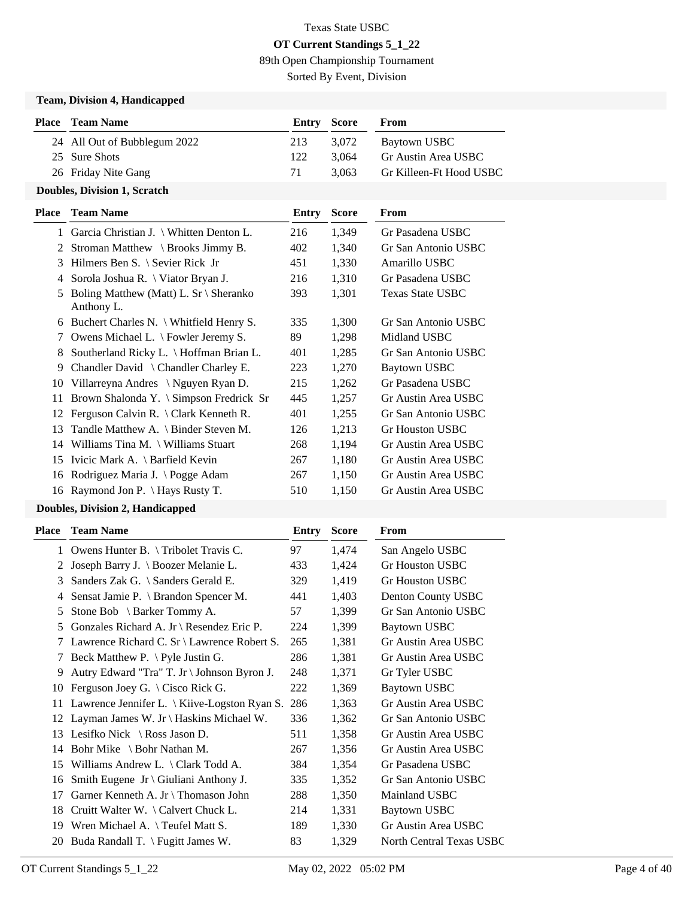89th Open Championship Tournament

Sorted By Event, Division

### **Team, Division 4, Handicapped**

| <b>Place</b> Team Name       |     | <b>Entry Score</b> | From                    |
|------------------------------|-----|--------------------|-------------------------|
| 24 All Out of Bubblegum 2022 | 213 | 3.072              | Baytown USBC            |
| 25 Sure Shots                | 122 | 3.064              | Gr Austin Area USBC     |
| 26 Friday Nite Gang          | 71  | 3.063              | Gr Killeen-Ft Hood USBC |
|                              |     |                    |                         |

#### **Doubles, Division 1, Scratch**

| <b>Place</b> | <b>Team Name</b>                                               | Entry | <b>Score</b> | From                |
|--------------|----------------------------------------------------------------|-------|--------------|---------------------|
| $\mathbf{1}$ | Garcia Christian J. \ Whitten Denton L.                        | 216   | 1,349        | Gr Pasadena USBC    |
| 2            | Stroman Matthew $\setminus$ Brooks Jimmy B.                    | 402   | 1,340        | Gr San Antonio USBC |
| 3            | Hilmers Ben S. \ Sevier Rick Jr                                | 451   | 1,330        | Amarillo USBC       |
| 4            | Sorola Joshua R. \ Viator Bryan J.                             | 216   | 1,310        | Gr Pasadena USBC    |
| 5            | Boling Matthew (Matt) L. $Sr \setminus$ Sheranko<br>Anthony L. | 393   | 1,301        | Texas State USBC    |
| 6            | Buchert Charles N. \ Whitfield Henry S.                        | 335   | 1,300        | Gr San Antonio USBC |
| 7            | Owens Michael L. \ Fowler Jeremy S.                            | 89    | 1,298        | Midland USBC        |
| 8            | Southerland Ricky L. \ Hoffman Brian L.                        | 401   | 1,285        | Gr San Antonio USBC |
| 9            | Chandler David \ Chandler Charley E.                           | 223   | 1,270        | Baytown USBC        |
| 10           | Villarreyna Andres \ Nguyen Ryan D.                            | 215   | 1,262        | Gr Pasadena USBC    |
| 11           | Brown Shalonda Y. \ Simpson Fredrick Sr                        | 445   | 1,257        | Gr Austin Area USBC |
| 12           | Ferguson Calvin R. \ Clark Kenneth R.                          | 401   | 1,255        | Gr San Antonio USBC |
| 13           | Tandle Matthew A. \ Binder Steven M.                           | 126   | 1,213        | Gr Houston USBC     |
| 14           | Williams Tina M. $\forall$ Williams Stuart                     | 268   | 1,194        | Gr Austin Area USBC |
| 15           | Ivicic Mark A. \ Barfield Kevin                                | 267   | 1,180        | Gr Austin Area USBC |
| 16           | Rodriguez Maria J. \ Pogge Adam                                | 267   | 1,150        | Gr Austin Area USBC |
| 16           | Raymond Jon P. \ Hays Rusty T.                                 | 510   | 1,150        | Gr Austin Area USBC |
|              |                                                                |       |              |                     |

# **Doubles, Division 2, Handicapped**

| Place        | <b>Team Name</b>                                       | Entry | <b>Score</b> | <b>From</b>              |
|--------------|--------------------------------------------------------|-------|--------------|--------------------------|
| $\mathbf{1}$ | Owens Hunter B. \Tribolet Travis C.                    | 97    | 1,474        | San Angelo USBC          |
| 2            | Joseph Barry J. \ Boozer Melanie L.                    | 433   | 1,424        | <b>Gr Houston USBC</b>   |
| 3            | Sanders Zak G. \ Sanders Gerald E.                     | 329   | 1,419        | Gr Houston USBC          |
| 4            | Sensat Jamie P. \ Brandon Spencer M.                   | 441   | 1,403        | Denton County USBC       |
| 5            | Stone Bob $\setminus$ Barker Tommy A.                  | 57    | 1,399        | Gr San Antonio USBC      |
| 5            | Gonzales Richard A. Jr \ Resendez Eric P.              | 224   | 1,399        | <b>Baytown USBC</b>      |
| 7            | Lawrence Richard C. Sr \ Lawrence Robert S.            | 265   | 1,381        | Gr Austin Area USBC      |
| 7            | Beck Matthew P. $\forall$ Pyle Justin G.               | 286   | 1,381        | Gr Austin Area USBC      |
| 9            | Autry Edward "Tra" T. Jr \ Johnson Byron J.            | 248   | 1,371        | Gr Tyler USBC            |
| 10           | Ferguson Joey G. $\setminus$ Cisco Rick G.             | 222   | 1,369        | <b>Baytown USBC</b>      |
| 11           | Lawrence Jennifer L. $\setminus$ Kiive-Logston Ryan S. | 286   | 1,363        | Gr Austin Area USBC      |
| 12           | Layman James W. Jr \ Haskins Michael W.                | 336   | 1,362        | Gr San Antonio USBC      |
| 13           | Lesifko Nick $\setminus$ Ross Jason D.                 | 511   | 1,358        | Gr Austin Area USBC      |
| 14           | Bohr Mike $\setminus$ Bohr Nathan M.                   | 267   | 1,356        | Gr Austin Area USBC      |
| 15           | Williams Andrew L. $\langle$ Clark Todd A.             | 384   | 1,354        | Gr Pasadena USBC         |
| 16           | Smith Eugene Jr \ Giuliani Anthony J.                  | 335   | 1,352        | Gr San Antonio USBC      |
| 17           | Garner Kenneth A. Jr \ Thomason John                   | 288   | 1,350        | Mainland USBC            |
| 18           | Cruitt Walter W. $\setminus$ Calvert Chuck L.          | 214   | 1,331        | <b>Baytown USBC</b>      |
| 19           | Wren Michael A. \Teufel Matt S.                        | 189   | 1,330        | Gr Austin Area USBC      |
| 20           | Buda Randall T. $\forall$ Fugitt James W.              | 83    | 1,329        | North Central Texas USBC |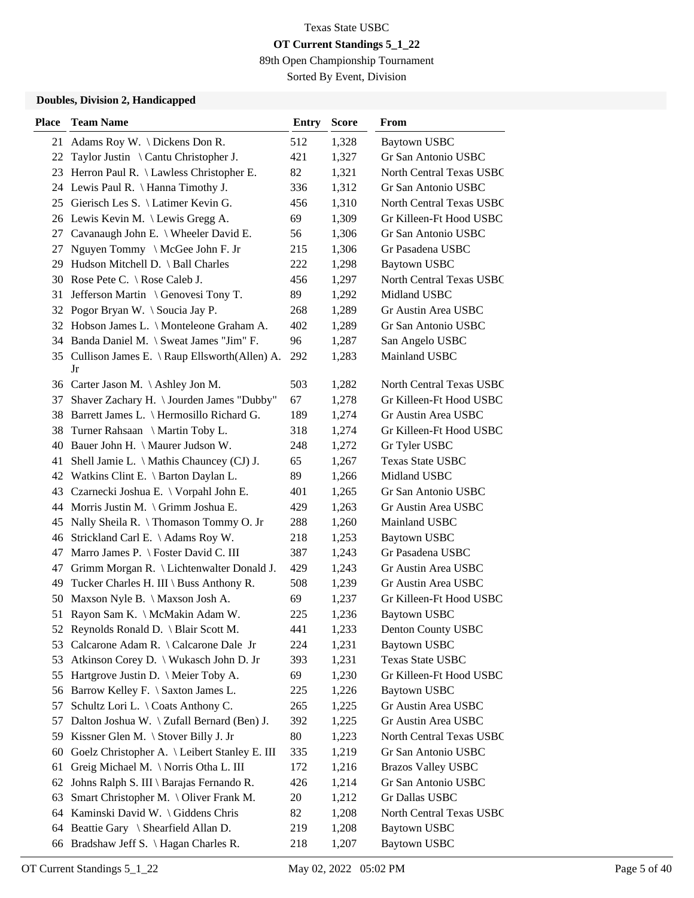89th Open Championship Tournament

Sorted By Event, Division

#### **Doubles, Division 2, Handicapped**

| <b>Place</b> | <b>Team Name</b>                                | <b>Entry</b> | <b>Score</b> | <b>From</b>               |
|--------------|-------------------------------------------------|--------------|--------------|---------------------------|
|              | 21 Adams Roy W. \Dickens Don R.                 | 512          | 1,328        | <b>Baytown USBC</b>       |
| 22           | Taylor Justin \ Cantu Christopher J.            | 421          | 1,327        | Gr San Antonio USBC       |
|              | 23 Herron Paul R. \ Lawless Christopher E.      | 82           | 1,321        | North Central Texas USBC  |
|              | 24 Lewis Paul R. \ Hanna Timothy J.             | 336          | 1,312        | Gr San Antonio USBC       |
|              | 25 Gierisch Les S. \ Latimer Kevin G.           | 456          | 1,310        | North Central Texas USBC  |
|              | 26 Lewis Kevin M. \Lewis Gregg A.               | 69           | 1,309        | Gr Killeen-Ft Hood USBC   |
|              | 27 Cavanaugh John E. \ Wheeler David E.         | 56           | 1,306        | Gr San Antonio USBC       |
| 27           | Nguyen Tommy \ McGee John F. Jr                 | 215          | 1,306        | Gr Pasadena USBC          |
|              | 29 Hudson Mitchell D. \ Ball Charles            | 222          | 1,298        | <b>Baytown USBC</b>       |
|              | 30 Rose Pete C. \ Rose Caleb J.                 | 456          | 1,297        | North Central Texas USBC  |
| 31           | Jefferson Martin \ Genovesi Tony T.             | 89           | 1,292        | Midland USBC              |
|              | 32 Pogor Bryan W. \ Soucia Jay P.               | 268          | 1,289        | Gr Austin Area USBC       |
|              | 32 Hobson James L. \ Monteleone Graham A.       | 402          | 1,289        | Gr San Antonio USBC       |
|              | 34 Banda Daniel M. \ Sweat James "Jim" F.       | 96           | 1,287        | San Angelo USBC           |
|              | 35 Cullison James E. \ Raup Ellsworth(Allen) A. | 292          | 1,283        | Mainland USBC             |
|              | Jr                                              |              |              |                           |
|              | 36 Carter Jason M. \Ashley Jon M.               | 503          | 1,282        | North Central Texas USBC  |
| 37           | Shaver Zachary H. \ Jourden James "Dubby"       | 67           | 1,278        | Gr Killeen-Ft Hood USBC   |
| 38           | Barrett James L. \ Hermosillo Richard G.        | 189          | 1,274        | Gr Austin Area USBC       |
| 38           | Turner Rahsaan \ Martin Toby L.                 | 318          | 1,274        | Gr Killeen-Ft Hood USBC   |
| 40           | Bauer John H. \ Maurer Judson W.                | 248          | 1,272        | Gr Tyler USBC             |
|              | 41 Shell Jamie L. \ Mathis Chauncey (CJ) J.     | 65           | 1,267        | <b>Texas State USBC</b>   |
|              | 42 Watkins Clint E. \ Barton Daylan L.          | 89           | 1,266        | Midland USBC              |
|              | 43 Czarnecki Joshua E. \ Vorpahl John E.        | 401          | 1,265        | Gr San Antonio USBC       |
|              | 44 Morris Justin M. \ Grimm Joshua E.           | 429          | 1,263        | Gr Austin Area USBC       |
| 45           | Nally Sheila R. \Thomason Tommy O. Jr           | 288          | 1,260        | Mainland USBC             |
|              | 46 Strickland Carl E. \ Adams Roy W.            | 218          | 1,253        | <b>Baytown USBC</b>       |
| 47           | Marro James P. \ Foster David C. III            | 387          | 1,243        | Gr Pasadena USBC          |
| 47           | Grimm Morgan R. \ Lichtenwalter Donald J.       | 429          | 1,243        | Gr Austin Area USBC       |
| 49           | Tucker Charles H. III \ Buss Anthony R.         | 508          | 1,239        | Gr Austin Area USBC       |
| 50           | Maxson Nyle B. \ Maxson Josh A.                 | 69           | 1,237        | Gr Killeen-Ft Hood USBC   |
|              | 51 Rayon Sam K. \ McMakin Adam W.               | 225          | 1,236        | <b>Baytown USBC</b>       |
|              | 52 Reynolds Ronald D. \ Blair Scott M.          | 441          | 1,233        | Denton County USBC        |
| 53           | Calcarone Adam R. \ Calcarone Dale Jr           | 224          | 1,231        | <b>Baytown USBC</b>       |
| 53           | Atkinson Corey D. \ Wukasch John D. Jr          | 393          | 1,231        | Texas State USBC          |
| 55           | Hartgrove Justin D. \ Meier Toby A.             | 69           | 1,230        | Gr Killeen-Ft Hood USBC   |
|              | 56 Barrow Kelley F. \ Saxton James L.           | 225          | 1,226        | <b>Baytown USBC</b>       |
| 57           | Schultz Lori L. \ Coats Anthony C.              | 265          | 1,225        | Gr Austin Area USBC       |
| 57           | Dalton Joshua W. \ Zufall Bernard (Ben) J.      | 392          | 1,225        | Gr Austin Area USBC       |
| 59           | Kissner Glen M. $\setminus$ Stover Billy J. Jr  | 80           | 1,223        | North Central Texas USBC  |
| 60           | Goelz Christopher A. \ Leibert Stanley E. III   | 335          | 1,219        | Gr San Antonio USBC       |
| 61           | Greig Michael M. \ Norris Otha L. III           | 172          | 1,216        | <b>Brazos Valley USBC</b> |
| 62           | Johns Ralph S. III \ Barajas Fernando R.        | 426          | 1,214        | Gr San Antonio USBC       |
| 63           | Smart Christopher M. \ Oliver Frank M.          | 20           | 1,212        | Gr Dallas USBC            |
|              | 64 Kaminski David W. \ Giddens Chris            | 82           | 1,208        | North Central Texas USBC  |
|              | 64 Beattie Gary \ Shearfield Allan D.           | 219          | 1,208        | <b>Baytown USBC</b>       |
| 66           | Bradshaw Jeff S. \ Hagan Charles R.             | 218          | 1,207        | <b>Baytown USBC</b>       |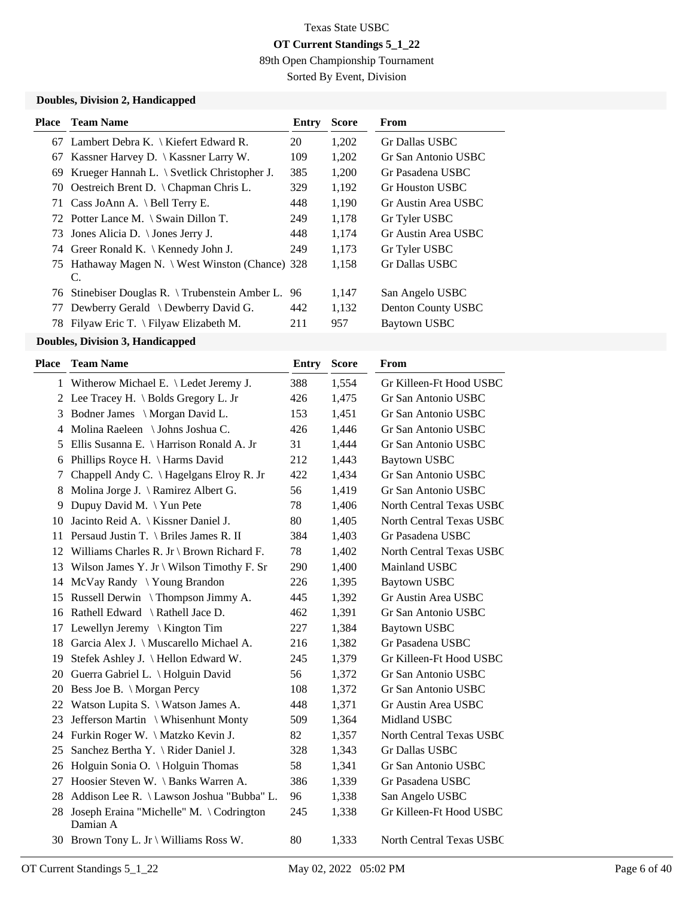89th Open Championship Tournament

Sorted By Event, Division

#### **Doubles, Division 2, Handicapped**

| Place | <b>Team Name</b>                                       | Entry | <b>Score</b> | From                |
|-------|--------------------------------------------------------|-------|--------------|---------------------|
|       | 67 Lambert Debra K. \ Kiefert Edward R.                | 20    | 1,202        | Gr Dallas USBC      |
| 67    | Kassner Harvey D. $\setminus$ Kassner Larry W.         | 109   | 1,202        | Gr San Antonio USBC |
| 69    | Krueger Hannah L. $\setminus$ Svetlick Christopher J.  | 385   | 1,200        | Gr Pasadena USBC    |
| 70    | Oestreich Brent D. \ Chapman Chris L.                  | 329   | 1,192        | Gr Houston USBC     |
| 71    | Cass JoAnn A. \ Bell Terry E.                          | 448   | 1,190        | Gr Austin Area USBC |
|       | 72 Potter Lance M. \ Swain Dillon T.                   | 249   | 1,178        | Gr Tyler USBC       |
| 73    | Jones Alicia D. \ Jones Jerry J.                       | 448   | 1.174        | Gr Austin Area USBC |
|       | 74 Greer Ronald K. \ Kennedy John J.                   | 249   | 1.173        | Gr Tyler USBC       |
|       | 75 Hathaway Magen N. \ West Winston (Chance) 328<br>C. |       | 1,158        | Gr Dallas USBC      |
|       | 76 Stinebiser Douglas R. \Trubenstein Amber L.         | 96    | 1,147        | San Angelo USBC     |
| 77    | Dewberry Gerald \ Dewberry David G.                    | 442   | 1,132        | Denton County USBC  |
| 78    | Filyaw Eric T. $\langle$ Filyaw Elizabeth M.           | 211   | 957          | Baytown USBC        |
|       |                                                        |       |              |                     |

#### **Doubles, Division 3, Handicapped**

| Place | <b>Team Name</b>                                    | <b>Entry</b> | <b>Score</b> | <b>From</b>                     |
|-------|-----------------------------------------------------|--------------|--------------|---------------------------------|
|       | 1 Witherow Michael E. \ Ledet Jeremy J.             | 388          | 1,554        | Gr Killeen-Ft Hood USBC         |
| 2     | Lee Tracey H. $\setminus$ Bolds Gregory L. Jr       | 426          | 1,475        | Gr San Antonio USBC             |
| 3     | Bodner James \ Morgan David L.                      | 153          | 1,451        | Gr San Antonio USBC             |
| 4     | Molina Raeleen \ Johns Joshua C.                    | 426          | 1,446        | Gr San Antonio USBC             |
| 5     | Ellis Susanna E. \ Harrison Ronald A. Jr            | 31           | 1,444        | Gr San Antonio USBC             |
| 6     | Phillips Royce H. \ Harms David                     | 212          | 1,443        | Baytown USBC                    |
| 7     | Chappell Andy C. \Hagelgans Elroy R. Jr             | 422          | 1,434        | Gr San Antonio USBC             |
| 8     | Molina Jorge J. \ Ramirez Albert G.                 | 56           | 1,419        | Gr San Antonio USBC             |
| 9     | Dupuy David M. \Yun Pete                            | 78           | 1,406        | North Central Texas USBC        |
| 10    | Jacinto Reid A.   Kissner Daniel J.                 | 80           | 1,405        | <b>North Central Texas USBC</b> |
|       | 11 Persaud Justin T. \ Briles James R. II           | 384          | 1,403        | Gr Pasadena USBC                |
|       | 12 Williams Charles R. Jr \ Brown Richard F.        | 78           | 1,402        | North Central Texas USBC        |
|       | 13 Wilson James Y. Jr \ Wilson Timothy F. Sr        | 290          | 1,400        | Mainland USBC                   |
| 14    | McVay Randy \Young Brandon                          | 226          | 1,395        | <b>Baytown USBC</b>             |
| 15    | Russell Derwin \ Thompson Jimmy A.                  | 445          | 1,392        | Gr Austin Area USBC             |
|       | 16 Rathell Edward \ Rathell Jace D.                 | 462          | 1,391        | Gr San Antonio USBC             |
|       | 17 Lewellyn Jeremy \ Kington Tim                    | 227          | 1,384        | <b>Baytown USBC</b>             |
| 18    | Garcia Alex J. \ Muscarello Michael A.              | 216          | 1,382        | Gr Pasadena USBC                |
| 19    | Stefek Ashley J. \ Hellon Edward W.                 | 245          | 1,379        | Gr Killeen-Ft Hood USBC         |
|       | 20 Guerra Gabriel L. \ Holguin David                | 56           | 1,372        | Gr San Antonio USBC             |
|       | 20 Bess Joe B. \ Morgan Percy                       | 108          | 1,372        | Gr San Antonio USBC             |
| 22    | Watson Lupita S. \ Watson James A.                  | 448          | 1,371        | Gr Austin Area USBC             |
| 23    | Jefferson Martin \ Whisenhunt Monty                 | 509          | 1,364        | Midland USBC                    |
|       | 24 Furkin Roger W. \Matzko Kevin J.                 | 82           | 1,357        | North Central Texas USBC        |
| 25    | Sanchez Bertha Y. \ Rider Daniel J.                 | 328          | 1,343        | Gr Dallas USBC                  |
|       | 26 Holguin Sonia O. \ Holguin Thomas                | 58           | 1,341        | Gr San Antonio USBC             |
|       | 27 Hoosier Steven W. \ Banks Warren A.              | 386          | 1,339        | Gr Pasadena USBC                |
| 28    | Addison Lee R. \ Lawson Joshua "Bubba" L.           | 96           | 1,338        | San Angelo USBC                 |
| 28    | Joseph Eraina "Michelle" M. \Codrington<br>Damian A | 245          | 1,338        | Gr Killeen-Ft Hood USBC         |
|       | 30 Brown Tony L. Jr \ Williams Ross W.              | 80           | 1,333        | North Central Texas USBC        |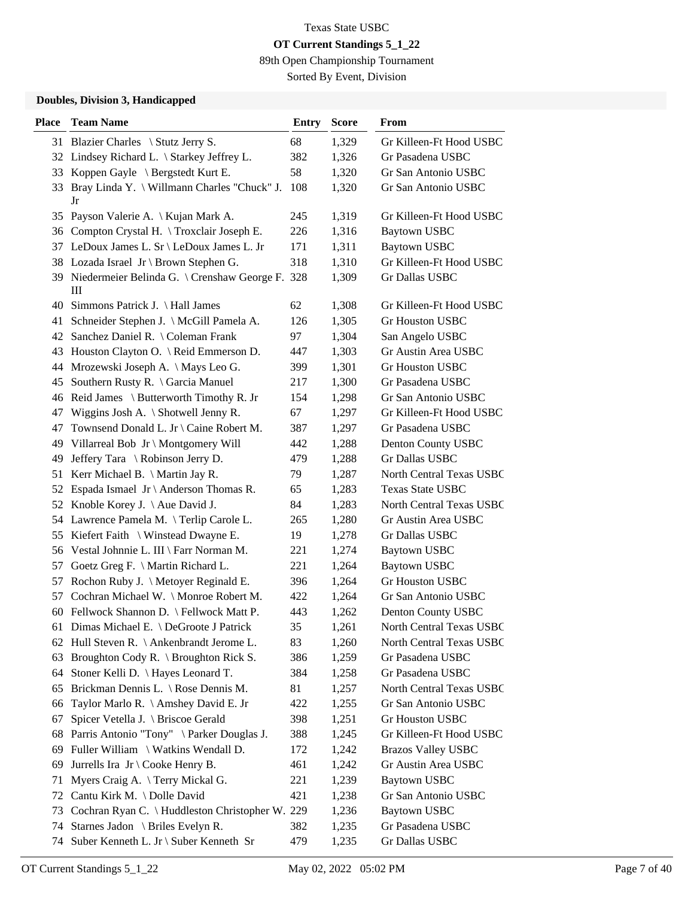89th Open Championship Tournament

Sorted By Event, Division

#### **Doubles, Division 3, Handicapped**

| <b>Place</b> | <b>Team Name</b>                                        | Entry | Score | From                      |
|--------------|---------------------------------------------------------|-------|-------|---------------------------|
|              | 31 Blazier Charles \ Stutz Jerry S.                     | 68    | 1,329 | Gr Killeen-Ft Hood USBC   |
|              | 32 Lindsey Richard L. \ Starkey Jeffrey L.              | 382   | 1,326 | Gr Pasadena USBC          |
|              | 33 Koppen Gayle \ Bergstedt Kurt E.                     | 58    | 1,320 | Gr San Antonio USBC       |
| 33           | Bray Linda Y. \ Willmann Charles "Chuck" J.<br>Jr       | 108   | 1,320 | Gr San Antonio USBC       |
|              | 35 Payson Valerie A. \ Kujan Mark A.                    | 245   | 1,319 | Gr Killeen-Ft Hood USBC   |
|              | 36 Compton Crystal H. \Troxclair Joseph E.              | 226   | 1,316 | <b>Baytown USBC</b>       |
|              | 37 LeDoux James L. Sr \ LeDoux James L. Jr              | 171   | 1,311 | <b>Baytown USBC</b>       |
|              | 38 Lozada Israel Jr \ Brown Stephen G.                  | 318   | 1,310 | Gr Killeen-Ft Hood USBC   |
|              | 39 Niedermeier Belinda G. \ Crenshaw George F. 328<br>Ш |       | 1,309 | Gr Dallas USBC            |
|              | 40 Simmons Patrick J. \ Hall James                      | 62    | 1,308 | Gr Killeen-Ft Hood USBC   |
| 41           | Schneider Stephen J. \ McGill Pamela A.                 | 126   | 1,305 | Gr Houston USBC           |
| 42           | Sanchez Daniel R. \ Coleman Frank                       | 97    | 1,304 | San Angelo USBC           |
| 43           | Houston Clayton O. \ Reid Emmerson D.                   | 447   | 1,303 | Gr Austin Area USBC       |
|              | 44 Mrozewski Joseph A. \ Mays Leo G.                    | 399   | 1,301 | <b>Gr Houston USBC</b>    |
| 45           | Southern Rusty R. \ Garcia Manuel                       | 217   | 1,300 | Gr Pasadena USBC          |
|              | 46 Reid James \ Butterworth Timothy R. Jr               | 154   | 1,298 | Gr San Antonio USBC       |
| 47           | Wiggins Josh A. $\setminus$ Shotwell Jenny R.           | 67    | 1,297 | Gr Killeen-Ft Hood USBC   |
| 47           | Townsend Donald L. Jr \ Caine Robert M.                 | 387   | 1,297 | Gr Pasadena USBC          |
| 49           | Villarreal Bob Jr \ Montgomery Will                     | 442   | 1,288 | Denton County USBC        |
| 49           | Jeffery Tara \ Robinson Jerry D.                        | 479   | 1,288 | Gr Dallas USBC            |
| 51           | Kerr Michael B. $\Lambda$ Martin Jay R.                 | 79    | 1,287 | North Central Texas USBC  |
| 52           | Espada Ismael Jr \ Anderson Thomas R.                   | 65    | 1,283 | <b>Texas State USBC</b>   |
|              | 52 Knoble Korey J. \ Aue David J.                       | 84    | 1,283 | North Central Texas USBC  |
|              | 54 Lawrence Pamela M. \Terlip Carole L.                 | 265   | 1,280 | Gr Austin Area USBC       |
| 55           | Kiefert Faith $\setminus$ Winstead Dwayne E.            | 19    | 1,278 | Gr Dallas USBC            |
|              | 56 Vestal Johnnie L. III \ Farr Norman M.               | 221   | 1,274 | <b>Baytown USBC</b>       |
| 57           | Goetz Greg F. \ Martin Richard L.                       | 221   | 1,264 | <b>Baytown USBC</b>       |
| 57           | Rochon Ruby J. \ Metoyer Reginald E.                    | 396   | 1,264 | <b>Gr Houston USBC</b>    |
| 57           | Cochran Michael W. \ Monroe Robert M.                   | 422   | 1,264 | Gr San Antonio USBC       |
|              | 60 Fellwock Shannon D. \ Fellwock Matt P.               | 443   | 1,262 | Denton County USBC        |
|              | 61 Dimas Michael E. \ DeGroote J Patrick                | 35    | 1,261 | North Central Texas USBC  |
|              | 62 Hull Steven R. \ Ankenbrandt Jerome L.               | 83    | 1,260 | North Central Texas USBC  |
| 63           | Broughton Cody R. \ Broughton Rick S.                   | 386   | 1,259 | Gr Pasadena USBC          |
| 64           | Stoner Kelli D. \ Hayes Leonard T.                      | 384   | 1,258 | Gr Pasadena USBC          |
| 65           | Brickman Dennis L. \ Rose Dennis M.                     | 81    | 1,257 | North Central Texas USBC  |
| 66           | Taylor Marlo R. \ Amshey David E. Jr                    | 422   | 1,255 | Gr San Antonio USBC       |
| 67           | Spicer Vetella J. \ Briscoe Gerald                      | 398   | 1,251 | Gr Houston USBC           |
| 68           | Parris Antonio "Tony" \ Parker Douglas J.               | 388   | 1,245 | Gr Killeen-Ft Hood USBC   |
| 69           | Fuller William \ Watkins Wendall D.                     | 172   | 1,242 | <b>Brazos Valley USBC</b> |
| 69           | Jurrells Ira Jr $\text{Cooke Henry B}.$                 | 461   | 1,242 | Gr Austin Area USBC       |
| 71           | Myers Craig A. \Terry Mickal G.                         | 221   | 1,239 | <b>Baytown USBC</b>       |
| 72           | Cantu Kirk M. \Dolle David                              | 421   | 1,238 | Gr San Antonio USBC       |
| 73           | Cochran Ryan C. \ Huddleston Christopher W. 229         |       | 1,236 | <b>Baytown USBC</b>       |
| 74           | Starnes Jadon \ Briles Evelyn R.                        | 382   | 1,235 | Gr Pasadena USBC          |
|              | 74 Suber Kenneth L. Jr \ Suber Kenneth Sr               | 479   | 1,235 | Gr Dallas USBC            |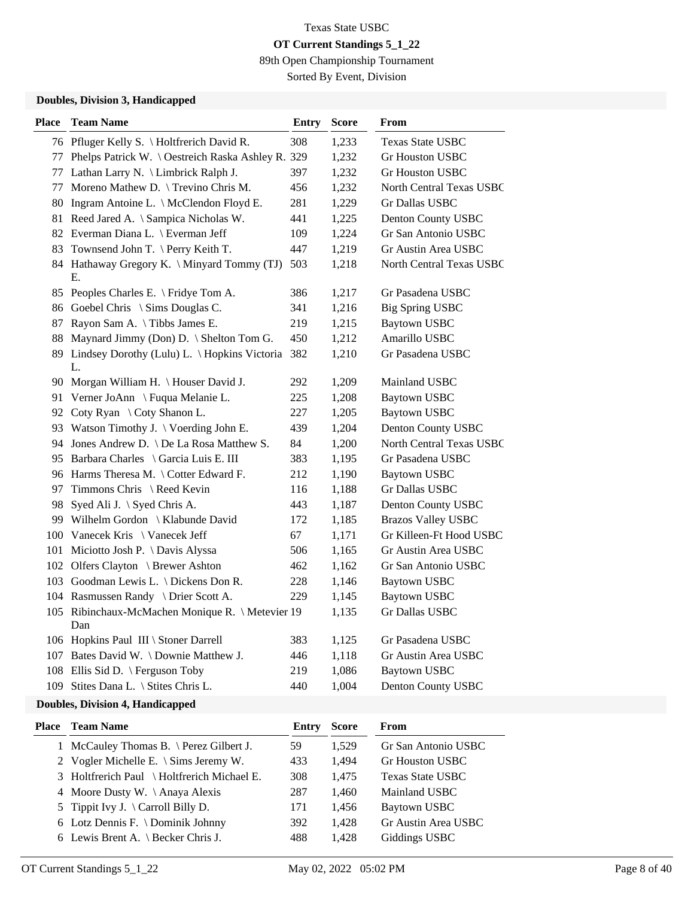89th Open Championship Tournament

Sorted By Event, Division

#### **Doubles, Division 3, Handicapped**

| <b>Place</b> | <b>Team Name</b>                                          | <b>Entry</b> | <b>Score</b> | From                      |
|--------------|-----------------------------------------------------------|--------------|--------------|---------------------------|
|              | 76 Pfluger Kelly S. \ Holtfrerich David R.                | 308          | 1,233        | Texas State USBC          |
|              | 77 Phelps Patrick W. \ Oestreich Raska Ashley R. 329      |              | 1,232        | <b>Gr Houston USBC</b>    |
|              | 77 Lathan Larry N. \ Limbrick Ralph J.                    | 397          | 1,232        | <b>Gr Houston USBC</b>    |
|              | 77 Moreno Mathew D. \ Trevino Chris M.                    | 456          | 1,232        | North Central Texas USBC  |
|              | 80 Ingram Antoine L. \ McClendon Floyd E.                 | 281          | 1,229        | Gr Dallas USBC            |
|              | 81 Reed Jared A. \ Sampica Nicholas W.                    | 441          | 1,225        | Denton County USBC        |
|              | 82 Everman Diana L. \ Everman Jeff                        | 109          | 1,224        | Gr San Antonio USBC       |
|              | 83 Townsend John T. \ Perry Keith T.                      | 447          | 1,219        | Gr Austin Area USBC       |
|              | 84 Hathaway Gregory K. \ Minyard Tommy (TJ)<br>Е.         | 503          | 1,218        | North Central Texas USBC  |
|              | 85 Peoples Charles E. \ Fridye Tom A.                     | 386          | 1,217        | Gr Pasadena USBC          |
|              | 86 Goebel Chris \ Sims Douglas C.                         | 341          | 1,216        | <b>Big Spring USBC</b>    |
|              | 87 Rayon Sam A. \Tibbs James E.                           | 219          | 1,215        | <b>Baytown USBC</b>       |
|              | 88 Maynard Jimmy (Don) D. \ Shelton Tom G.                | 450          | 1,212        | Amarillo USBC             |
|              | 89 Lindsey Dorothy (Lulu) L. \ Hopkins Victoria 382<br>L. |              | 1,210        | Gr Pasadena USBC          |
|              | 90 Morgan William H. \ Houser David J.                    | 292          | 1,209        | Mainland USBC             |
|              | 91 Verner JoAnn \ Fuqua Melanie L.                        | 225          | 1,208        | <b>Baytown USBC</b>       |
|              | 92 Coty Ryan \ Coty Shanon L.                             | 227          | 1,205        | <b>Baytown USBC</b>       |
|              | 93 Watson Timothy J. \ Voerding John E.                   | 439          | 1,204        | Denton County USBC        |
|              | 94 Jones Andrew D. \ De La Rosa Matthew S.                | 84           | 1,200        | North Central Texas USBC  |
|              | 95 Barbara Charles \ Garcia Luis E. III                   | 383          | 1,195        | Gr Pasadena USBC          |
|              | 96 Harms Theresa M. \ Cotter Edward F.                    | 212          | 1,190        | Baytown USBC              |
|              | 97 Timmons Chris \ Reed Kevin                             | 116          | 1,188        | Gr Dallas USBC            |
|              | 98 Syed Ali J. \ Syed Chris A.                            | 443          | 1,187        | Denton County USBC        |
|              | 99 Wilhelm Gordon \ Klabunde David                        | 172          | 1,185        | <b>Brazos Valley USBC</b> |
|              | 100 Vanecek Kris \ Vanecek Jeff                           | 67           | 1,171        | Gr Killeen-Ft Hood USBC   |
|              | 101 Miciotto Josh P. \ Davis Alyssa                       | 506          | 1,165        | Gr Austin Area USBC       |
|              | 102 Olfers Clayton \ Brewer Ashton                        | 462          | 1,162        | Gr San Antonio USBC       |
|              | 103 Goodman Lewis L. \ Dickens Don R.                     | 228          | 1,146        | Baytown USBC              |
|              | 104 Rasmussen Randy \ Drier Scott A.                      | 229          | 1,145        | <b>Baytown USBC</b>       |
|              | 105 Ribinchaux-McMachen Monique R. \ Metevier 19<br>Dan   |              | 1,135        | Gr Dallas USBC            |
|              | 106 Hopkins Paul III \ Stoner Darrell                     | 383          | 1,125        | Gr Pasadena USBC          |
|              | 107 Bates David W. \Downie Matthew J.                     | 446          | 1,118        | Gr Austin Area USBC       |
|              | 108 Ellis Sid D. \ Ferguson Toby                          | 219          | 1,086        | <b>Baytown USBC</b>       |
|              | 109 Stites Dana L. \ Stites Chris L.                      | 440          | 1,004        | Denton County USBC        |

### **Doubles, Division 4, Handicapped**

| <b>Place – Team Name</b>                    | Entry | <b>Score</b> | From                    |
|---------------------------------------------|-------|--------------|-------------------------|
| 1 McCauley Thomas B. \ Perez Gilbert J.     | 59    | 1.529        | Gr San Antonio USBC     |
| 2 Vogler Michelle E. $\Im$ Sims Jeremy W.   | 433   | 1.494        | <b>Gr Houston USBC</b>  |
| 3 Holtfrerich Paul \ Holtfrerich Michael E. | 308   | 1.475        | <b>Texas State USBC</b> |
| 4 Moore Dusty W. \Anaya Alexis              | 287   | 1.460        | Mainland USBC           |
| 5 Tippit Ivy J. $\text{Carroll}$ Billy D.   | 171   | 1.456        | <b>Baytown USBC</b>     |
| 6 Lotz Dennis F. \ Dominik Johnny           | 392   | 1,428        | Gr Austin Area USBC     |
| 6 Lewis Brent A. $\text{Becker Chris J.}$   | 488   | 1.428        | Giddings USBC           |
|                                             |       |              |                         |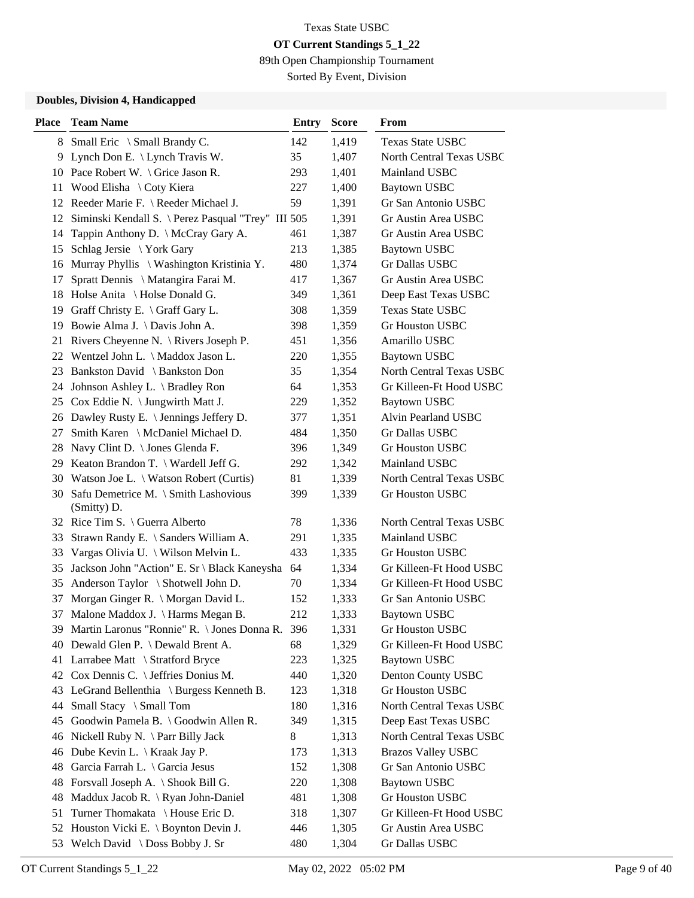89th Open Championship Tournament

Sorted By Event, Division

#### **Doubles, Division 4, Handicapped**

| Place | <b>Team Name</b>                                    | <b>Entry</b> | <b>Score</b> | From                            |
|-------|-----------------------------------------------------|--------------|--------------|---------------------------------|
|       | 8 Small Eric \ Small Brandy C.                      | 142          | 1,419        | <b>Texas State USBC</b>         |
| 9     | Lynch Don E. \ Lynch Travis W.                      | 35           | 1,407        | North Central Texas USBC        |
|       | 10 Pace Robert W. \ Grice Jason R.                  | 293          | 1,401        | Mainland USBC                   |
| 11    | Wood Elisha \ Coty Kiera                            | 227          | 1,400        | <b>Baytown USBC</b>             |
|       | 12 Reeder Marie F. \ Reeder Michael J.              | 59           | 1,391        | Gr San Antonio USBC             |
| 12    | Siminski Kendall S. \ Perez Pasqual "Trey" III 505  |              | 1,391        | Gr Austin Area USBC             |
|       | 14 Tappin Anthony D. \ McCray Gary A.               | 461          | 1,387        | Gr Austin Area USBC             |
|       | 15 Schlag Jersie \ York Gary                        | 213          | 1,385        | <b>Baytown USBC</b>             |
| 16    | Murray Phyllis \ Washington Kristinia Y.            | 480          | 1,374        | Gr Dallas USBC                  |
| 17    | Spratt Dennis \ Matangira Farai M.                  | 417          | 1,367        | Gr Austin Area USBC             |
|       | 18 Holse Anita \ Holse Donald G.                    | 349          | 1,361        | Deep East Texas USBC            |
|       | 19 Graff Christy E. \ Graff Gary L.                 | 308          | 1,359        | <b>Texas State USBC</b>         |
| 19    | Bowie Alma J. \ Davis John A.                       | 398          | 1,359        | <b>Gr Houston USBC</b>          |
|       | 21 Rivers Cheyenne N. \ Rivers Joseph P.            | 451          | 1,356        | Amarillo USBC                   |
|       | 22 Wentzel John L. \ Maddox Jason L.                | 220          | 1,355        | <b>Baytown USBC</b>             |
|       | 23 Bankston David \ Bankston Don                    | 35           | 1,354        | North Central Texas USBC        |
|       | 24 Johnson Ashley L. \ Bradley Ron                  | 64           | 1,353        | Gr Killeen-Ft Hood USBC         |
|       | 25 Cox Eddie N. \ Jungwirth Matt J.                 | 229          | 1,352        | <b>Baytown USBC</b>             |
|       | 26 Dawley Rusty E. \ Jennings Jeffery D.            | 377          | 1,351        | <b>Alvin Pearland USBC</b>      |
| 27 -  | Smith Karen \ McDaniel Michael D.                   | 484          | 1,350        | Gr Dallas USBC                  |
| 28    | Navy Clint D. \ Jones Glenda F.                     | 396          | 1,349        | <b>Gr Houston USBC</b>          |
|       | 29 Keaton Brandon T. \Wardell Jeff G.               | 292          | 1,342        | Mainland USBC                   |
|       | 30 Watson Joe L. \ Watson Robert (Curtis)           | 81           | 1,339        | North Central Texas USBC        |
| 30    | Safu Demetrice M. \ Smith Lashovious<br>(Smitty) D. | 399          | 1,339        | <b>Gr Houston USBC</b>          |
|       | 32 Rice Tim S. \ Guerra Alberto                     | 78           | 1,336        | <b>North Central Texas USBC</b> |
| 33    | Strawn Randy E. \ Sanders William A.                | 291          | 1,335        | Mainland USBC                   |
|       | 33 Vargas Olivia U. \ Wilson Melvin L.              | 433          | 1,335        | <b>Gr Houston USBC</b>          |
|       | 35 Jackson John "Action" E. Sr \ Black Kaneysha     | 64           | 1,334        | Gr Killeen-Ft Hood USBC         |
|       | 35 Anderson Taylor \ Shotwell John D.               | 70           | 1,334        | Gr Killeen-Ft Hood USBC         |
| 37    | Morgan Ginger R. \ Morgan David L.                  | 152          | 1,333        | Gr San Antonio USBC             |
| 37    | Malone Maddox J. \ Harms Megan B.                   | 212          | 1,333        | <b>Baytown USBC</b>             |
|       | 39 Martin Laronus "Ronnie" R. \ Jones Donna R. 396  |              | 1,331        | Gr Houston USBC                 |
| 40    | Dewald Glen P. \ Dewald Brent A.                    | 68           | 1,329        | Gr Killeen-Ft Hood USBC         |
| 41    | Larrabee Matt \ Stratford Bryce                     | 223          | 1,325        | <b>Baytown USBC</b>             |
| 42    | Cox Dennis C. \ Jeffries Donius M.                  | 440          | 1,320        | Denton County USBC              |
|       | 43 LeGrand Bellenthia \ Burgess Kenneth B.          | 123          | 1,318        | Gr Houston USBC                 |
| 44    | Small Stacy \ Small Tom                             | 180          | 1,316        | North Central Texas USBC        |
| 45    | Goodwin Pamela B. \ Goodwin Allen R.                | 349          | 1,315        | Deep East Texas USBC            |
| 46    | Nickell Ruby N. $\$ Parr Billy Jack                 | 8            | 1,313        | North Central Texas USBC        |
| 46    | Dube Kevin L. $\setminus$ Kraak Jay P.              | 173          | 1,313        | <b>Brazos Valley USBC</b>       |
| 48    | Garcia Farrah L. \ Garcia Jesus                     | 152          | 1,308        | Gr San Antonio USBC             |
| 48    | Forsvall Joseph A. \ Shook Bill G.                  | 220          | 1,308        | <b>Baytown USBC</b>             |
| 48    | Maddux Jacob R. \ Ryan John-Daniel                  | 481          | 1,308        | Gr Houston USBC                 |
| 51    | Turner Thomakata \ House Eric D.                    | 318          | 1,307        | Gr Killeen-Ft Hood USBC         |
|       | 52 Houston Vicki E. \ Boynton Devin J.              | 446          | 1,305        | Gr Austin Area USBC             |
|       | 53 Welch David \ Doss Bobby J. Sr                   | 480          | 1,304        | Gr Dallas USBC                  |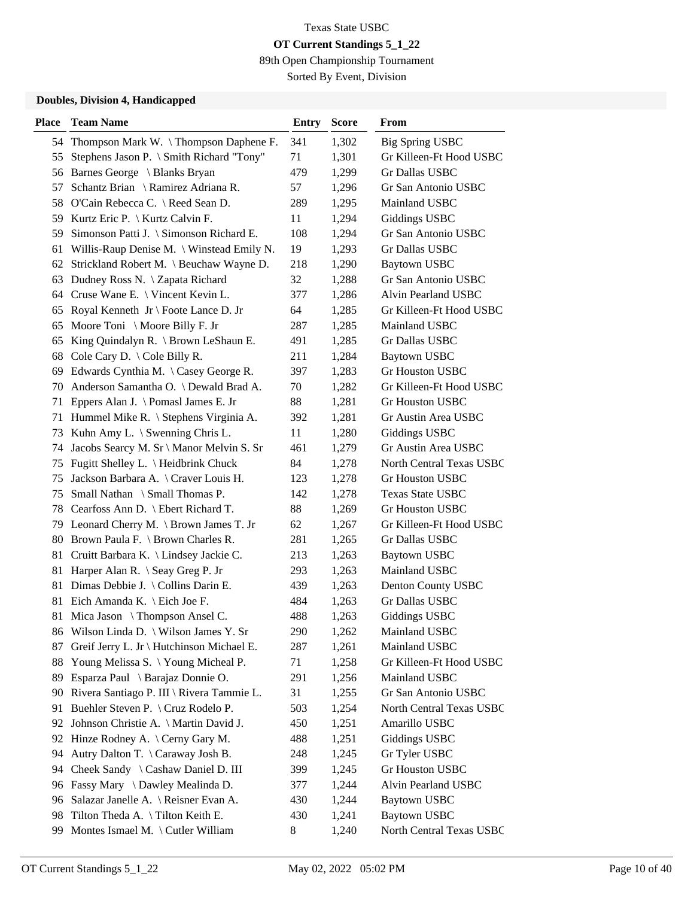89th Open Championship Tournament

Sorted By Event, Division

#### **Doubles, Division 4, Handicapped**

| <b>Place</b> | <b>Team Name</b>                             | Entry | <b>Score</b> | From                     |
|--------------|----------------------------------------------|-------|--------------|--------------------------|
|              | 54 Thompson Mark W. \Thompson Daphene F.     | 341   | 1,302        | <b>Big Spring USBC</b>   |
| 55           | Stephens Jason P. \ Smith Richard "Tony"     | 71    | 1,301        | Gr Killeen-Ft Hood USBC  |
|              | 56 Barnes George \ Blanks Bryan              | 479   | 1,299        | Gr Dallas USBC           |
| 57           | Schantz Brian \ Ramirez Adriana R.           | 57    | 1,296        | Gr San Antonio USBC      |
|              | 58 O'Cain Rebecca C. \ Reed Sean D.          | 289   | 1,295        | Mainland USBC            |
|              | 59 Kurtz Eric P. \ Kurtz Calvin F.           | 11    | 1,294        | Giddings USBC            |
| 59           | Simonson Patti J. \ Simonson Richard E.      | 108   | 1,294        | Gr San Antonio USBC      |
|              | 61 Willis-Raup Denise M. \ Winstead Emily N. | 19    | 1,293        | Gr Dallas USBC           |
|              | 62 Strickland Robert M. \ Beuchaw Wayne D.   | 218   | 1,290        | <b>Baytown USBC</b>      |
| 63           | Dudney Ross N. \ Zapata Richard              | 32    | 1,288        | Gr San Antonio USBC      |
|              | 64 Cruse Wane E. \ Vincent Kevin L.          | 377   | 1,286        | Alvin Pearland USBC      |
|              | 65 Royal Kenneth Jr \ Foote Lance D. Jr      | 64    | 1,285        | Gr Killeen-Ft Hood USBC  |
| 65           | Moore Toni \ Moore Billy F. Jr               | 287   | 1,285        | Mainland USBC            |
| 65           | King Quindalyn R. \ Brown LeShaun E.         | 491   | 1,285        | Gr Dallas USBC           |
|              | 68 Cole Cary D. $\setminus$ Cole Billy R.    | 211   | 1,284        | <b>Baytown USBC</b>      |
|              | 69 Edwards Cynthia M. \ Casey George R.      | 397   | 1,283        | Gr Houston USBC          |
| 70           | Anderson Samantha O. \ Dewald Brad A.        | 70    | 1,282        | Gr Killeen-Ft Hood USBC  |
| 71           | Eppers Alan J. \ Pomasl James E. Jr          | 88    | 1,281        | Gr Houston USBC          |
|              | 71 Hummel Mike R. \ Stephens Virginia A.     | 392   | 1,281        | Gr Austin Area USBC      |
|              | 73 Kuhn Amy L. \ Swenning Chris L.           | 11    | 1,280        | Giddings USBC            |
| 74           | Jacobs Searcy M. Sr \ Manor Melvin S. Sr     | 461   | 1,279        | Gr Austin Area USBC      |
|              | 75 Fugitt Shelley L. \ Heidbrink Chuck       | 84    | 1,278        | North Central Texas USBC |
| 75           | Jackson Barbara A. \ Craver Louis H.         | 123   | 1,278        | Gr Houston USBC          |
| 75           | Small Nathan \ Small Thomas P.               | 142   | 1,278        | <b>Texas State USBC</b>  |
|              | 78 Cearfoss Ann D. \ Ebert Richard T.        | 88    | 1,269        | Gr Houston USBC          |
|              | 79 Leonard Cherry M. \ Brown James T. Jr     | 62    | 1,267        | Gr Killeen-Ft Hood USBC  |
|              | 80 Brown Paula F. \ Brown Charles R.         | 281   | 1,265        | Gr Dallas USBC           |
|              | 81 Cruitt Barbara K. \ Lindsey Jackie C.     | 213   | 1,263        | <b>Baytown USBC</b>      |
|              | 81 Harper Alan R. \ Seay Greg P. Jr          | 293   | 1,263        | Mainland USBC            |
|              | 81 Dimas Debbie J. \ Collins Darin E.        | 439   | 1,263        | Denton County USBC       |
|              | 81 Eich Amanda K. \ Eich Joe F.              | 484   | 1,263        | Gr Dallas USBC           |
| 81           | Mica Jason $\setminus$ Thompson Ansel C.     | 488   | 1,263        | <b>Giddings USBC</b>     |
|              | 86 Wilson Linda D. \ Wilson James Y. Sr      | 290   | 1,262        | Mainland USBC            |
| 87           | Greif Jerry L. Jr \ Hutchinson Michael E.    | 287   | 1,261        | Mainland USBC            |
| 88           | Young Melissa S. \ Young Micheal P.          | 71    | 1,258        | Gr Killeen-Ft Hood USBC  |
| 89           | Esparza Paul \ Barajaz Donnie O.             | 291   | 1,256        | Mainland USBC            |
|              | 90 Rivera Santiago P. III \ Rivera Tammie L. | 31    | 1,255        | Gr San Antonio USBC      |
| 91           | Buehler Steven P. \ Cruz Rodelo P.           | 503   | 1,254        | North Central Texas USBC |
| 92           | Johnson Christie A. \ Martin David J.        | 450   | 1,251        | Amarillo USBC            |
|              | 92 Hinze Rodney A. \ Cerny Gary M.           | 488   | 1,251        | <b>Giddings USBC</b>     |
| 94           | Autry Dalton T. \ Caraway Josh B.            | 248   | 1,245        | Gr Tyler USBC            |
| 94           | Cheek Sandy \ Cashaw Daniel D. III           | 399   | 1,245        | Gr Houston USBC          |
|              | 96 Fassy Mary \ Dawley Mealinda D.           | 377   | 1,244        | Alvin Pearland USBC      |
| 96           | Salazar Janelle A. \ Reisner Evan A.         | 430   | 1,244        | <b>Baytown USBC</b>      |
| 98           | Tilton Theda A. \Tilton Keith E.             | 430   | 1,241        | <b>Baytown USBC</b>      |
| 99           | Montes Ismael M. \ Cutler William            | 8     | 1,240        | North Central Texas USBC |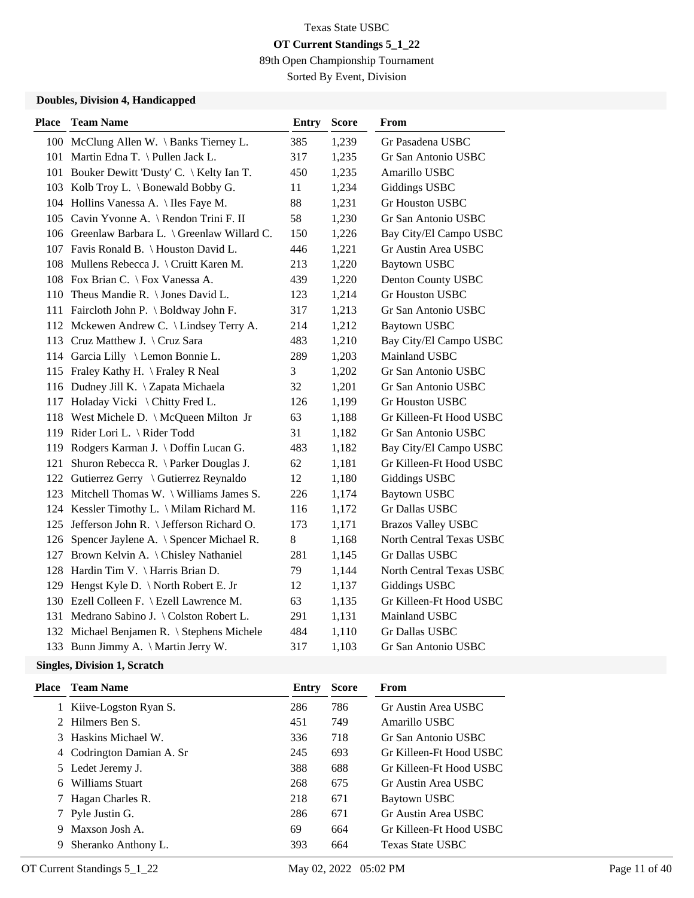89th Open Championship Tournament

Sorted By Event, Division

#### **Doubles, Division 4, Handicapped**

| <b>Place</b> | <b>Team Name</b>                              | <b>Entry</b> | <b>Score</b> | From                      |
|--------------|-----------------------------------------------|--------------|--------------|---------------------------|
|              | 100 McClung Allen W. \ Banks Tierney L.       | 385          | 1,239        | Gr Pasadena USBC          |
|              | 101 Martin Edna T. \Pullen Jack L.            | 317          | 1,235        | Gr San Antonio USBC       |
|              | 101 Bouker Dewitt 'Dusty' C. \ Kelty Ian T.   | 450          | 1,235        | Amarillo USBC             |
|              | 103 Kolb Troy L. \ Bonewald Bobby G.          | 11           | 1,234        | <b>Giddings USBC</b>      |
|              | 104 Hollins Vanessa A. \ Iles Faye M.         | 88           | 1,231        | Gr Houston USBC           |
|              | 105 Cavin Yvonne A. \ Rendon Trini F. II      | 58           | 1,230        | Gr San Antonio USBC       |
|              | 106 Greenlaw Barbara L. \ Greenlaw Willard C. | 150          | 1,226        | Bay City/El Campo USBC    |
|              | 107 Favis Ronald B. \ Houston David L.        | 446          | 1,221        | Gr Austin Area USBC       |
|              | 108 Mullens Rebecca J. \ Cruitt Karen M.      | 213          | 1,220        | <b>Baytown USBC</b>       |
|              | 108 Fox Brian C. \ Fox Vanessa A.             | 439          | 1,220        | Denton County USBC        |
|              | 110 Theus Mandie R. \ Jones David L.          | 123          | 1,214        | Gr Houston USBC           |
|              | 111 Faircloth John P. \ Boldway John F.       | 317          | 1,213        | Gr San Antonio USBC       |
|              | 112 Mckewen Andrew C. \ Lindsey Terry A.      | 214          | 1,212        | <b>Baytown USBC</b>       |
|              | 113 Cruz Matthew J. \ Cruz Sara               | 483          | 1,210        | Bay City/El Campo USBC    |
|              | 114 Garcia Lilly \ Lemon Bonnie L.            | 289          | 1,203        | Mainland USBC             |
|              | 115 Fraley Kathy H. \ Fraley R Neal           | 3            | 1,202        | Gr San Antonio USBC       |
|              | 116 Dudney Jill K. \ Zapata Michaela          | 32           | 1,201        | Gr San Antonio USBC       |
|              | 117 Holaday Vicki \ Chitty Fred L.            | 126          | 1,199        | Gr Houston USBC           |
|              | 118 West Michele D. \ McQueen Milton Jr       | 63           | 1,188        | Gr Killeen-Ft Hood USBC   |
|              | 119 Rider Lori L. \ Rider Todd                | 31           | 1,182        | Gr San Antonio USBC       |
|              | 119 Rodgers Karman J. \ Doffin Lucan G.       | 483          | 1,182        | Bay City/El Campo USBC    |
| 121          | Shuron Rebecca R. \ Parker Douglas J.         | 62           | 1,181        | Gr Killeen-Ft Hood USBC   |
|              | 122 Gutierrez Gerry \ Gutierrez Reynaldo      | 12           | 1,180        | Giddings USBC             |
|              | 123 Mitchell Thomas W. \ Williams James S.    | 226          | 1,174        | <b>Baytown USBC</b>       |
|              | 124 Kessler Timothy L. \ Milam Richard M.     | 116          | 1,172        | Gr Dallas USBC            |
|              | 125 Jefferson John R. \ Jefferson Richard O.  | 173          | 1,171        | <b>Brazos Valley USBC</b> |
|              | 126 Spencer Jaylene A. \ Spencer Michael R.   | 8            | 1,168        | North Central Texas USBC  |
|              | 127 Brown Kelvin A. \ Chisley Nathaniel       | 281          | 1,145        | Gr Dallas USBC            |
|              | 128 Hardin Tim V. \ Harris Brian D.           | 79           | 1,144        | North Central Texas USBC  |
|              | 129 Hengst Kyle D. \ North Robert E. Jr       | 12           | 1,137        | <b>Giddings USBC</b>      |
|              | 130 Ezell Colleen F. \ Ezell Lawrence M.      | 63           | 1,135        | Gr Killeen-Ft Hood USBC   |
|              | 131 Medrano Sabino J. \Colston Robert L.      | 291          | 1,131        | Mainland USBC             |
|              | 132 Michael Benjamen R. \ Stephens Michele    | 484          | 1,110        | Gr Dallas USBC            |
|              | 133 Bunn Jimmy A. \ Martin Jerry W.           | 317          | 1,103        | Gr San Antonio USBC       |

#### **Singles, Division 1, Scratch**

| Place | <b>Team Name</b>          | Entry | <b>Score</b> | From                    |
|-------|---------------------------|-------|--------------|-------------------------|
|       | 1 Kiive-Logston Ryan S.   | 286   | 786          | Gr Austin Area USBC     |
|       | 2 Hilmers Ben S.          | 451   | 749          | Amarillo USBC           |
|       | 3 Haskins Michael W.      | 336   | 718          | Gr San Antonio USBC     |
|       | 4 Codrington Damian A. Sr | 245   | 693          | Gr Killeen-Ft Hood USBC |
|       | 5 Ledet Jeremy J.         | 388   | 688          | Gr Killeen-Ft Hood USBC |
| 6     | Williams Stuart           | 268   | 675          | Gr Austin Area USBC     |
|       | 7 Hagan Charles R.        | 218   | 671          | Baytown USBC            |
|       | 7 Pyle Justin G.          | 286   | 671          | Gr Austin Area USBC     |
|       | 9 Maxson Josh A.          | 69    | 664          | Gr Killeen-Ft Hood USBC |
| 9     | Sheranko Anthony L.       | 393   | 664          | <b>Texas State USBC</b> |
|       |                           |       |              |                         |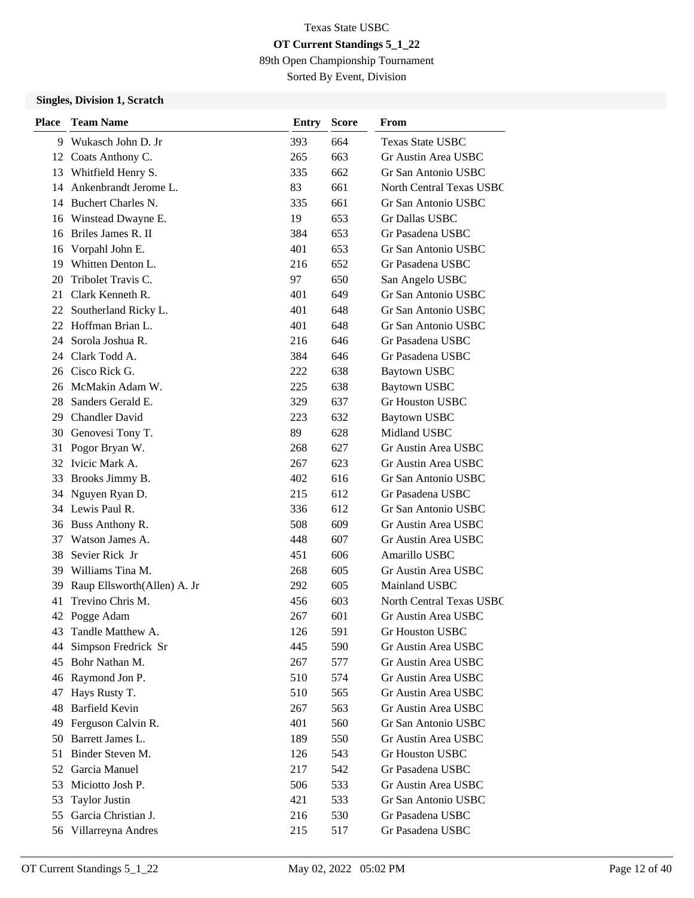89th Open Championship Tournament

Sorted By Event, Division

#### **Singles, Division 1, Scratch**

| <b>Place</b> | <b>Team Name</b>            | Entry | <b>Score</b> | From                            |
|--------------|-----------------------------|-------|--------------|---------------------------------|
| 9            | Wukasch John D. Jr          | 393   | 664          | <b>Texas State USBC</b>         |
|              | 12 Coats Anthony C.         | 265   | 663          | Gr Austin Area USBC             |
| 13           | Whitfield Henry S.          | 335   | 662          | Gr San Antonio USBC             |
| 14           | Ankenbrandt Jerome L.       | 83    | 661          | North Central Texas USBC        |
|              | 14 Buchert Charles N.       | 335   | 661          | Gr San Antonio USBC             |
|              | 16 Winstead Dwayne E.       | 19    | 653          | <b>Gr Dallas USBC</b>           |
| 16           | Briles James R. II          | 384   | 653          | Gr Pasadena USBC                |
| 16           | Vorpahl John E.             | 401   | 653          | Gr San Antonio USBC             |
| 19           | Whitten Denton L.           | 216   | 652          | Gr Pasadena USBC                |
| 20           | Tribolet Travis C.          | 97    | 650          | San Angelo USBC                 |
| 21           | Clark Kenneth R.            | 401   | 649          | Gr San Antonio USBC             |
| 22           | Southerland Ricky L.        | 401   | 648          | Gr San Antonio USBC             |
|              | 22 Hoffman Brian L.         | 401   | 648          | Gr San Antonio USBC             |
| 24           | Sorola Joshua R.            | 216   | 646          | Gr Pasadena USBC                |
|              | 24 Clark Todd A.            | 384   | 646          | Gr Pasadena USBC                |
|              | 26 Cisco Rick G.            | 222   | 638          | <b>Baytown USBC</b>             |
|              | 26 McMakin Adam W.          | 225   | 638          | <b>Baytown USBC</b>             |
| 28           | Sanders Gerald E.           | 329   | 637          | <b>Gr Houston USBC</b>          |
| 29           | <b>Chandler David</b>       | 223   | 632          | <b>Baytown USBC</b>             |
|              | 30 Genovesi Tony T.         | 89    | 628          | Midland USBC                    |
| 31           | Pogor Bryan W.              | 268   | 627          | Gr Austin Area USBC             |
| 32           | Ivicic Mark A.              | 267   | 623          | Gr Austin Area USBC             |
| 33           | Brooks Jimmy B.             | 402   | 616          | Gr San Antonio USBC             |
| 34           | Nguyen Ryan D.              | 215   | 612          | Gr Pasadena USBC                |
|              | 34 Lewis Paul R.            | 336   | 612          | Gr San Antonio USBC             |
|              | 36 Buss Anthony R.          | 508   | 609          | Gr Austin Area USBC             |
| 37           | Watson James A.             | 448   | 607          | Gr Austin Area USBC             |
| 38           | Sevier Rick Jr              | 451   | 606          | Amarillo USBC                   |
| 39           | Williams Tina M.            | 268   | 605          | Gr Austin Area USBC             |
| 39           | Raup Ellsworth(Allen) A. Jr | 292   | 605          | Mainland USBC                   |
| 41           | Trevino Chris M.            | 456   | 603          | <b>North Central Texas USBC</b> |
|              | 42 Pogge Adam               | 267   | 601          | Gr Austin Area USBC             |
| 43           | Tandle Matthew A.           | 126   | 591          | Gr Houston USBC                 |
| 44           | Simpson Fredrick Sr         | 445   | 590          | Gr Austin Area USBC             |
| 45           | Bohr Nathan M.              | 267   | 577          | Gr Austin Area USBC             |
|              | 46 Raymond Jon P.           | 510   | 574          | Gr Austin Area USBC             |
| 47           | Hays Rusty T.               | 510   | 565          | Gr Austin Area USBC             |
| 48           | <b>Barfield Kevin</b>       | 267   | 563          | Gr Austin Area USBC             |
| 49           | Ferguson Calvin R.          | 401   | 560          | Gr San Antonio USBC             |
| 50           | Barrett James L.            | 189   | 550          | Gr Austin Area USBC             |
| 51           | Binder Steven M.            | 126   | 543          | Gr Houston USBC                 |
| 52           | Garcia Manuel               | 217   | 542          | Gr Pasadena USBC                |
| 53           | Miciotto Josh P.            | 506   | 533          | Gr Austin Area USBC             |
| 53           | <b>Taylor Justin</b>        | 421   | 533          | Gr San Antonio USBC             |
| 55           | Garcia Christian J.         | 216   | 530          | Gr Pasadena USBC                |
|              | 56 Villarreyna Andres       | 215   | 517          | Gr Pasadena USBC                |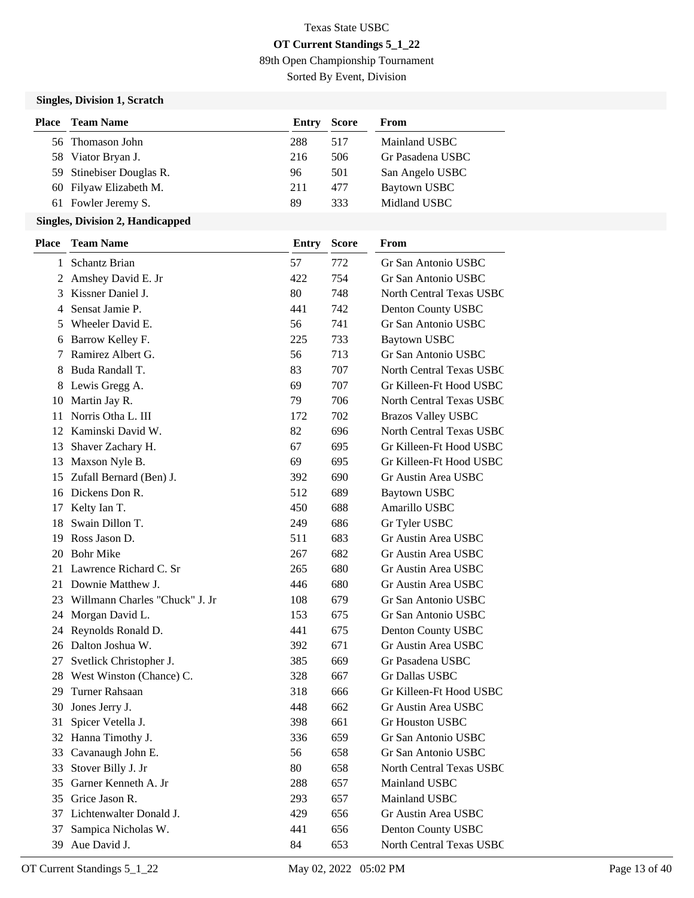89th Open Championship Tournament

Sorted By Event, Division

### **Singles, Division 1, Scratch**

| Place | <b>Team Name</b>         | Entry | <b>Score</b> | From             |
|-------|--------------------------|-------|--------------|------------------|
|       | 56 Thomason John         | 288   | 517          | Mainland USBC    |
|       | 58 Viator Bryan J.       | 216   | 506          | Gr Pasadena USBC |
|       | 59 Stinebiser Douglas R. | 96    | 501          | San Angelo USBC  |
|       | 60 Filyaw Elizabeth M.   | 211   | 477          | Baytown USBC     |
|       | 61 Fowler Jeremy S.      | 89    | 333          | Midland USBC     |

| <b>Place</b> | <b>Team Name</b>               | <b>Entry</b> | <b>Score</b> | From                            |
|--------------|--------------------------------|--------------|--------------|---------------------------------|
|              | 1 Schantz Brian                | 57           | 772          | Gr San Antonio USBC             |
|              | 2 Amshey David E. Jr           | 422          | 754          | Gr San Antonio USBC             |
| 3            | Kissner Daniel J.              | 80           | 748          | <b>North Central Texas USBC</b> |
| 4            | Sensat Jamie P.                | 441          | 742          | Denton County USBC              |
| 5.           | Wheeler David E.               | 56           | 741          | Gr San Antonio USBC             |
| 6            | Barrow Kelley F.               | 225          | 733          | <b>Baytown USBC</b>             |
| 7            | Ramirez Albert G.              | 56           | 713          | Gr San Antonio USBC             |
| 8            | Buda Randall T.                | 83           | 707          | North Central Texas USBC        |
|              | 8 Lewis Gregg A.               | 69           | 707          | Gr Killeen-Ft Hood USBC         |
| 10           | Martin Jay R.                  | 79           | 706          | North Central Texas USBC        |
| 11           | Norris Otha L. III             | 172          | 702          | <b>Brazos Valley USBC</b>       |
|              | 12 Kaminski David W.           | 82           | 696          | North Central Texas USBC        |
|              | 13 Shaver Zachary H.           | 67           | 695          | Gr Killeen-Ft Hood USBC         |
|              | 13 Maxson Nyle B.              | 69           | 695          | Gr Killeen-Ft Hood USBC         |
| 15           | Zufall Bernard (Ben) J.        | 392          | 690          | Gr Austin Area USBC             |
|              | 16 Dickens Don R.              | 512          | 689          | <b>Baytown USBC</b>             |
| 17           | Kelty Ian T.                   | 450          | 688          | Amarillo USBC                   |
| 18           | Swain Dillon T.                | 249          | 686          | Gr Tyler USBC                   |
| 19           | Ross Jason D.                  | 511          | 683          | Gr Austin Area USBC             |
| 20           | <b>Bohr Mike</b>               | 267          | 682          | Gr Austin Area USBC             |
| 21           | Lawrence Richard C. Sr         | 265          | 680          | Gr Austin Area USBC             |
|              | 21 Downie Matthew J.           | 446          | 680          | Gr Austin Area USBC             |
| 23           | Willmann Charles "Chuck" J. Jr | 108          | 679          | Gr San Antonio USBC             |
| 24           | Morgan David L.                | 153          | 675          | Gr San Antonio USBC             |
|              | 24 Reynolds Ronald D.          | 441          | 675          | Denton County USBC              |
|              | 26 Dalton Joshua W.            | 392          | 671          | Gr Austin Area USBC             |
| 27           | Svetlick Christopher J.        | 385          | 669          | Gr Pasadena USBC                |
|              | 28 West Winston (Chance) C.    | 328          | 667          | Gr Dallas USBC                  |
| 29           | <b>Turner Rahsaan</b>          | 318          | 666          | Gr Killeen-Ft Hood USBC         |
| 30           | Jones Jerry J.                 | 448          | 662          | Gr Austin Area USBC             |
| 31           | Spicer Vetella J.              | 398          | 661          | <b>Gr Houston USBC</b>          |
|              | 32 Hanna Timothy J.            | 336          | 659          | Gr San Antonio USBC             |
|              | 33 Cavanaugh John E.           | 56           | 658          | Gr San Antonio USBC             |
| 33           | Stover Billy J. Jr             | 80           | 658          | North Central Texas USBC        |
| 35           | Garner Kenneth A. Jr           | 288          | 657          | Mainland USBC                   |
| 35           | Grice Jason R.                 | 293          | 657          | Mainland USBC                   |
| 37           | Lichtenwalter Donald J.        | 429          | 656          | Gr Austin Area USBC             |
| 37           | Sampica Nicholas W.            | 441          | 656          | Denton County USBC              |
| 39           | Aue David J.                   | 84           | 653          | North Central Texas USBC        |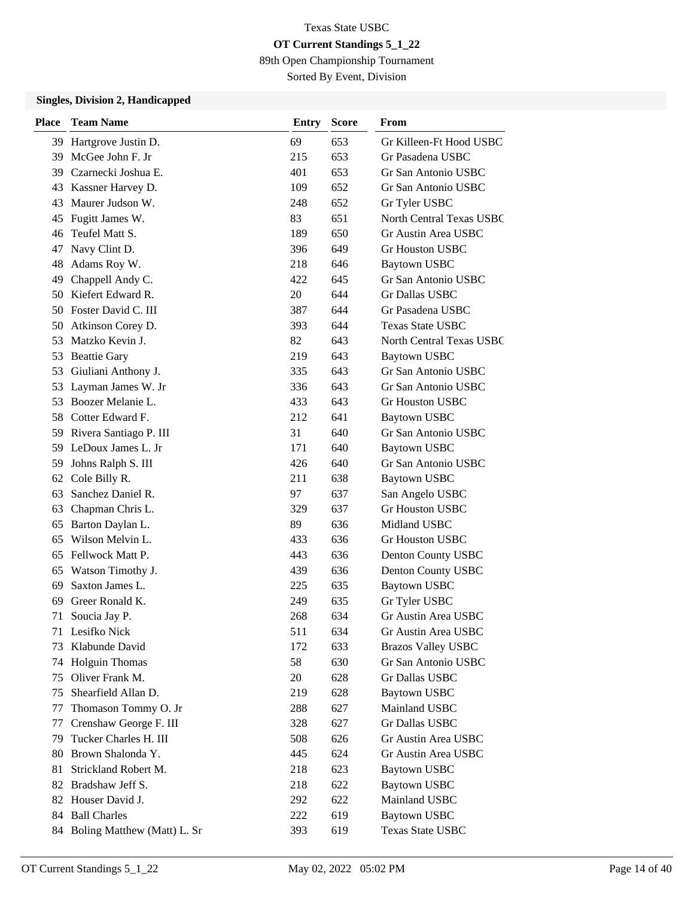89th Open Championship Tournament

Sorted By Event, Division

| <b>Place</b> | <b>Team Name</b>               | Entry | <b>Score</b> | From                            |
|--------------|--------------------------------|-------|--------------|---------------------------------|
| 39           | Hartgrove Justin D.            | 69    | 653          | Gr Killeen-Ft Hood USBC         |
| 39           | McGee John F. Jr               | 215   | 653          | Gr Pasadena USBC                |
| 39           | Czarnecki Joshua E.            | 401   | 653          | Gr San Antonio USBC             |
| 43           | Kassner Harvey D.              | 109   | 652          | Gr San Antonio USBC             |
| 43           | Maurer Judson W.               | 248   | 652          | Gr Tyler USBC                   |
| 45           | Fugitt James W.                | 83    | 651          | <b>North Central Texas USBC</b> |
| 46           | Teufel Matt S.                 | 189   | 650          | Gr Austin Area USBC             |
| 47           | Navy Clint D.                  | 396   | 649          | <b>Gr Houston USBC</b>          |
| 48           | Adams Roy W.                   | 218   | 646          | <b>Baytown USBC</b>             |
| 49           | Chappell Andy C.               | 422   | 645          | Gr San Antonio USBC             |
| 50           | Kiefert Edward R.              | 20    | 644          | Gr Dallas USBC                  |
|              | 50 Foster David C. III         | 387   | 644          | Gr Pasadena USBC                |
| 50           | Atkinson Corey D.              | 393   | 644          | <b>Texas State USBC</b>         |
| 53           | Matzko Kevin J.                | 82    | 643          | <b>North Central Texas USBC</b> |
| 53           | <b>Beattie Gary</b>            | 219   | 643          | Baytown USBC                    |
| 53           | Giuliani Anthony J.            | 335   | 643          | Gr San Antonio USBC             |
| 53           | Layman James W. Jr             | 336   | 643          | Gr San Antonio USBC             |
| 53           | Boozer Melanie L.              | 433   | 643          | <b>Gr Houston USBC</b>          |
|              | 58 Cotter Edward F.            | 212   | 641          | <b>Baytown USBC</b>             |
|              | 59 Rivera Santiago P. III      | 31    | 640          | Gr San Antonio USBC             |
| 59           | LeDoux James L. Jr             | 171   | 640          | <b>Baytown USBC</b>             |
| 59           | Johns Ralph S. III             | 426   | 640          | Gr San Antonio USBC             |
| 62           | Cole Billy R.                  | 211   | 638          | <b>Baytown USBC</b>             |
| 63           | Sanchez Daniel R.              | 97    | 637          | San Angelo USBC                 |
| 63           | Chapman Chris L.               | 329   | 637          | <b>Gr Houston USBC</b>          |
| 65           | Barton Daylan L.               | 89    | 636          | Midland USBC                    |
| 65           | Wilson Melvin L.               | 433   | 636          | <b>Gr Houston USBC</b>          |
| 65           | Fellwock Matt P.               | 443   | 636          | Denton County USBC              |
| 65           | Watson Timothy J.              | 439   | 636          | Denton County USBC              |
| 69           | Saxton James L.                | 225   | 635          | Baytown USBC                    |
| 69           | Greer Ronald K.                | 249   | 635          | Gr Tyler USBC                   |
| 71           | Soucia Jay P.                  | 268   | 634          | Gr Austin Area USBC             |
| 71           | Lesifko Nick                   | 511   | 634          | Gr Austin Area USBC             |
| 73           | Klabunde David                 | 172   | 633          | <b>Brazos Valley USBC</b>       |
| 74           | <b>Holguin Thomas</b>          | 58    | 630          | Gr San Antonio USBC             |
| 75           | Oliver Frank M.                | 20    | 628          | Gr Dallas USBC                  |
| 75           | Shearfield Allan D.            | 219   | 628          | <b>Baytown USBC</b>             |
| 77           | Thomason Tommy O. Jr           | 288   | 627          | Mainland USBC                   |
| 77           | Crenshaw George F. III         | 328   | 627          | Gr Dallas USBC                  |
| 79           | Tucker Charles H. III          | 508   | 626          | Gr Austin Area USBC             |
| 80           | Brown Shalonda Y.              | 445   | 624          | Gr Austin Area USBC             |
| 81           | Strickland Robert M.           | 218   | 623          | <b>Baytown USBC</b>             |
|              | 82 Bradshaw Jeff S.            | 218   | 622          | <b>Baytown USBC</b>             |
|              | 82 Houser David J.             | 292   | 622          | Mainland USBC                   |
|              | 84 Ball Charles                | 222   | 619          | <b>Baytown USBC</b>             |
|              | 84 Boling Matthew (Matt) L. Sr | 393   | 619          | Texas State USBC                |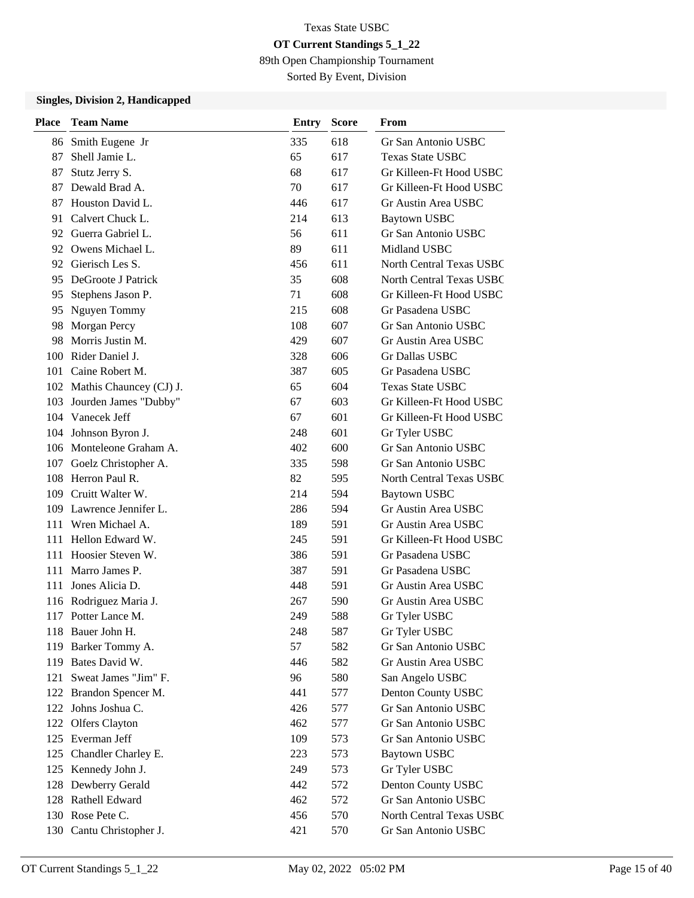89th Open Championship Tournament

Sorted By Event, Division

| <b>Place</b> | <b>Team Name</b>            | <b>Entry</b> | <b>Score</b> | From                     |
|--------------|-----------------------------|--------------|--------------|--------------------------|
|              | 86 Smith Eugene Jr          | 335          | 618          | Gr San Antonio USBC      |
| 87           | Shell Jamie L.              | 65           | 617          | <b>Texas State USBC</b>  |
| 87           | Stutz Jerry S.              | 68           | 617          | Gr Killeen-Ft Hood USBC  |
| 87           | Dewald Brad A.              | 70           | 617          | Gr Killeen-Ft Hood USBC  |
|              | 87 Houston David L.         | 446          | 617          | Gr Austin Area USBC      |
| 91           | Calvert Chuck L.            | 214          | 613          | Baytown USBC             |
|              | 92 Guerra Gabriel L.        | 56           | 611          | Gr San Antonio USBC      |
|              | 92 Owens Michael L.         | 89           | 611          | Midland USBC             |
|              | 92 Gierisch Les S.          | 456          | 611          | North Central Texas USBC |
| 95           | DeGroote J Patrick          | 35           | 608          | North Central Texas USBC |
| 95           | Stephens Jason P.           | 71           | 608          | Gr Killeen-Ft Hood USBC  |
| 95           | Nguyen Tommy                | 215          | 608          | Gr Pasadena USBC         |
| 98           | Morgan Percy                | 108          | 607          | Gr San Antonio USBC      |
| 98           | Morris Justin M.            | 429          | 607          | Gr Austin Area USBC      |
|              | 100 Rider Daniel J.         | 328          | 606          | Gr Dallas USBC           |
| 101          | Caine Robert M.             | 387          | 605          | Gr Pasadena USBC         |
|              | 102 Mathis Chauncey (CJ) J. | 65           | 604          | <b>Texas State USBC</b>  |
|              | 103 Jourden James "Dubby"   | 67           | 603          | Gr Killeen-Ft Hood USBC  |
|              | 104 Vanecek Jeff            | 67           | 601          | Gr Killeen-Ft Hood USBC  |
|              | 104 Johnson Byron J.        | 248          | 601          | Gr Tyler USBC            |
|              | 106 Monteleone Graham A.    | 402          | 600          | Gr San Antonio USBC      |
|              | 107 Goelz Christopher A.    | 335          | 598          | Gr San Antonio USBC      |
|              | 108 Herron Paul R.          | 82           | 595          | North Central Texas USBC |
|              | 109 Cruitt Walter W.        | 214          | 594          | Baytown USBC             |
|              | 109 Lawrence Jennifer L.    | 286          | 594          | Gr Austin Area USBC      |
| 111          | Wren Michael A.             | 189          | 591          | Gr Austin Area USBC      |
|              | 111 Hellon Edward W.        | 245          | 591          | Gr Killeen-Ft Hood USBC  |
| 111          | Hoosier Steven W.           | 386          | 591          | Gr Pasadena USBC         |
|              | 111 Marro James P.          | 387          | 591          | Gr Pasadena USBC         |
| 111          | Jones Alicia D.             | 448          | 591          | Gr Austin Area USBC      |
|              | 116 Rodriguez Maria J.      | 267          | 590          | Gr Austin Area USBC      |
|              | 117 Potter Lance M.         | 249          | 588          | Gr Tyler USBC            |
|              | 118 Bauer John H.           | 248          | 587          | Gr Tyler USBC            |
|              | 119 Barker Tommy A.         | 57           | 582          | Gr San Antonio USBC      |
|              | 119 Bates David W.          | 446          | 582          | Gr Austin Area USBC      |
|              | 121 Sweat James "Jim" F.    | 96           | 580          | San Angelo USBC          |
|              | 122 Brandon Spencer M.      | 441          | 577          | Denton County USBC       |
|              | 122 Johns Joshua C.         | 426          | 577          | Gr San Antonio USBC      |
|              | 122 Olfers Clayton          | 462          | 577          | Gr San Antonio USBC      |
|              | 125 Everman Jeff            | 109          | 573          | Gr San Antonio USBC      |
|              | 125 Chandler Charley E.     | 223          | 573          | <b>Baytown USBC</b>      |
|              | 125 Kennedy John J.         | 249          | 573          | Gr Tyler USBC            |
|              | 128 Dewberry Gerald         | 442          | 572          | Denton County USBC       |
|              | 128 Rathell Edward          | 462          | 572          | Gr San Antonio USBC      |
|              | 130 Rose Pete C.            | 456          | 570          | North Central Texas USBC |
|              | 130 Cantu Christopher J.    | 421          | 570          | Gr San Antonio USBC      |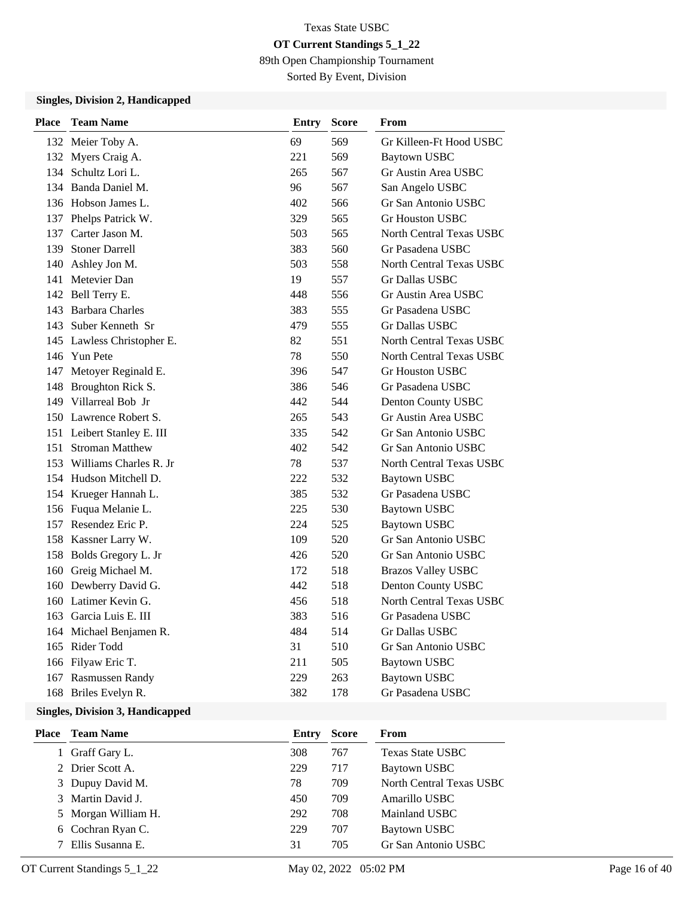89th Open Championship Tournament

Sorted By Event, Division

### **Singles, Division 2, Handicapped**

| <b>Place</b> | <b>Team Name</b>           | <b>Entry</b> | Score | From                            |
|--------------|----------------------------|--------------|-------|---------------------------------|
|              | 132 Meier Toby A.          | 69           | 569   | Gr Killeen-Ft Hood USBC         |
|              | 132 Myers Craig A.         | 221          | 569   | Baytown USBC                    |
|              | 134 Schultz Lori L.        | 265          | 567   | Gr Austin Area USBC             |
|              | 134 Banda Daniel M.        | 96           | 567   | San Angelo USBC                 |
|              | 136 Hobson James L.        | 402          | 566   | Gr San Antonio USBC             |
|              | 137 Phelps Patrick W.      | 329          | 565   | <b>Gr Houston USBC</b>          |
|              | 137 Carter Jason M.        | 503          | 565   | North Central Texas USBC        |
| 139          | <b>Stoner Darrell</b>      | 383          | 560   | Gr Pasadena USBC                |
|              | 140 Ashley Jon M.          | 503          | 558   | <b>North Central Texas USBC</b> |
|              | 141 Metevier Dan           | 19           | 557   | <b>Gr Dallas USBC</b>           |
|              | 142 Bell Terry E.          | 448          | 556   | Gr Austin Area USBC             |
|              | 143 Barbara Charles        | 383          | 555   | Gr Pasadena USBC                |
|              | 143 Suber Kenneth Sr       | 479          | 555   | <b>Gr Dallas USBC</b>           |
|              | 145 Lawless Christopher E. | 82           | 551   | North Central Texas USBC        |
|              | 146 Yun Pete               | 78           | 550   | North Central Texas USBC        |
|              | 147 Metoyer Reginald E.    | 396          | 547   | <b>Gr Houston USBC</b>          |
|              | 148 Broughton Rick S.      | 386          | 546   | Gr Pasadena USBC                |
|              | 149 Villarreal Bob Jr      | 442          | 544   | Denton County USBC              |
|              | 150 Lawrence Robert S.     | 265          | 543   | Gr Austin Area USBC             |
|              | 151 Leibert Stanley E. III | 335          | 542   | Gr San Antonio USBC             |
|              | 151 Stroman Matthew        | 402          | 542   | Gr San Antonio USBC             |
|              | 153 Williams Charles R. Jr | 78           | 537   | North Central Texas USBC        |
|              | 154 Hudson Mitchell D.     | 222          | 532   | <b>Baytown USBC</b>             |
|              | 154 Krueger Hannah L.      | 385          | 532   | Gr Pasadena USBC                |
|              | 156 Fuqua Melanie L.       | 225          | 530   | <b>Baytown USBC</b>             |
|              | 157 Resendez Eric P.       | 224          | 525   | <b>Baytown USBC</b>             |
|              | 158 Kassner Larry W.       | 109          | 520   | Gr San Antonio USBC             |
|              | 158 Bolds Gregory L. Jr    | 426          | 520   | Gr San Antonio USBC             |
|              | 160 Greig Michael M.       | 172          | 518   | <b>Brazos Valley USBC</b>       |
|              | 160 Dewberry David G.      | 442          | 518   | Denton County USBC              |
|              | 160 Latimer Kevin G.       | 456          | 518   | North Central Texas USBC        |
|              | 163 Garcia Luis E. III     | 383          | 516   | Gr Pasadena USBC                |
|              | 164 Michael Benjamen R.    | 484          | 514   | Gr Dallas USBC                  |
|              | 165 Rider Todd             | 31           | 510   | Gr San Antonio USBC             |
|              | 166 Filyaw Eric T.         | 211          | 505   | <b>Baytown USBC</b>             |
|              | 167 Rasmussen Randy        | 229          | 263   | Baytown USBC                    |
|              | 168 Briles Evelyn R.       | 382          | 178   | Gr Pasadena USBC                |

| Place Team Name     | Entry | <b>Score</b> | From                     |
|---------------------|-------|--------------|--------------------------|
| 1 Graff Gary L.     | 308   | 767          | <b>Texas State USBC</b>  |
| 2 Drier Scott A.    | 229   | 717          | Baytown USBC             |
| 3 Dupuy David M.    | 78    | 709          | North Central Texas USBC |
| 3 Martin David J.   | 450   | 709          | Amarillo USBC            |
| 5 Morgan William H. | 292   | 708          | Mainland USBC            |
| 6 Cochran Ryan C.   | 229   | 707          | Baytown USBC             |
| 7 Ellis Susanna E.  | 31    | 705          | Gr San Antonio USBC      |
|                     |       |              |                          |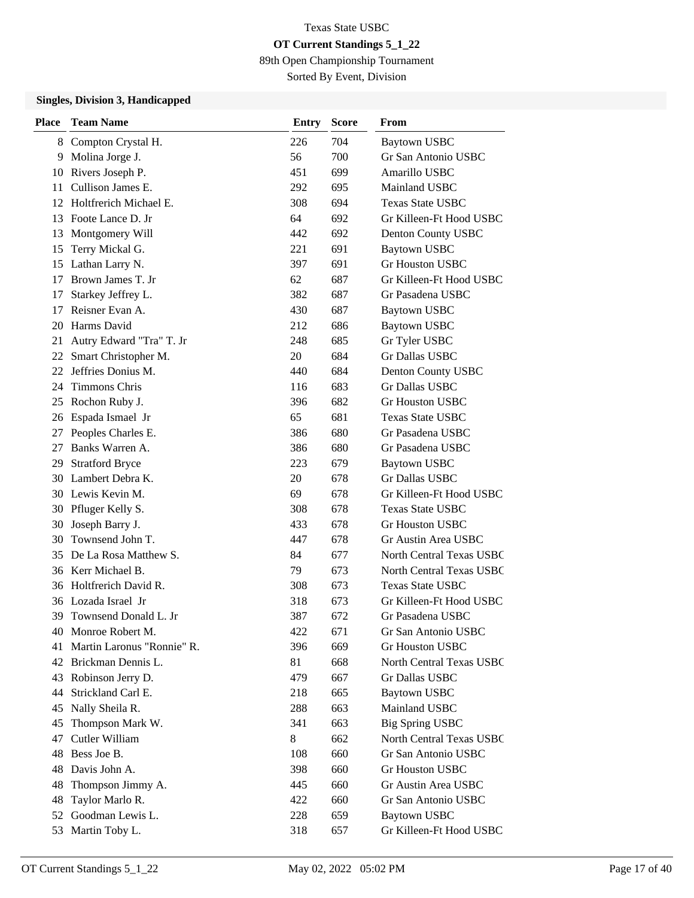89th Open Championship Tournament

Sorted By Event, Division

| <b>Place</b> | <b>Team Name</b>           | <b>Entry</b> | <b>Score</b> | From                     |
|--------------|----------------------------|--------------|--------------|--------------------------|
|              | 8 Compton Crystal H.       | 226          | 704          | <b>Baytown USBC</b>      |
| 9            | Molina Jorge J.            | 56           | 700          | Gr San Antonio USBC      |
| 10           | Rivers Joseph P.           | 451          | 699          | Amarillo USBC            |
| 11           | Cullison James E.          | 292          | 695          | Mainland USBC            |
| 12           | Holtfrerich Michael E.     | 308          | 694          | <b>Texas State USBC</b>  |
| 13           | Foote Lance D. Jr          | 64           | 692          | Gr Killeen-Ft Hood USBC  |
| 13           | Montgomery Will            | 442          | 692          | Denton County USBC       |
| 15           | Terry Mickal G.            | 221          | 691          | <b>Baytown USBC</b>      |
| 15           | Lathan Larry N.            | 397          | 691          | <b>Gr Houston USBC</b>   |
| 17           | Brown James T. Jr          | 62           | 687          | Gr Killeen-Ft Hood USBC  |
| 17           | Starkey Jeffrey L.         | 382          | 687          | Gr Pasadena USBC         |
| 17           | Reisner Evan A.            | 430          | 687          | <b>Baytown USBC</b>      |
| 20           | Harms David                | 212          | 686          | <b>Baytown USBC</b>      |
| 21           | Autry Edward "Tra" T. Jr   | 248          | 685          | Gr Tyler USBC            |
| 22           | Smart Christopher M.       | 20           | 684          | Gr Dallas USBC           |
| 22           | Jeffries Donius M.         | 440          | 684          | Denton County USBC       |
| 24           | Timmons Chris              | 116          | 683          | Gr Dallas USBC           |
| 25           | Rochon Ruby J.             | 396          | 682          | <b>Gr Houston USBC</b>   |
| 26           | Espada Ismael Jr           | 65           | 681          | <b>Texas State USBC</b>  |
| 27           | Peoples Charles E.         | 386          | 680          | Gr Pasadena USBC         |
| 27           | Banks Warren A.            | 386          | 680          | Gr Pasadena USBC         |
| 29           | <b>Stratford Bryce</b>     | 223          | 679          | <b>Baytown USBC</b>      |
| 30           | Lambert Debra K.           | 20           | 678          | Gr Dallas USBC           |
|              | 30 Lewis Kevin M.          | 69           | 678          | Gr Killeen-Ft Hood USBC  |
| 30           | Pfluger Kelly S.           | 308          | 678          | <b>Texas State USBC</b>  |
| 30           | Joseph Barry J.            | 433          | 678          | <b>Gr Houston USBC</b>   |
| 30           | Townsend John T.           | 447          | 678          | Gr Austin Area USBC      |
| 35           | De La Rosa Matthew S.      | 84           | 677          | North Central Texas USBC |
|              | 36 Kerr Michael B.         | 79           | 673          | North Central Texas USBC |
| 36           | Holtfrerich David R.       | 308          | 673          | <b>Texas State USBC</b>  |
| 36           | Lozada Israel Jr           | 318          | 673          | Gr Killeen-Ft Hood USBC  |
| 39           | Townsend Donald L. Jr      | 387          | 672          | Gr Pasadena USBC         |
| 40           | Monroe Robert M.           | 422          | 671          | Gr San Antonio USBC      |
| 41           | Martin Laronus "Ronnie" R. | 396          | 669          | Gr Houston USBC          |
| 42           | Brickman Dennis L.         | 81           | 668          | North Central Texas USBC |
| 43           | Robinson Jerry D.          | 479          | 667          | Gr Dallas USBC           |
| 44           | Strickland Carl E.         | 218          | 665          | <b>Baytown USBC</b>      |
| 45           | Nally Sheila R.            | 288          | 663          | Mainland USBC            |
| 45           | Thompson Mark W.           | 341          | 663          | <b>Big Spring USBC</b>   |
| 47           | Cutler William             | 8            | 662          | North Central Texas USBC |
| 48           | Bess Joe B.                | 108          | 660          | Gr San Antonio USBC      |
| 48           | Davis John A.              | 398          | 660          | Gr Houston USBC          |
| 48           | Thompson Jimmy A.          | 445          | 660          | Gr Austin Area USBC      |
| 48           | Taylor Marlo R.            | 422          | 660          | Gr San Antonio USBC      |
| 52           | Goodman Lewis L.           | 228          | 659          | <b>Baytown USBC</b>      |
| 53           | Martin Toby L.             | 318          | 657          | Gr Killeen-Ft Hood USBC  |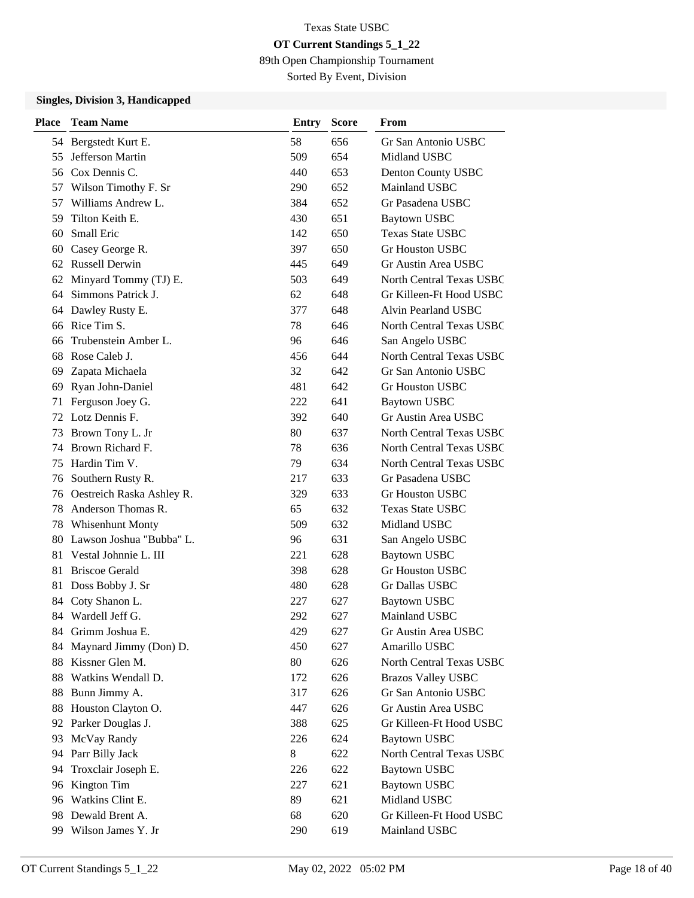89th Open Championship Tournament

Sorted By Event, Division

| <b>Place</b> | <b>Team Name</b>             | <b>Entry</b> | <b>Score</b> | From                            |
|--------------|------------------------------|--------------|--------------|---------------------------------|
|              | 54 Bergstedt Kurt E.         | 58           | 656          | Gr San Antonio USBC             |
| 55           | Jefferson Martin             | 509          | 654          | Midland USBC                    |
|              | 56 Cox Dennis C.             | 440          | 653          | Denton County USBC              |
|              | 57 Wilson Timothy F. Sr      | 290          | 652          | Mainland USBC                   |
| 57           | Williams Andrew L.           | 384          | 652          | Gr Pasadena USBC                |
| 59           | Tilton Keith E.              | 430          | 651          | <b>Baytown USBC</b>             |
| 60           | Small Eric                   | 142          | 650          | Texas State USBC                |
| 60           | Casey George R.              | 397          | 650          | <b>Gr Houston USBC</b>          |
|              | 62 Russell Derwin            | 445          | 649          | Gr Austin Area USBC             |
| 62           | Minyard Tommy (TJ) E.        | 503          | 649          | <b>North Central Texas USBC</b> |
| 64           | Simmons Patrick J.           | 62           | 648          | Gr Killeen-Ft Hood USBC         |
| 64           | Dawley Rusty E.              | 377          | 648          | Alvin Pearland USBC             |
| 66           | Rice Tim S.                  | 78           | 646          | North Central Texas USBC        |
| 66           | Trubenstein Amber L.         | 96           | 646          | San Angelo USBC                 |
| 68           | Rose Caleb J.                | 456          | 644          | <b>North Central Texas USBC</b> |
| 69           | Zapata Michaela              | 32           | 642          | Gr San Antonio USBC             |
| 69           | Ryan John-Daniel             | 481          | 642          | Gr Houston USBC                 |
| 71           | Ferguson Joey G.             | 222          | 641          | <b>Baytown USBC</b>             |
|              | 72 Lotz Dennis F.            | 392          | 640          | Gr Austin Area USBC             |
| 73           | Brown Tony L. Jr             | 80           | 637          | <b>North Central Texas USBC</b> |
| 74           | Brown Richard F.             | 78           | 636          | <b>North Central Texas USBC</b> |
| 75           | Hardin Tim V.                | 79           | 634          | <b>North Central Texas USBC</b> |
| 76           | Southern Rusty R.            | 217          | 633          | Gr Pasadena USBC                |
|              | 76 Oestreich Raska Ashley R. | 329          | 633          | <b>Gr Houston USBC</b>          |
| 78           | Anderson Thomas R.           | 65           | 632          | <b>Texas State USBC</b>         |
| 78           | <b>Whisenhunt Monty</b>      | 509          | 632          | Midland USBC                    |
| 80           | Lawson Joshua "Bubba" L.     | 96           | 631          | San Angelo USBC                 |
| 81           | Vestal Johnnie L. III        | 221          | 628          | <b>Baytown USBC</b>             |
| 81           | <b>Briscoe Gerald</b>        | 398          | 628          | Gr Houston USBC                 |
| 81           | Doss Bobby J. Sr             | 480          | 628          | Gr Dallas USBC                  |
| 84           | Coty Shanon L.               | 227          | 627          | Baytown USBC                    |
| 84           | Wardell Jeff G.              | 292          | 627          | Mainland USBC                   |
|              | 84 Grimm Joshua E.           | 429          | 627          | Gr Austin Area USBC             |
| 84           | Maynard Jimmy (Don) D.       | 450          | 627          | Amarillo USBC                   |
| 88           | Kissner Glen M.              | 80           | 626          | North Central Texas USBC        |
| 88           | Watkins Wendall D.           | 172          | 626          | <b>Brazos Valley USBC</b>       |
| 88           | Bunn Jimmy A.                | 317          | 626          | Gr San Antonio USBC             |
| 88           | Houston Clayton O.           | 447          | 626          | Gr Austin Area USBC             |
| 92           | Parker Douglas J.            | 388          | 625          | Gr Killeen-Ft Hood USBC         |
| 93           | McVay Randy                  | 226          | 624          | <b>Baytown USBC</b>             |
| 94           | Parr Billy Jack              | 8            | 622          | North Central Texas USBC        |
| 94           | Troxclair Joseph E.          | 226          | 622          | <b>Baytown USBC</b>             |
| 96           | Kington Tim                  | 227          | 621          | <b>Baytown USBC</b>             |
|              | 96 Watkins Clint E.          | 89           | 621          | Midland USBC                    |
|              | 98 Dewald Brent A.           | 68           | 620          | Gr Killeen-Ft Hood USBC         |
|              | 99 Wilson James Y. Jr        | 290          | 619          | Mainland USBC                   |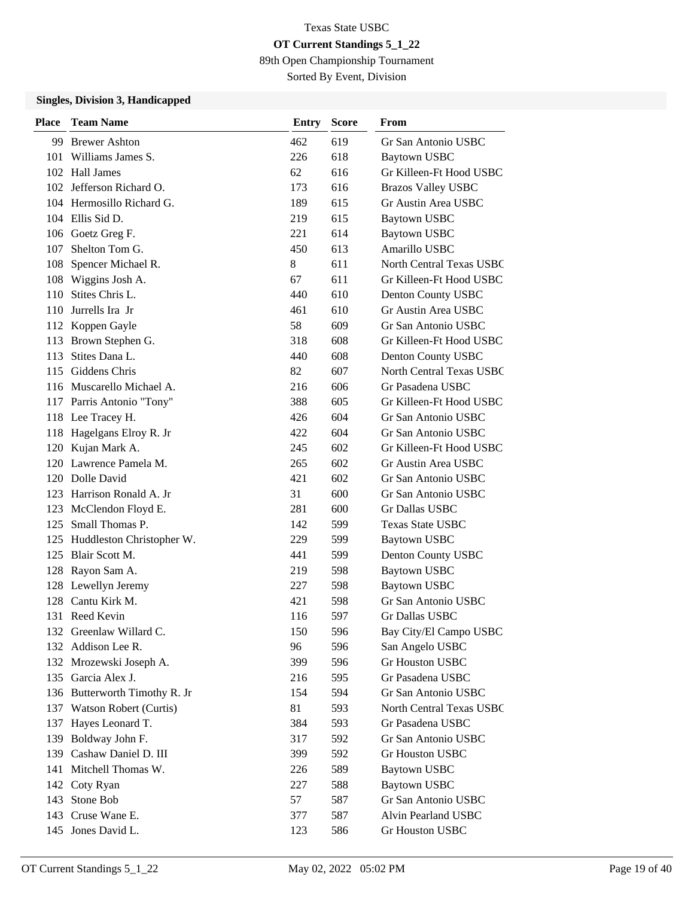89th Open Championship Tournament

Sorted By Event, Division

| <b>Place</b> | <b>Team Name</b>              | <b>Entry</b> | <b>Score</b> | From                            |
|--------------|-------------------------------|--------------|--------------|---------------------------------|
|              | 99 Brewer Ashton              | 462          | 619          | Gr San Antonio USBC             |
|              | 101 Williams James S.         | 226          | 618          | <b>Baytown USBC</b>             |
|              | 102 Hall James                | 62           | 616          | Gr Killeen-Ft Hood USBC         |
|              | 102 Jefferson Richard O.      | 173          | 616          | <b>Brazos Valley USBC</b>       |
|              | 104 Hermosillo Richard G.     | 189          | 615          | Gr Austin Area USBC             |
|              | 104 Ellis Sid D.              | 219          | 615          | <b>Baytown USBC</b>             |
|              | 106 Goetz Greg F.             | 221          | 614          | <b>Baytown USBC</b>             |
| 107          | Shelton Tom G.                | 450          | 613          | Amarillo USBC                   |
|              | 108 Spencer Michael R.        | 8            | 611          | <b>North Central Texas USBC</b> |
| 108          | Wiggins Josh A.               | 67           | 611          | Gr Killeen-Ft Hood USBC         |
| 110          | Stites Chris L.               | 440          | 610          | Denton County USBC              |
| 110          | Jurrells Ira Jr               | 461          | 610          | Gr Austin Area USBC             |
|              | 112 Koppen Gayle              | 58           | 609          | Gr San Antonio USBC             |
| 113          | Brown Stephen G.              | 318          | 608          | Gr Killeen-Ft Hood USBC         |
| 113          | Stites Dana L.                | 440          | 608          | Denton County USBC              |
|              | 115 Giddens Chris             | 82           | 607          | North Central Texas USBC        |
|              | 116 Muscarello Michael A.     | 216          | 606          | Gr Pasadena USBC                |
|              | 117 Parris Antonio "Tony"     | 388          | 605          | Gr Killeen-Ft Hood USBC         |
|              | 118 Lee Tracey H.             | 426          | 604          | Gr San Antonio USBC             |
|              | 118 Hagelgans Elroy R. Jr     | 422          | 604          | Gr San Antonio USBC             |
|              | 120 Kujan Mark A.             | 245          | 602          | Gr Killeen-Ft Hood USBC         |
|              | 120 Lawrence Pamela M.        | 265          | 602          | Gr Austin Area USBC             |
|              | 120 Dolle David               | 421          | 602          | Gr San Antonio USBC             |
|              | 123 Harrison Ronald A. Jr     | 31           | 600          | Gr San Antonio USBC             |
|              | 123 McClendon Floyd E.        | 281          | 600          | <b>Gr Dallas USBC</b>           |
|              | 125 Small Thomas P.           | 142          | 599          | <b>Texas State USBC</b>         |
| 125          | Huddleston Christopher W.     | 229          | 599          | <b>Baytown USBC</b>             |
|              | 125 Blair Scott M.            | 441          | 599          | Denton County USBC              |
|              | 128 Rayon Sam A.              | 219          | 598          | <b>Baytown USBC</b>             |
|              | 128 Lewellyn Jeremy           | 227          | 598          | Baytown USBC                    |
|              | 128 Cantu Kirk M.             | 421          | 598          | Gr San Antonio USBC             |
|              | 131 Reed Kevin                | 116          | 597          | Gr Dallas USBC                  |
|              | 132 Greenlaw Willard C.       | 150          | 596          | Bay City/El Campo USBC          |
|              | 132 Addison Lee R.            | 96           | 596          | San Angelo USBC                 |
|              | 132 Mrozewski Joseph A.       | 399          | 596          | Gr Houston USBC                 |
|              | 135 Garcia Alex J.            | 216          | 595          | Gr Pasadena USBC                |
|              | 136 Butterworth Timothy R. Jr | 154          | 594          | Gr San Antonio USBC             |
|              | 137 Watson Robert (Curtis)    | 81           | 593          | North Central Texas USBC        |
| 137          | Hayes Leonard T.              | 384          | 593          | Gr Pasadena USBC                |
|              | 139 Boldway John F.           | 317          | 592          | Gr San Antonio USBC             |
|              | 139 Cashaw Daniel D. III      | 399          | 592          | Gr Houston USBC                 |
|              | 141 Mitchell Thomas W.        | 226          | 589          | <b>Baytown USBC</b>             |
|              | 142 Coty Ryan                 | 227          | 588          | <b>Baytown USBC</b>             |
| 143          | Stone Bob                     | 57           | 587          | Gr San Antonio USBC             |
|              | 143 Cruse Wane E.             | 377          | 587          | Alvin Pearland USBC             |
|              | 145 Jones David L.            | 123          | 586          | Gr Houston USBC                 |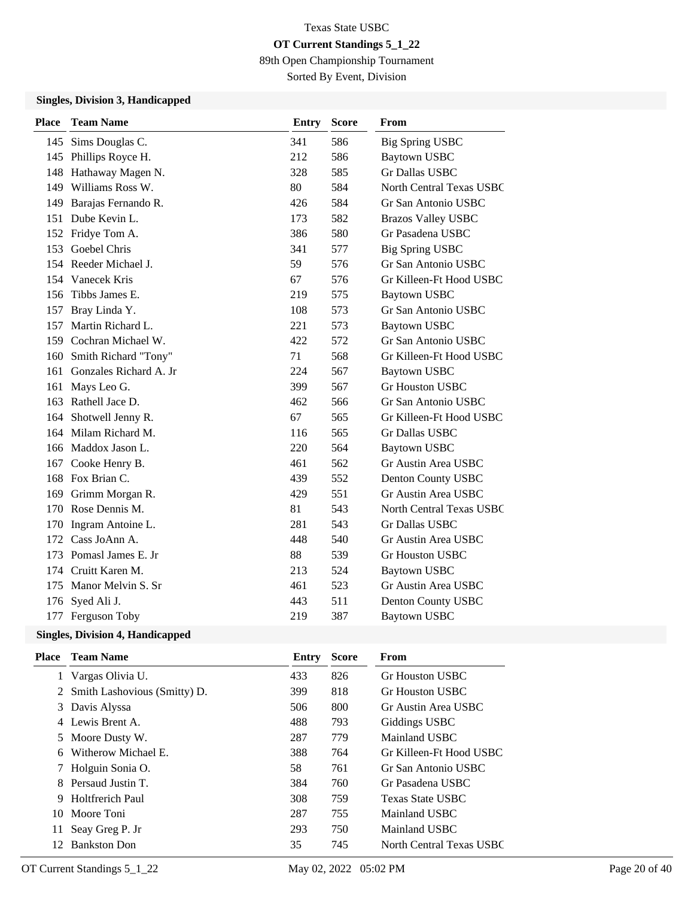89th Open Championship Tournament

Sorted By Event, Division

### **Singles, Division 3, Handicapped**

| <b>Place</b> | <b>Team Name</b>       | <b>Entry</b> | <b>Score</b> | From                      |
|--------------|------------------------|--------------|--------------|---------------------------|
|              | 145 Sims Douglas C.    | 341          | 586          | <b>Big Spring USBC</b>    |
| 145          | Phillips Royce H.      | 212          | 586          | <b>Baytown USBC</b>       |
| 148          | Hathaway Magen N.      | 328          | 585          | <b>Gr Dallas USBC</b>     |
| 149          | Williams Ross W.       | 80           | 584          | North Central Texas USBC  |
| 149          | Barajas Fernando R.    | 426          | 584          | Gr San Antonio USBC       |
| 151          | Dube Kevin L.          | 173          | 582          | <b>Brazos Valley USBC</b> |
| 152          | Fridye Tom A.          | 386          | 580          | Gr Pasadena USBC          |
| 153          | Goebel Chris           | 341          | 577          | <b>Big Spring USBC</b>    |
|              | 154 Reeder Michael J.  | 59           | 576          | Gr San Antonio USBC       |
|              | 154 Vanecek Kris       | 67           | 576          | Gr Killeen-Ft Hood USBC   |
| 156          | Tibbs James E.         | 219          | 575          | <b>Baytown USBC</b>       |
| 157          | Bray Linda Y.          | 108          | 573          | Gr San Antonio USBC       |
| 157          | Martin Richard L.      | 221          | 573          | <b>Baytown USBC</b>       |
|              | 159 Cochran Michael W. | 422          | 572          | Gr San Antonio USBC       |
| 160          | Smith Richard "Tony"   | 71           | 568          | Gr Killeen-Ft Hood USBC   |
| 161          | Gonzales Richard A. Jr | 224          | 567          | <b>Baytown USBC</b>       |
| 161          | Mays Leo G.            | 399          | 567          | <b>Gr Houston USBC</b>    |
| 163          | Rathell Jace D.        | 462          | 566          | Gr San Antonio USBC       |
|              | 164 Shotwell Jenny R.  | 67           | 565          | Gr Killeen-Ft Hood USBC   |
| 164          | Milam Richard M.       | 116          | 565          | Gr Dallas USBC            |
| 166          | Maddox Jason L.        | 220          | 564          | <b>Baytown USBC</b>       |
| 167          | Cooke Henry B.         | 461          | 562          | Gr Austin Area USBC       |
|              | 168 Fox Brian C.       | 439          | 552          | Denton County USBC        |
| 169          | Grimm Morgan R.        | 429          | 551          | Gr Austin Area USBC       |
|              | 170 Rose Dennis M.     | 81           | 543          | North Central Texas USBC  |
| 170          | Ingram Antoine L.      | 281          | 543          | <b>Gr Dallas USBC</b>     |
|              | 172 Cass JoAnn A.      | 448          | 540          | Gr Austin Area USBC       |
| 173          | Pomasl James E. Jr     | 88           | 539          | <b>Gr Houston USBC</b>    |
| 174          | Cruitt Karen M.        | 213          | 524          | <b>Baytown USBC</b>       |
| 175          | Manor Melvin S. Sr     | 461          | 523          | Gr Austin Area USBC       |
| 176          | Syed Ali J.            | 443          | 511          | Denton County USBC        |
|              | 177 Ferguson Toby      | 219          | 387          | <b>Baytown USBC</b>       |
|              |                        |              |              |                           |

| Place | <b>Team Name</b>               | Entry | <b>Score</b> | From                     |
|-------|--------------------------------|-------|--------------|--------------------------|
|       | Vargas Olivia U.               | 433   | 826          | Gr Houston USBC          |
|       | 2 Smith Lashovious (Smitty) D. | 399   | 818          | <b>Gr Houston USBC</b>   |
|       | 3 Davis Alyssa                 | 506   | 800          | Gr Austin Area USBC      |
|       | 4 Lewis Brent A.               | 488   | 793          | Giddings USBC            |
|       | 5 Moore Dusty W.               | 287   | 779          | Mainland USBC            |
| 6.    | Witherow Michael E.            | 388   | 764          | Gr Killeen-Ft Hood USBC  |
|       | Holguin Sonia O.               | 58    | 761          | Gr San Antonio USBC      |
| 8.    | Persaud Justin T.              | 384   | 760          | Gr Pasadena USBC         |
| 9     | Holtfrerich Paul               | 308   | 759          | <b>Texas State USBC</b>  |
| 10    | Moore Toni                     | 287   | 755          | Mainland USBC            |
| 11.   | Seay Greg P. Jr                | 293   | 750          | Mainland USBC            |
| 12    | <b>Bankston Don</b>            | 35    | 745          | North Central Texas USBC |
|       |                                |       |              |                          |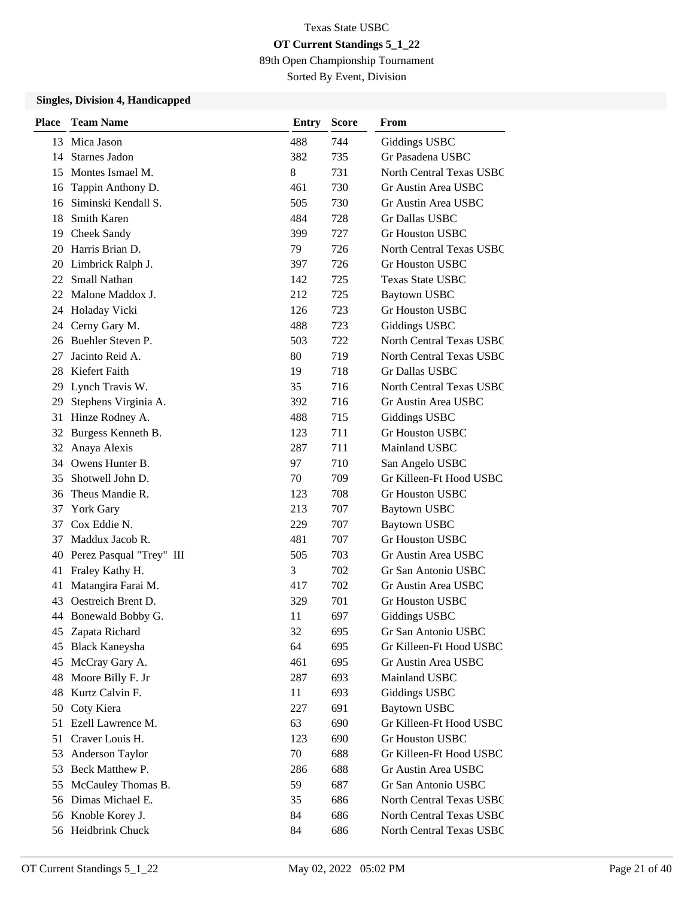89th Open Championship Tournament

Sorted By Event, Division

| <b>Place</b> | <b>Team Name</b>         | <b>Entry</b> | <b>Score</b> | From                            |
|--------------|--------------------------|--------------|--------------|---------------------------------|
|              | 13 Mica Jason            | 488          | 744          | <b>Giddings USBC</b>            |
|              | 14 Starnes Jadon         | 382          | 735          | Gr Pasadena USBC                |
| 15           | Montes Ismael M.         | 8            | 731          | North Central Texas USBC        |
| 16           | Tappin Anthony D.        | 461          | 730          | Gr Austin Area USBC             |
| 16           | Siminski Kendall S.      | 505          | 730          | Gr Austin Area USBC             |
| 18           | <b>Smith Karen</b>       | 484          | 728          | Gr Dallas USBC                  |
| 19           | Cheek Sandy              | 399          | 727          | <b>Gr Houston USBC</b>          |
| 20           | Harris Brian D.          | 79           | 726          | <b>North Central Texas USBC</b> |
| 20           | Limbrick Ralph J.        | 397          | 726          | <b>Gr Houston USBC</b>          |
| 22           | <b>Small Nathan</b>      | 142          | 725          | <b>Texas State USBC</b>         |
|              | 22 Malone Maddox J.      | 212          | 725          | <b>Baytown USBC</b>             |
| 24           | Holaday Vicki            | 126          | 723          | Gr Houston USBC                 |
|              | 24 Cerny Gary M.         | 488          | 723          | Giddings USBC                   |
|              | 26 Buehler Steven P.     | 503          | 722          | <b>North Central Texas USBC</b> |
| 27           | Jacinto Reid A.          | 80           | 719          | North Central Texas USBC        |
| 28           | Kiefert Faith            | 19           | 718          | Gr Dallas USBC                  |
|              | 29 Lynch Travis W.       | 35           | 716          | North Central Texas USBC        |
| 29           | Stephens Virginia A.     | 392          | 716          | Gr Austin Area USBC             |
| 31           | Hinze Rodney A.          | 488          | 715          | Giddings USBC                   |
| 32           | Burgess Kenneth B.       | 123          | 711          | <b>Gr Houston USBC</b>          |
|              | 32 Anaya Alexis          | 287          | 711          | Mainland USBC                   |
|              | 34 Owens Hunter B.       | 97           | 710          | San Angelo USBC                 |
| 35           | Shotwell John D.         | 70           | 709          | Gr Killeen-Ft Hood USBC         |
| 36           | Theus Mandie R.          | 123          | 708          | <b>Gr Houston USBC</b>          |
| 37           | <b>York Gary</b>         | 213          | 707          | <b>Baytown USBC</b>             |
| 37           | Cox Eddie N.             | 229          | 707          | <b>Baytown USBC</b>             |
| 37           | Maddux Jacob R.          | 481          | 707          | <b>Gr Houston USBC</b>          |
| 40           | Perez Pasqual "Trey" III | 505          | 703          | Gr Austin Area USBC             |
| 41           | Fraley Kathy H.          | 3            | 702          | Gr San Antonio USBC             |
| 41           | Matangira Farai M.       | 417          | 702          | Gr Austin Area USBC             |
| 43           | Oestreich Brent D.       | 329          | 701          | Gr Houston USBC                 |
|              | 44 Bonewald Bobby G.     | 11           | 697          | Giddings USBC                   |
|              | 45 Zapata Richard        | 32           | 695          | Gr San Antonio USBC             |
| 45           | <b>Black Kaneysha</b>    | 64           | 695          | Gr Killeen-Ft Hood USBC         |
| 45           | McCray Gary A.           | 461          | 695          | Gr Austin Area USBC             |
| 48           | Moore Billy F. Jr        | 287          | 693          | Mainland USBC                   |
| 48           | Kurtz Calvin F.          | 11           | 693          | <b>Giddings USBC</b>            |
| 50           | Coty Kiera               | 227          | 691          | <b>Baytown USBC</b>             |
| 51           | Ezell Lawrence M.        | 63           | 690          | Gr Killeen-Ft Hood USBC         |
| 51           | Craver Louis H.          | 123          | 690          | <b>Gr Houston USBC</b>          |
| 53           | Anderson Taylor          | 70           | 688          | Gr Killeen-Ft Hood USBC         |
| 53           | Beck Matthew P.          | 286          | 688          | Gr Austin Area USBC             |
| 55           | McCauley Thomas B.       | 59           | 687          | Gr San Antonio USBC             |
|              | 56 Dimas Michael E.      | 35           | 686          | North Central Texas USBC        |
|              | 56 Knoble Korey J.       | 84           | 686          | North Central Texas USBC        |
|              | 56 Heidbrink Chuck       | 84           | 686          | North Central Texas USBC        |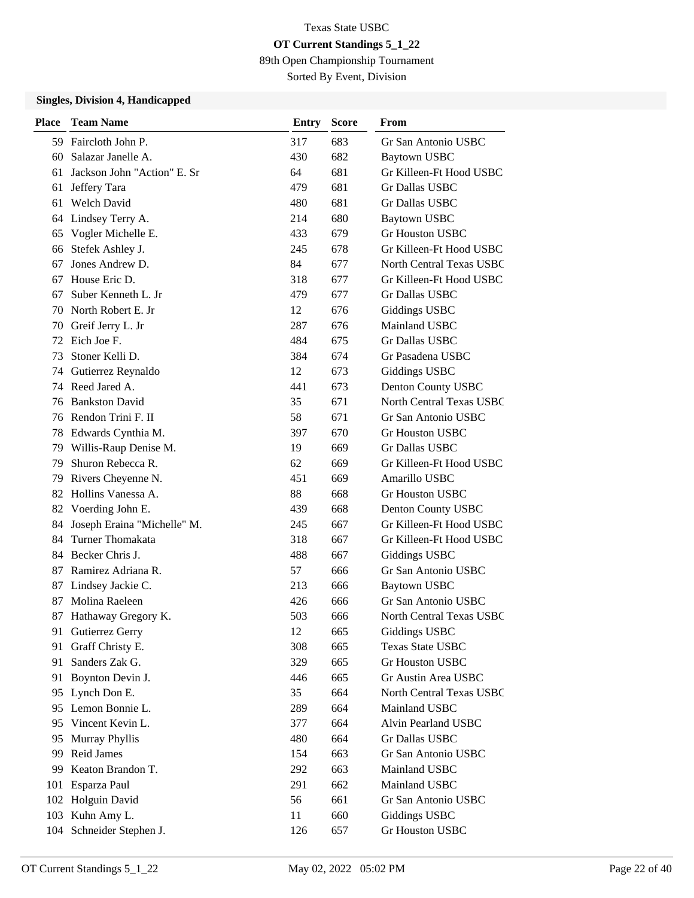89th Open Championship Tournament

Sorted By Event, Division

| <b>Place</b> | <b>Team Name</b>            | Entry | <b>Score</b> | From                            |
|--------------|-----------------------------|-------|--------------|---------------------------------|
|              | 59 Faircloth John P.        | 317   | 683          | Gr San Antonio USBC             |
| 60           | Salazar Janelle A.          | 430   | 682          | <b>Baytown USBC</b>             |
| 61           | Jackson John "Action" E. Sr | 64    | 681          | Gr Killeen-Ft Hood USBC         |
| 61           | Jeffery Tara                | 479   | 681          | <b>Gr Dallas USBC</b>           |
| 61           | <b>Welch David</b>          | 480   | 681          | <b>Gr Dallas USBC</b>           |
| 64           | Lindsey Terry A.            | 214   | 680          | <b>Baytown USBC</b>             |
| 65           | Vogler Michelle E.          | 433   | 679          | <b>Gr Houston USBC</b>          |
| 66           | Stefek Ashley J.            | 245   | 678          | Gr Killeen-Ft Hood USBC         |
| 67           | Jones Andrew D.             | 84    | 677          | <b>North Central Texas USBC</b> |
| 67           | House Eric D.               | 318   | 677          | Gr Killeen-Ft Hood USBC         |
| 67           | Suber Kenneth L. Jr         | 479   | 677          | <b>Gr Dallas USBC</b>           |
| 70           | North Robert E. Jr          | 12    | 676          | Giddings USBC                   |
|              | 70 Greif Jerry L. Jr        | 287   | 676          | Mainland USBC                   |
| 72           | Eich Joe F.                 | 484   | 675          | <b>Gr Dallas USBC</b>           |
| 73           | Stoner Kelli D.             | 384   | 674          | Gr Pasadena USBC                |
|              | 74 Gutierrez Reynaldo       | 12    | 673          | Giddings USBC                   |
|              | 74 Reed Jared A.            | 441   | 673          | Denton County USBC              |
| 76           | <b>Bankston David</b>       | 35    | 671          | North Central Texas USBC        |
|              | 76 Rendon Trini F. II       | 58    | 671          | Gr San Antonio USBC             |
|              | 78 Edwards Cynthia M.       | 397   | 670          | <b>Gr Houston USBC</b>          |
|              | 79 Willis-Raup Denise M.    | 19    | 669          | <b>Gr Dallas USBC</b>           |
| 79           | Shuron Rebecca R.           | 62    | 669          | Gr Killeen-Ft Hood USBC         |
| 79           | Rivers Cheyenne N.          | 451   | 669          | Amarillo USBC                   |
|              | 82 Hollins Vanessa A.       | 88    | 668          | <b>Gr Houston USBC</b>          |
|              | 82 Voerding John E.         | 439   | 668          | Denton County USBC              |
| 84           | Joseph Eraina "Michelle" M. | 245   | 667          | Gr Killeen-Ft Hood USBC         |
| 84           | Turner Thomakata            | 318   | 667          | Gr Killeen-Ft Hood USBC         |
|              | 84 Becker Chris J.          | 488   | 667          | <b>Giddings USBC</b>            |
| 87           | Ramirez Adriana R.          | 57    | 666          | Gr San Antonio USBC             |
| 87           | Lindsey Jackie C.           | 213   | 666          | <b>Baytown USBC</b>             |
| 87           | Molina Raeleen              | 426   | 666          | Gr San Antonio USBC             |
| 87           | Hathaway Gregory K.         | 503   | 666          | <b>North Central Texas USBC</b> |
|              | 91 Gutierrez Gerry          | 12    | 665          | <b>Giddings USBC</b>            |
| 91           | Graff Christy E.            | 308   | 665          | Texas State USBC                |
| 91           | Sanders Zak G.              | 329   | 665          | <b>Gr Houston USBC</b>          |
| 91           | Boynton Devin J.            | 446   | 665          | Gr Austin Area USBC             |
| 95           | Lynch Don E.                | 35    | 664          | North Central Texas USBC        |
| 95           | Lemon Bonnie L.             | 289   | 664          | Mainland USBC                   |
| 95           | Vincent Kevin L.            | 377   | 664          | Alvin Pearland USBC             |
| 95           | Murray Phyllis              | 480   | 664          | Gr Dallas USBC                  |
| 99           | Reid James                  | 154   | 663          | Gr San Antonio USBC             |
| 99           | Keaton Brandon T.           | 292   | 663          | Mainland USBC                   |
| 101          | Esparza Paul                | 291   | 662          | Mainland USBC                   |
|              | 102 Holguin David           | 56    | 661          | Gr San Antonio USBC             |
|              | 103 Kuhn Amy L.             | 11    | 660          | <b>Giddings USBC</b>            |
|              | 104 Schneider Stephen J.    | 126   | 657          | Gr Houston USBC                 |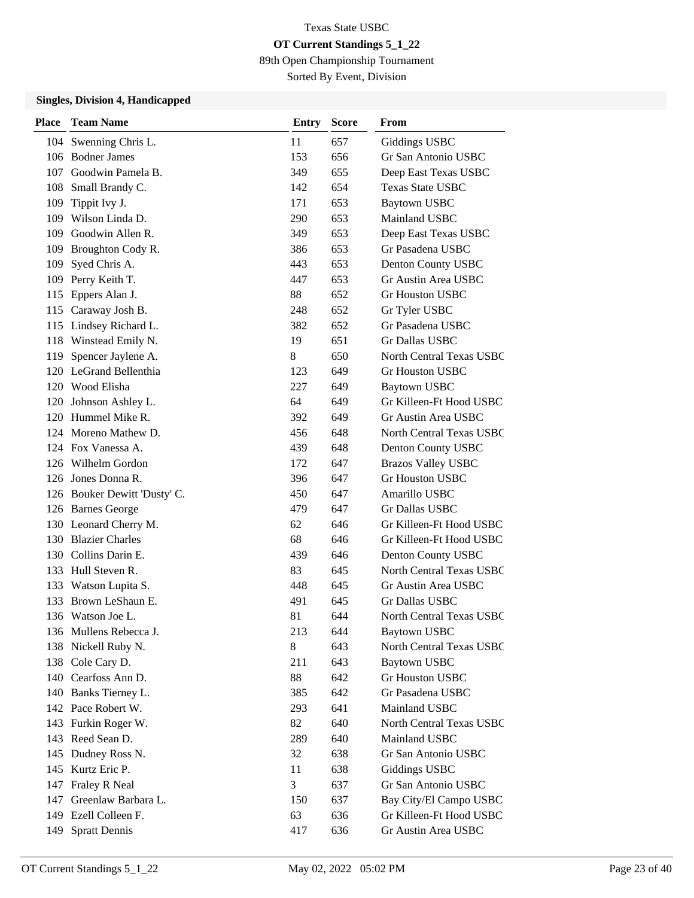89th Open Championship Tournament

Sorted By Event, Division

| Place | <b>Team Name</b>             | Entry | <b>Score</b> | From                            |
|-------|------------------------------|-------|--------------|---------------------------------|
|       | 104 Swenning Chris L.        | 11    | 657          | Giddings USBC                   |
|       | 106 Bodner James             | 153   | 656          | Gr San Antonio USBC             |
| 107   | Goodwin Pamela B.            | 349   | 655          | Deep East Texas USBC            |
|       | 108 Small Brandy C.          | 142   | 654          | Texas State USBC                |
| 109   | Tippit Ivy J.                | 171   | 653          | <b>Baytown USBC</b>             |
|       | 109 Wilson Linda D.          | 290   | 653          | Mainland USBC                   |
| 109   | Goodwin Allen R.             | 349   | 653          | Deep East Texas USBC            |
|       | 109 Broughton Cody R.        | 386   | 653          | Gr Pasadena USBC                |
| 109   | Syed Chris A.                | 443   | 653          | Denton County USBC              |
| 109   | Perry Keith T.               | 447   | 653          | Gr Austin Area USBC             |
| 115   | Eppers Alan J.               | 88    | 652          | Gr Houston USBC                 |
|       | 115 Caraway Josh B.          | 248   | 652          | Gr Tyler USBC                   |
|       | 115 Lindsey Richard L.       | 382   | 652          | Gr Pasadena USBC                |
|       | 118 Winstead Emily N.        | 19    | 651          | Gr Dallas USBC                  |
| 119   | Spencer Jaylene A.           | 8     | 650          | North Central Texas USBC        |
|       | 120 LeGrand Bellenthia       | 123   | 649          | <b>Gr Houston USBC</b>          |
|       | 120 Wood Elisha              | 227   | 649          | <b>Baytown USBC</b>             |
|       | 120 Johnson Ashley L.        | 64    | 649          | Gr Killeen-Ft Hood USBC         |
|       | 120 Hummel Mike R.           | 392   | 649          | Gr Austin Area USBC             |
|       | 124 Moreno Mathew D.         | 456   | 648          | North Central Texas USBC        |
|       | 124 Fox Vanessa A.           | 439   | 648          | Denton County USBC              |
|       | 126 Wilhelm Gordon           | 172   | 647          | <b>Brazos Valley USBC</b>       |
|       | 126 Jones Donna R.           | 396   | 647          | <b>Gr Houston USBC</b>          |
|       | 126 Bouker Dewitt 'Dusty' C. | 450   | 647          | Amarillo USBC                   |
|       | 126 Barnes George            | 479   | 647          | Gr Dallas USBC                  |
|       | 130 Leonard Cherry M.        | 62    | 646          | Gr Killeen-Ft Hood USBC         |
|       | 130 Blazier Charles          | 68    | 646          | Gr Killeen-Ft Hood USBC         |
|       | 130 Collins Darin E.         | 439   | 646          | Denton County USBC              |
|       | 133 Hull Steven R.           | 83    | 645          | North Central Texas USBC        |
|       | 133 Watson Lupita S.         | 448   | 645          | Gr Austin Area USBC             |
|       | 133 Brown LeShaun E.         | 491   | 645          | Gr Dallas USBC                  |
|       | 136 Watson Joe L.            | 81    | 644          | <b>North Central Texas USBC</b> |
|       | 136 Mullens Rebecca J.       | 213   | 644          | <b>Baytown USBC</b>             |
|       | 138 Nickell Ruby N.          | 8     | 643          | North Central Texas USBC        |
|       | 138 Cole Cary D.             | 211   | 643          | <b>Baytown USBC</b>             |
|       | 140 Cearfoss Ann D.          | 88    | 642          | Gr Houston USBC                 |
|       | 140 Banks Tierney L.         | 385   | 642          | Gr Pasadena USBC                |
|       | 142 Pace Robert W.           | 293   | 641          | Mainland USBC                   |
|       | 143 Furkin Roger W.          | 82    | 640          | North Central Texas USBC        |
|       | 143 Reed Sean D.             | 289   | 640          | Mainland USBC                   |
|       | 145 Dudney Ross N.           | 32    | 638          | Gr San Antonio USBC             |
|       | 145 Kurtz Eric P.            | 11    | 638          | Giddings USBC                   |
|       | 147 Fraley R Neal            | 3     | 637          | Gr San Antonio USBC             |
|       | 147 Greenlaw Barbara L.      | 150   | 637          | Bay City/El Campo USBC          |
|       | 149 Ezell Colleen F.         | 63    | 636          | Gr Killeen-Ft Hood USBC         |
| 149   | <b>Spratt Dennis</b>         | 417   | 636          | Gr Austin Area USBC             |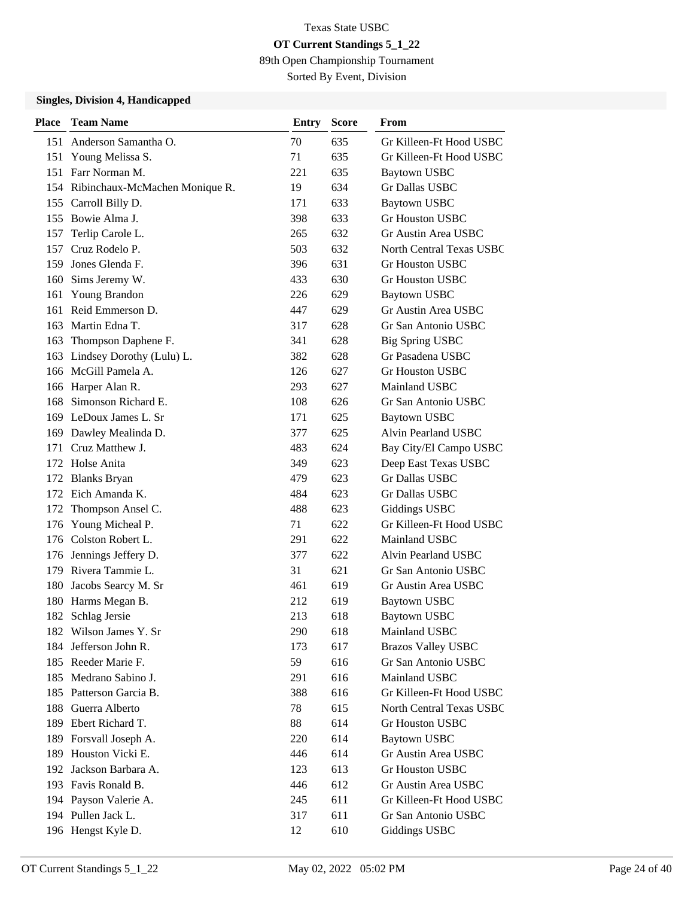89th Open Championship Tournament

Sorted By Event, Division

| <b>Place</b> | <b>Team Name</b>                   | Entry | <b>Score</b> | From                      |
|--------------|------------------------------------|-------|--------------|---------------------------|
| 151          | Anderson Samantha O.               | 70    | 635          | Gr Killeen-Ft Hood USBC   |
| 151          | Young Melissa S.                   | 71    | 635          | Gr Killeen-Ft Hood USBC   |
| 151          | Farr Norman M.                     | 221   | 635          | <b>Baytown USBC</b>       |
|              | 154 Ribinchaux-McMachen Monique R. | 19    | 634          | Gr Dallas USBC            |
|              | 155 Carroll Billy D.               | 171   | 633          | <b>Baytown USBC</b>       |
| 155          | Bowie Alma J.                      | 398   | 633          | <b>Gr Houston USBC</b>    |
| 157          | Terlip Carole L.                   | 265   | 632          | Gr Austin Area USBC       |
| 157          | Cruz Rodelo P.                     | 503   | 632          | North Central Texas USBC  |
| 159          | Jones Glenda F.                    | 396   | 631          | Gr Houston USBC           |
| 160          | Sims Jeremy W.                     | 433   | 630          | <b>Gr Houston USBC</b>    |
| 161          | Young Brandon                      | 226   | 629          | <b>Baytown USBC</b>       |
| 161          | Reid Emmerson D.                   | 447   | 629          | Gr Austin Area USBC       |
| 163          | Martin Edna T.                     | 317   | 628          | Gr San Antonio USBC       |
| 163          | Thompson Daphene F.                | 341   | 628          | <b>Big Spring USBC</b>    |
| 163          | Lindsey Dorothy (Lulu) L.          | 382   | 628          | Gr Pasadena USBC          |
|              | 166 McGill Pamela A.               | 126   | 627          | Gr Houston USBC           |
|              | 166 Harper Alan R.                 | 293   | 627          | Mainland USBC             |
| 168          | Simonson Richard E.                | 108   | 626          | Gr San Antonio USBC       |
|              | 169 LeDoux James L. Sr             | 171   | 625          | <b>Baytown USBC</b>       |
|              | 169 Dawley Mealinda D.             | 377   | 625          | Alvin Pearland USBC       |
| 171          | Cruz Matthew J.                    | 483   | 624          | Bay City/El Campo USBC    |
|              | 172 Holse Anita                    | 349   | 623          | Deep East Texas USBC      |
| 172          | <b>Blanks Bryan</b>                | 479   | 623          | Gr Dallas USBC            |
|              | 172 Eich Amanda K.                 | 484   | 623          | Gr Dallas USBC            |
| 172          | Thompson Ansel C.                  | 488   | 623          | <b>Giddings USBC</b>      |
| 176          | Young Micheal P.                   | 71    | 622          | Gr Killeen-Ft Hood USBC   |
|              | 176 Colston Robert L.              | 291   | 622          | Mainland USBC             |
|              | 176 Jennings Jeffery D.            | 377   | 622          | Alvin Pearland USBC       |
| 179          | Rivera Tammie L.                   | 31    | 621          | Gr San Antonio USBC       |
| 180          | Jacobs Searcy M. Sr                | 461   | 619          | Gr Austin Area USBC       |
| 180          | Harms Megan B.                     | 212   | 619          | <b>Baytown USBC</b>       |
|              | 182 Schlag Jersie                  | 213   | 618          | Baytown USBC              |
|              | 182 Wilson James Y. Sr             | 290   | 618          | Mainland USBC             |
| 184          | Jefferson John R.                  | 173   | 617          | <b>Brazos Valley USBC</b> |
|              | 185 Reeder Marie F.                | 59    | 616          | Gr San Antonio USBC       |
| 185          | Medrano Sabino J.                  | 291   | 616          | Mainland USBC             |
| 185          | Patterson Garcia B.                | 388   | 616          | Gr Killeen-Ft Hood USBC   |
| 188          | Guerra Alberto                     | 78    | 615          | North Central Texas USBC  |
| 189          | Ebert Richard T.                   | 88    | 614          | Gr Houston USBC           |
|              | 189 Forsvall Joseph A.             | 220   | 614          | <b>Baytown USBC</b>       |
|              | 189 Houston Vicki E.               | 446   | 614          | Gr Austin Area USBC       |
| 192          | Jackson Barbara A.                 | 123   | 613          | Gr Houston USBC           |
|              | 193 Favis Ronald B.                | 446   | 612          | Gr Austin Area USBC       |
|              | 194 Payson Valerie A.              | 245   | 611          | Gr Killeen-Ft Hood USBC   |
|              | 194 Pullen Jack L.                 | 317   | 611          | Gr San Antonio USBC       |
|              | 196 Hengst Kyle D.                 | 12    | 610          | <b>Giddings USBC</b>      |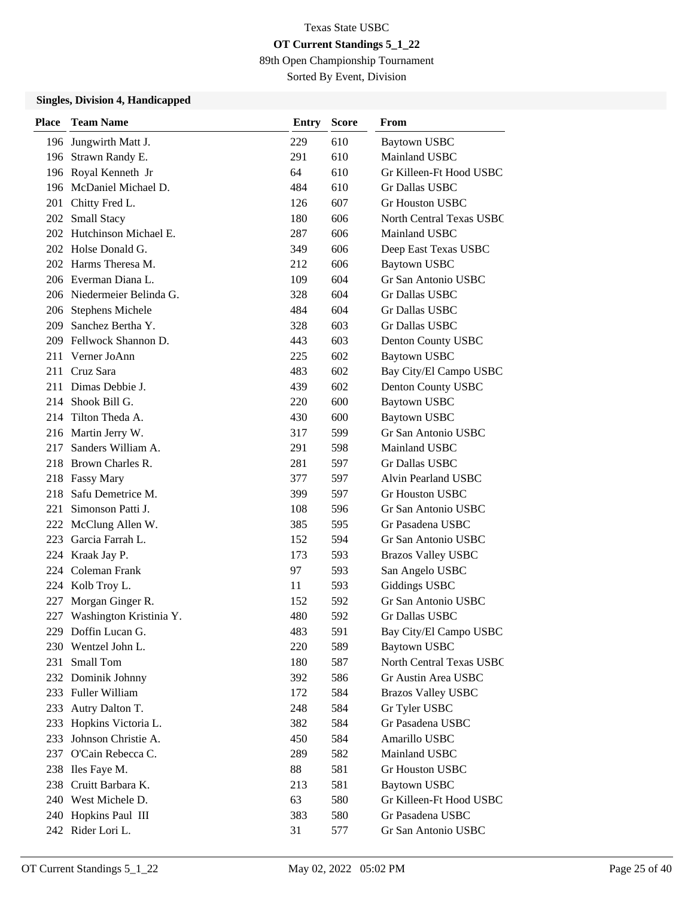89th Open Championship Tournament

Sorted By Event, Division

| <b>Place</b> | <b>Team Name</b>            | Entry | <b>Score</b> | From                       |
|--------------|-----------------------------|-------|--------------|----------------------------|
|              | 196 Jungwirth Matt J.       | 229   | 610          | <b>Baytown USBC</b>        |
|              | 196 Strawn Randy E.         | 291   | 610          | Mainland USBC              |
|              | 196 Royal Kenneth Jr        | 64    | 610          | Gr Killeen-Ft Hood USBC    |
|              | 196 McDaniel Michael D.     | 484   | 610          | Gr Dallas USBC             |
|              | 201 Chitty Fred L.          | 126   | 607          | <b>Gr Houston USBC</b>     |
|              | 202 Small Stacy             | 180   | 606          | North Central Texas USBC   |
|              | 202 Hutchinson Michael E.   | 287   | 606          | Mainland USBC              |
|              | 202 Holse Donald G.         | 349   | 606          | Deep East Texas USBC       |
|              | 202 Harms Theresa M.        | 212   | 606          | <b>Baytown USBC</b>        |
|              | 206 Everman Diana L.        | 109   | 604          | <b>Gr San Antonio USBC</b> |
|              | 206 Niedermeier Belinda G.  | 328   | 604          | Gr Dallas USBC             |
|              | 206 Stephens Michele        | 484   | 604          | Gr Dallas USBC             |
|              | 209 Sanchez Bertha Y.       | 328   | 603          | Gr Dallas USBC             |
|              | 209 Fellwock Shannon D.     | 443   | 603          | Denton County USBC         |
|              | 211 Verner JoAnn            | 225   | 602          | <b>Baytown USBC</b>        |
|              | 211 Cruz Sara               | 483   | 602          | Bay City/El Campo USBC     |
|              | 211 Dimas Debbie J.         | 439   | 602          | Denton County USBC         |
|              | 214 Shook Bill G.           | 220   | 600          | <b>Baytown USBC</b>        |
|              | 214 Tilton Theda A.         | 430   | 600          | <b>Baytown USBC</b>        |
|              | 216 Martin Jerry W.         | 317   | 599          | <b>Gr San Antonio USBC</b> |
| 217          | Sanders William A.          | 291   | 598          | Mainland USBC              |
|              | 218 Brown Charles R.        | 281   | 597          | Gr Dallas USBC             |
|              | 218 Fassy Mary              | 377   | 597          | Alvin Pearland USBC        |
| 218          | Safu Demetrice M.           | 399   | 597          | <b>Gr Houston USBC</b>     |
| 221          | Simonson Patti J.           | 108   | 596          | Gr San Antonio USBC        |
| 222          | McClung Allen W.            | 385   | 595          | Gr Pasadena USBC           |
| 223          | Garcia Farrah L.            | 152   | 594          | Gr San Antonio USBC        |
|              | 224 Kraak Jay P.            | 173   | 593          | <b>Brazos Valley USBC</b>  |
|              | 224 Coleman Frank           | 97    | 593          | San Angelo USBC            |
|              | 224 Kolb Troy L.            | 11    | 593          | <b>Giddings USBC</b>       |
| 227          | Morgan Ginger R.            | 152   | 592          | Gr San Antonio USBC        |
|              | 227 Washington Kristinia Y. | 480   | 592          | Gr Dallas USBC             |
|              | 229 Doffin Lucan G.         | 483   | 591          | Bay City/El Campo USBC     |
|              | 230 Wentzel John L.         | 220   | 589          | <b>Baytown USBC</b>        |
| 231          | Small Tom                   | 180   | 587          | North Central Texas USBC   |
|              | 232 Dominik Johnny          | 392   | 586          | Gr Austin Area USBC        |
|              | 233 Fuller William          | 172   | 584          | <b>Brazos Valley USBC</b>  |
|              | 233 Autry Dalton T.         | 248   | 584          | Gr Tyler USBC              |
| 233          | Hopkins Victoria L.         | 382   | 584          | Gr Pasadena USBC           |
| 233          | Johnson Christie A.         | 450   | 584          | Amarillo USBC              |
| 237          | O'Cain Rebecca C.           | 289   | 582          | Mainland USBC              |
|              | 238 Iles Faye M.            | 88    | 581          | Gr Houston USBC            |
| 238          | Cruitt Barbara K.           | 213   | 581          | <b>Baytown USBC</b>        |
|              | 240 West Michele D.         | 63    | 580          | Gr Killeen-Ft Hood USBC    |
|              | 240 Hopkins Paul III        | 383   | 580          | Gr Pasadena USBC           |
|              | 242 Rider Lori L.           | 31    | 577          | Gr San Antonio USBC        |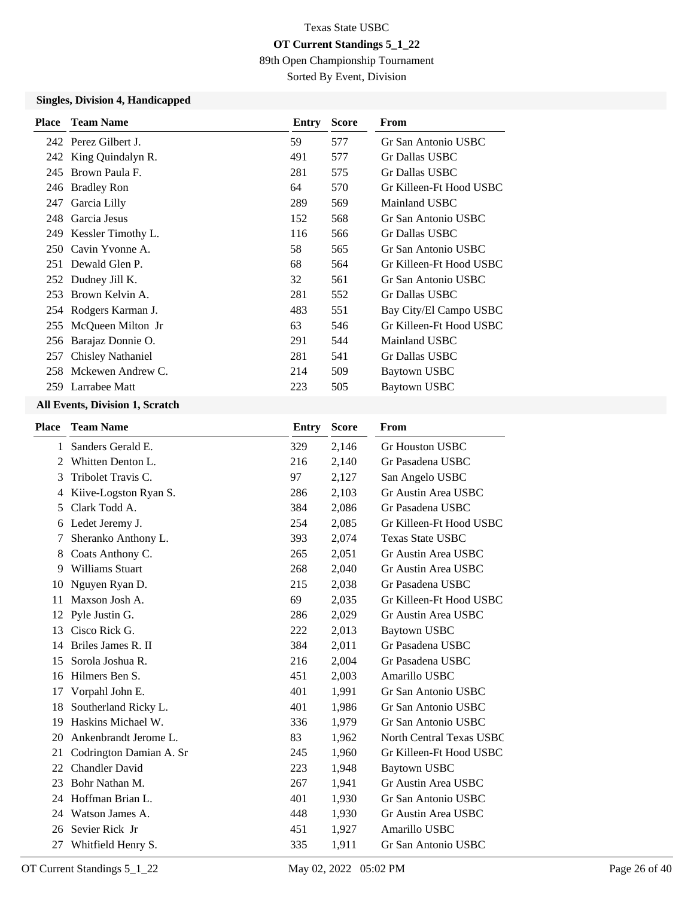89th Open Championship Tournament

Sorted By Event, Division

### **Singles, Division 4, Handicapped**

| <b>Place</b> | <b>Team Name</b>         | Entry | <b>Score</b> | From                    |
|--------------|--------------------------|-------|--------------|-------------------------|
|              | 242 Perez Gilbert J.     | 59    | 577          | Gr San Antonio USBC     |
|              | 242 King Quindalyn R.    | 491   | 577          | Gr Dallas USBC          |
|              | 245 Brown Paula F.       | 281   | 575          | Gr Dallas USBC          |
|              | 246 Bradley Ron          | 64    | 570          | Gr Killeen-Ft Hood USBC |
| 247          | Garcia Lilly             | 289   | 569          | Mainland USBC           |
|              | 248 Garcia Jesus         | 152   | 568          | Gr San Antonio USBC     |
|              | 249 Kessler Timothy L.   | 116   | 566          | Gr Dallas USBC          |
|              | 250 Cavin Yvonne A.      | 58    | 565          | Gr San Antonio USBC     |
|              | 251 Dewald Glen P.       | 68    | 564          | Gr Killeen-Ft Hood USBC |
|              | 252 Dudney Jill K.       | 32    | 561          | Gr San Antonio USBC     |
|              | 253 Brown Kelvin A.      | 281   | 552          | Gr Dallas USBC          |
|              | 254 Rodgers Karman J.    | 483   | 551          | Bay City/El Campo USBC  |
|              | 255 McQueen Milton Jr    | 63    | 546          | Gr Killeen-Ft Hood USBC |
|              | 256 Barajaz Donnie O.    | 291   | 544          | Mainland USBC           |
| 257          | <b>Chisley Nathaniel</b> | 281   | 541          | Gr Dallas USBC          |
|              | 258 Mckewen Andrew C.    | 214   | 509          | Baytown USBC            |
|              | 259 Larrabee Matt        | 223   | 505          | Baytown USBC            |
|              |                          |       |              |                         |

#### **All Events, Division 1, Scratch**

| <b>Place</b> | <b>Team Name</b>        | <b>Entry</b> | <b>Score</b> | From                            |
|--------------|-------------------------|--------------|--------------|---------------------------------|
| 1            | Sanders Gerald E.       | 329          | 2,146        | <b>Gr Houston USBC</b>          |
| 2            | Whitten Denton L.       | 216          | 2,140        | Gr Pasadena USBC                |
| 3            | Tribolet Travis C.      | 97           | 2,127        | San Angelo USBC                 |
| 4            | Kiive-Logston Ryan S.   | 286          | 2,103        | Gr Austin Area USBC             |
| 5            | Clark Todd A.           | 384          | 2,086        | Gr Pasadena USBC                |
| 6            | Ledet Jeremy J.         | 254          | 2,085        | Gr Killeen-Ft Hood USBC         |
| 7            | Sheranko Anthony L.     | 393          | 2,074        | <b>Texas State USBC</b>         |
| 8            | Coats Anthony C.        | 265          | 2,051        | Gr Austin Area USBC             |
| 9            | <b>Williams Stuart</b>  | 268          | 2,040        | Gr Austin Area USBC             |
| 10           | Nguyen Ryan D.          | 215          | 2,038        | Gr Pasadena USBC                |
| 11           | Maxson Josh A.          | 69           | 2,035        | Gr Killeen-Ft Hood USBC         |
| 12           | Pyle Justin G.          | 286          | 2,029        | Gr Austin Area USBC             |
| 13           | Cisco Rick G.           | 222          | 2,013        | <b>Baytown USBC</b>             |
| 14           | Briles James R. II      | 384          | 2,011        | Gr Pasadena USBC                |
| 15           | Sorola Joshua R.        | 216          | 2,004        | Gr Pasadena USBC                |
| 16           | Hilmers Ben S.          | 451          | 2,003        | Amarillo USBC                   |
| 17           | Vorpahl John E.         | 401          | 1,991        | Gr San Antonio USBC             |
| 18           | Southerland Ricky L.    | 401          | 1,986        | Gr San Antonio USBC             |
| 19           | Haskins Michael W.      | 336          | 1,979        | Gr San Antonio USBC             |
| 20           | Ankenbrandt Jerome L.   | 83           | 1,962        | <b>North Central Texas USBC</b> |
| 21           | Codrington Damian A. Sr | 245          | 1,960        | Gr Killeen-Ft Hood USBC         |
| 22           | <b>Chandler David</b>   | 223          | 1,948        | Baytown USBC                    |
| 23           | Bohr Nathan M.          | 267          | 1,941        | Gr Austin Area USBC             |
| 24           | Hoffman Brian L.        | 401          | 1,930        | Gr San Antonio USBC             |
| 24           | Watson James A.         | 448          | 1,930        | Gr Austin Area USBC             |
| 26           | Sevier Rick Jr          | 451          | 1,927        | Amarillo USBC                   |
| 27           | Whitfield Henry S.      | 335          | 1,911        | Gr San Antonio USBC             |
|              |                         |              |              |                                 |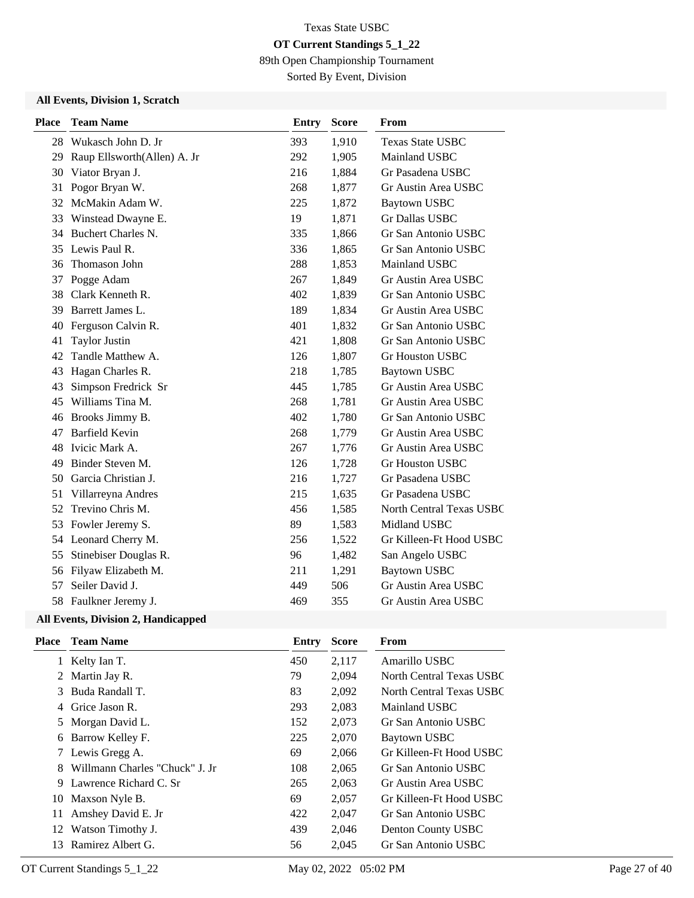89th Open Championship Tournament

Sorted By Event, Division

#### **All Events, Division 1, Scratch**

| <b>Place</b> | <b>Team Name</b>            | <b>Entry</b> | <b>Score</b> | From                            |
|--------------|-----------------------------|--------------|--------------|---------------------------------|
|              | 28 Wukasch John D. Jr       | 393          | 1,910        | <b>Texas State USBC</b>         |
| 29           | Raup Ellsworth(Allen) A. Jr | 292          | 1,905        | Mainland USBC                   |
| 30           | Viator Bryan J.             | 216          | 1,884        | Gr Pasadena USBC                |
| 31           | Pogor Bryan W.              | 268          | 1,877        | Gr Austin Area USBC             |
| 32           | McMakin Adam W.             | 225          | 1,872        | <b>Baytown USBC</b>             |
| 33           | Winstead Dwayne E.          | 19           | 1,871        | <b>Gr Dallas USBC</b>           |
| 34           | <b>Buchert Charles N.</b>   | 335          | 1,866        | Gr San Antonio USBC             |
| 35           | Lewis Paul R.               | 336          | 1,865        | Gr San Antonio USBC             |
| 36           | Thomason John               | 288          | 1,853        | Mainland USBC                   |
| 37           | Pogge Adam                  | 267          | 1,849        | Gr Austin Area USBC             |
| 38           | Clark Kenneth R.            | 402          | 1,839        | Gr San Antonio USBC             |
| 39           | Barrett James L.            | 189          | 1,834        | Gr Austin Area USBC             |
| 40           | Ferguson Calvin R.          | 401          | 1,832        | Gr San Antonio USBC             |
| 41           | <b>Taylor Justin</b>        | 421          | 1,808        | Gr San Antonio USBC             |
| 42           | Tandle Matthew A.           | 126          | 1,807        | Gr Houston USBC                 |
| 43           | Hagan Charles R.            | 218          | 1,785        | <b>Baytown USBC</b>             |
| 43           | Simpson Fredrick Sr         | 445          | 1,785        | Gr Austin Area USBC             |
| 45           | Williams Tina M.            | 268          | 1,781        | Gr Austin Area USBC             |
| 46           | Brooks Jimmy B.             | 402          | 1,780        | Gr San Antonio USBC             |
| 47           | <b>Barfield Kevin</b>       | 268          | 1,779        | Gr Austin Area USBC             |
| 48           | Ivicic Mark A.              | 267          | 1,776        | Gr Austin Area USBC             |
| 49           | Binder Steven M.            | 126          | 1,728        | Gr Houston USBC                 |
| 50           | Garcia Christian J.         | 216          | 1,727        | Gr Pasadena USBC                |
| 51           | Villarreyna Andres          | 215          | 1,635        | Gr Pasadena USBC                |
| 52           | Trevino Chris M.            | 456          | 1,585        | <b>North Central Texas USBC</b> |
| 53           | Fowler Jeremy S.            | 89           | 1,583        | Midland USBC                    |
| 54           | Leonard Cherry M.           | 256          | 1,522        | Gr Killeen-Ft Hood USBC         |
| 55           | Stinebiser Douglas R.       | 96           | 1,482        | San Angelo USBC                 |
| 56           | Filyaw Elizabeth M.         | 211          | 1,291        | <b>Baytown USBC</b>             |
| 57           | Seiler David J.             | 449          | 506          | Gr Austin Area USBC             |
| 58           | Faulkner Jeremy J.          | 469          | 355          | Gr Austin Area USBC             |
|              |                             |              |              |                                 |

| Place | <b>Team Name</b>               | Entry | <b>Score</b> | From                     |
|-------|--------------------------------|-------|--------------|--------------------------|
| 1     | Kelty Ian T.                   | 450   | 2,117        | Amarillo USBC            |
|       | 2 Martin Jay R.                | 79    | 2,094        | North Central Texas USBC |
| 3     | Buda Randall T.                | 83    | 2,092        | North Central Texas USBC |
| 4     | Grice Jason R.                 | 293   | 2,083        | Mainland USBC            |
| 5     | Morgan David L.                | 152   | 2,073        | Gr San Antonio USBC      |
| 6     | Barrow Kelley F.               | 225   | 2,070        | Baytown USBC             |
|       | 7 Lewis Gregg A.               | 69    | 2,066        | Gr Killeen-Ft Hood USBC  |
| 8     | Willmann Charles "Chuck" J. Jr | 108   | 2,065        | Gr San Antonio USBC      |
| 9     | Lawrence Richard C. Sr         | 265   | 2,063        | Gr Austin Area USBC      |
| 10    | Maxson Nyle B.                 | 69    | 2,057        | Gr Killeen-Ft Hood USBC  |
| 11    | Amshey David E. Jr             | 422   | 2,047        | Gr San Antonio USBC      |
| 12    | Watson Timothy J.              | 439   | 2,046        | Denton County USBC       |
| 13    | Ramirez Albert G.              | 56    | 2,045        | Gr San Antonio USBC      |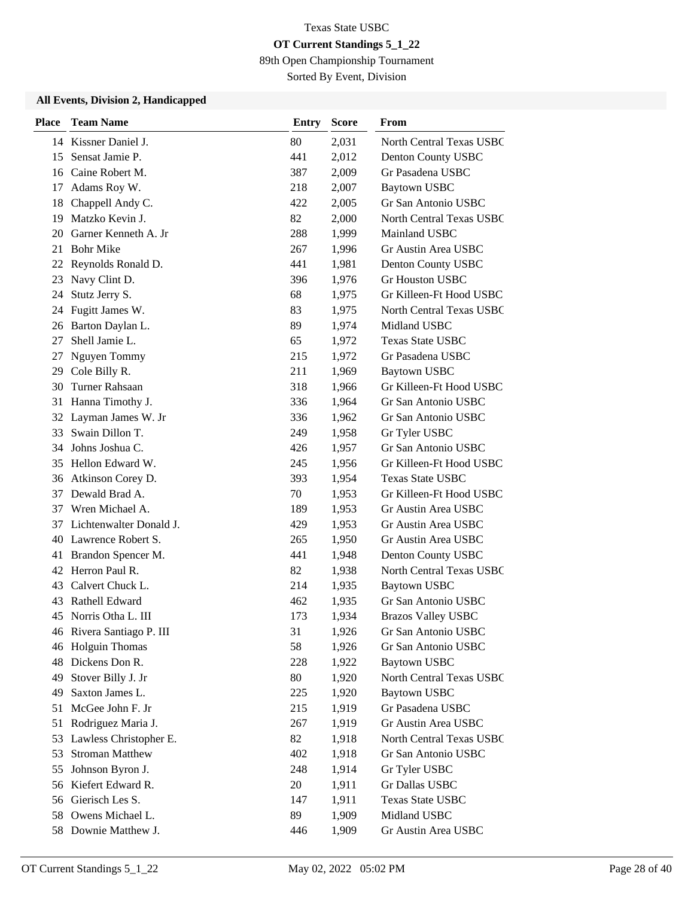89th Open Championship Tournament

Sorted By Event, Division

| <b>Place</b> | <b>Team Name</b>          | <b>Entry</b> | <b>Score</b> | From                            |
|--------------|---------------------------|--------------|--------------|---------------------------------|
|              | 14 Kissner Daniel J.      | 80           | 2,031        | North Central Texas USBC        |
| 15           | Sensat Jamie P.           | 441          | 2,012        | Denton County USBC              |
|              | 16 Caine Robert M.        | 387          | 2,009        | Gr Pasadena USBC                |
| 17           | Adams Roy W.              | 218          | 2,007        | <b>Baytown USBC</b>             |
| 18           | Chappell Andy C.          | 422          | 2,005        | Gr San Antonio USBC             |
| 19           | Matzko Kevin J.           | 82           | 2,000        | <b>North Central Texas USBC</b> |
| 20           | Garner Kenneth A. Jr      | 288          | 1,999        | Mainland USBC                   |
| 21           | <b>Bohr Mike</b>          | 267          | 1,996        | Gr Austin Area USBC             |
| 22           | Reynolds Ronald D.        | 441          | 1,981        | Denton County USBC              |
| 23           | Navy Clint D.             | 396          | 1,976        | <b>Gr Houston USBC</b>          |
| 24           | Stutz Jerry S.            | 68           | 1,975        | Gr Killeen-Ft Hood USBC         |
| 24           | Fugitt James W.           | 83           | 1,975        | North Central Texas USBC        |
|              | 26 Barton Daylan L.       | 89           | 1,974        | Midland USBC                    |
| 27           | Shell Jamie L.            | 65           | 1,972        | <b>Texas State USBC</b>         |
| 27           | Nguyen Tommy              | 215          | 1,972        | Gr Pasadena USBC                |
|              | 29 Cole Billy R.          | 211          | 1,969        | <b>Baytown USBC</b>             |
| 30           | Turner Rahsaan            | 318          | 1,966        | Gr Killeen-Ft Hood USBC         |
| 31           | Hanna Timothy J.          | 336          | 1,964        | Gr San Antonio USBC             |
| 32           | Layman James W. Jr        | 336          | 1,962        | Gr San Antonio USBC             |
| 33           | Swain Dillon T.           | 249          | 1,958        | Gr Tyler USBC                   |
|              | 34 Johns Joshua C.        | 426          | 1,957        | Gr San Antonio USBC             |
|              | 35 Hellon Edward W.       | 245          | 1,956        | Gr Killeen-Ft Hood USBC         |
| 36           | Atkinson Corey D.         | 393          | 1,954        | <b>Texas State USBC</b>         |
| 37           | Dewald Brad A.            | 70           | 1,953        | Gr Killeen-Ft Hood USBC         |
| 37           | Wren Michael A.           | 189          | 1,953        | Gr Austin Area USBC             |
| 37           | Lichtenwalter Donald J.   | 429          | 1,953        | Gr Austin Area USBC             |
|              | 40 Lawrence Robert S.     | 265          | 1,950        | Gr Austin Area USBC             |
|              | 41 Brandon Spencer M.     | 441          | 1,948        | Denton County USBC              |
|              | 42 Herron Paul R.         | 82           | 1,938        | North Central Texas USBC        |
|              | 43 Calvert Chuck L.       | 214          | 1,935        | Baytown USBC                    |
| 43           | Rathell Edward            | 462          | 1,935        | Gr San Antonio USBC             |
|              | 45 Norris Otha L. III     | 173          | 1,934        | <b>Brazos Valley USBC</b>       |
|              | 46 Rivera Santiago P. III | 31           | 1,926        | Gr San Antonio USBC             |
|              | 46 Holguin Thomas         | 58           | 1,926        | Gr San Antonio USBC             |
| 48           | Dickens Don R.            | 228          | 1,922        | <b>Baytown USBC</b>             |
| 49           | Stover Billy J. Jr        | 80           | 1,920        | North Central Texas USBC        |
| 49           | Saxton James L.           | 225          | 1,920        | <b>Baytown USBC</b>             |
| 51           | McGee John F. Jr          | 215          | 1,919        | Gr Pasadena USBC                |
| 51           | Rodriguez Maria J.        | 267          | 1,919        | Gr Austin Area USBC             |
|              | 53 Lawless Christopher E. | 82           | 1,918        | North Central Texas USBC        |
| 53           | <b>Stroman Matthew</b>    | 402          | 1,918        | Gr San Antonio USBC             |
| 55           | Johnson Byron J.          | 248          | 1,914        | Gr Tyler USBC                   |
|              | 56 Kiefert Edward R.      | 20           | 1,911        | Gr Dallas USBC                  |
|              | 56 Gierisch Les S.        | 147          | 1,911        | Texas State USBC                |
| 58           | Owens Michael L.          | 89           | 1,909        | Midland USBC                    |
|              | 58 Downie Matthew J.      | 446          | 1,909        | Gr Austin Area USBC             |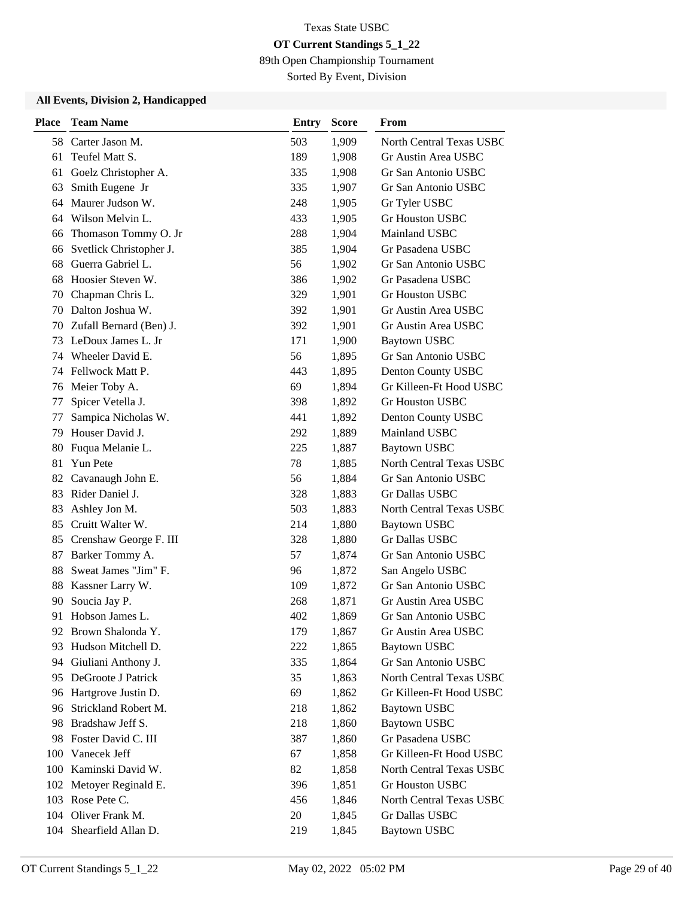89th Open Championship Tournament

Sorted By Event, Division

| <b>Place</b> | <b>Team Name</b>        | <b>Entry</b> | <b>Score</b> | From                     |
|--------------|-------------------------|--------------|--------------|--------------------------|
|              | 58 Carter Jason M.      | 503          | 1,909        | North Central Texas USBC |
| 61           | Teufel Matt S.          | 189          | 1,908        | Gr Austin Area USBC      |
| 61           | Goelz Christopher A.    | 335          | 1,908        | Gr San Antonio USBC      |
| 63           | Smith Eugene Jr         | 335          | 1,907        | Gr San Antonio USBC      |
|              | 64 Maurer Judson W.     | 248          | 1,905        | Gr Tyler USBC            |
|              | 64 Wilson Melvin L.     | 433          | 1,905        | Gr Houston USBC          |
| 66           | Thomason Tommy O. Jr    | 288          | 1,904        | Mainland USBC            |
| 66           | Svetlick Christopher J. | 385          | 1,904        | Gr Pasadena USBC         |
| 68           | Guerra Gabriel L.       | 56           | 1,902        | Gr San Antonio USBC      |
| 68           | Hoosier Steven W.       | 386          | 1,902        | Gr Pasadena USBC         |
| 70           | Chapman Chris L.        | 329          | 1,901        | <b>Gr Houston USBC</b>   |
| 70           | Dalton Joshua W.        | 392          | 1,901        | Gr Austin Area USBC      |
| 70           | Zufall Bernard (Ben) J. | 392          | 1,901        | Gr Austin Area USBC      |
| 73           | LeDoux James L. Jr      | 171          | 1,900        | <b>Baytown USBC</b>      |
| 74           | Wheeler David E.        | 56           | 1,895        | Gr San Antonio USBC      |
|              | 74 Fellwock Matt P.     | 443          | 1,895        | Denton County USBC       |
| 76           | Meier Toby A.           | 69           | 1,894        | Gr Killeen-Ft Hood USBC  |
| 77           | Spicer Vetella J.       | 398          | 1,892        | <b>Gr Houston USBC</b>   |
| 77           | Sampica Nicholas W.     | 441          | 1,892        | Denton County USBC       |
| 79           | Houser David J.         | 292          | 1,889        | Mainland USBC            |
| 80           | Fuqua Melanie L.        | 225          | 1,887        | Baytown USBC             |
| 81           | Yun Pete                | 78           | 1,885        | North Central Texas USBC |
| 82           | Cavanaugh John E.       | 56           | 1,884        | Gr San Antonio USBC      |
| 83           | Rider Daniel J.         | 328          | 1,883        | Gr Dallas USBC           |
| 83           | Ashley Jon M.           | 503          | 1,883        | North Central Texas USBC |
| 85           | Cruitt Walter W.        | 214          | 1,880        | <b>Baytown USBC</b>      |
| 85           | Crenshaw George F. III  | 328          | 1,880        | <b>Gr Dallas USBC</b>    |
| 87           | Barker Tommy A.         | 57           | 1,874        | Gr San Antonio USBC      |
| 88           | Sweat James "Jim" F.    | 96           | 1,872        | San Angelo USBC          |
| 88           | Kassner Larry W.        | 109          | 1,872        | Gr San Antonio USBC      |
| 90           | Soucia Jay P.           | 268          | 1,871        | Gr Austin Area USBC      |
| 91           | Hobson James L.         | 402          | 1,869        | Gr San Antonio USBC      |
|              | 92 Brown Shalonda Y.    | 179          | 1,867        | Gr Austin Area USBC      |
| 93           | Hudson Mitchell D.      | 222          | 1,865        | <b>Baytown USBC</b>      |
| 94           | Giuliani Anthony J.     | 335          | 1,864        | Gr San Antonio USBC      |
|              | 95 DeGroote J Patrick   | 35           | 1,863        | North Central Texas USBC |
|              | 96 Hartgrove Justin D.  | 69           | 1,862        | Gr Killeen-Ft Hood USBC  |
| 96           | Strickland Robert M.    | 218          | 1,862        | <b>Baytown USBC</b>      |
| 98           | Bradshaw Jeff S.        | 218          | 1,860        | <b>Baytown USBC</b>      |
| 98           | Foster David C. III     | 387          | 1,860        | Gr Pasadena USBC         |
| 100          | Vanecek Jeff            | 67           | 1,858        | Gr Killeen-Ft Hood USBC  |
| 100          | Kaminski David W.       | 82           | 1,858        | North Central Texas USBC |
| 102          | Metoyer Reginald E.     | 396          | 1,851        | Gr Houston USBC          |
|              | 103 Rose Pete C.        | 456          | 1,846        | North Central Texas USBC |
|              | 104 Oliver Frank M.     | 20           | 1,845        | Gr Dallas USBC           |
|              | 104 Shearfield Allan D. | 219          | 1,845        | <b>Baytown USBC</b>      |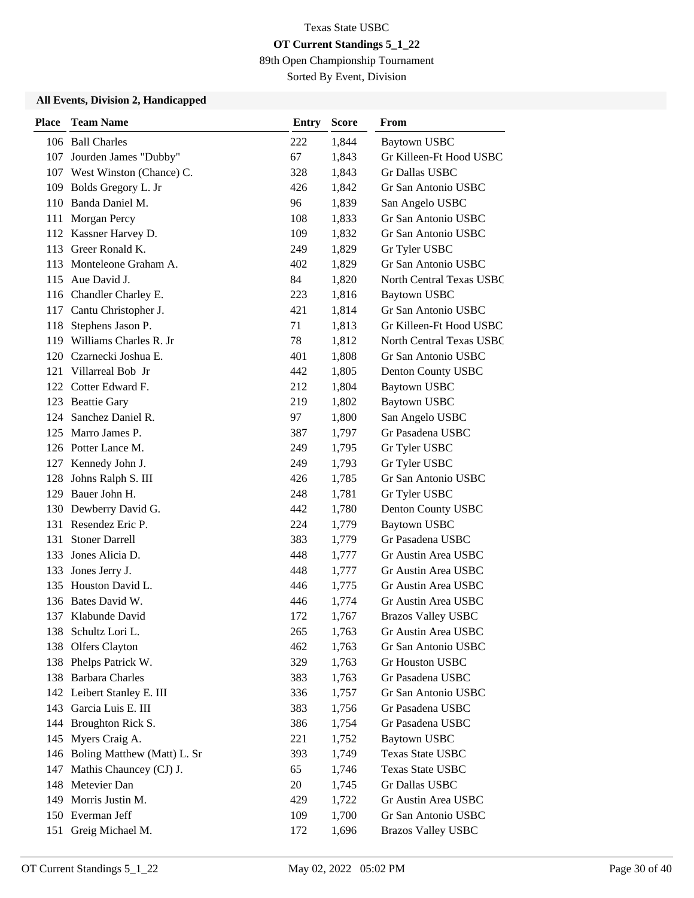89th Open Championship Tournament

Sorted By Event, Division

| <b>Place</b> | <b>Team Name</b>             | Entry | <b>Score</b> | From                      |
|--------------|------------------------------|-------|--------------|---------------------------|
|              | 106 Ball Charles             | 222   | 1,844        | <b>Baytown USBC</b>       |
|              | 107 Jourden James "Dubby"    | 67    | 1,843        | Gr Killeen-Ft Hood USBC   |
|              | 107 West Winston (Chance) C. | 328   | 1,843        | Gr Dallas USBC            |
|              | 109 Bolds Gregory L. Jr      | 426   | 1,842        | Gr San Antonio USBC       |
|              | 110 Banda Daniel M.          | 96    | 1,839        | San Angelo USBC           |
|              | 111 Morgan Percy             | 108   | 1,833        | Gr San Antonio USBC       |
|              | 112 Kassner Harvey D.        | 109   | 1,832        | Gr San Antonio USBC       |
|              | 113 Greer Ronald K.          | 249   | 1,829        | Gr Tyler USBC             |
|              | 113 Monteleone Graham A.     | 402   | 1,829        | Gr San Antonio USBC       |
|              | 115 Aue David J.             | 84    | 1,820        | North Central Texas USBC  |
|              | 116 Chandler Charley E.      | 223   | 1,816        | <b>Baytown USBC</b>       |
|              | 117 Cantu Christopher J.     | 421   | 1,814        | Gr San Antonio USBC       |
|              | 118 Stephens Jason P.        | 71    | 1,813        | Gr Killeen-Ft Hood USBC   |
|              | 119 Williams Charles R. Jr   | 78    | 1,812        | North Central Texas USBC  |
|              | 120 Czarnecki Joshua E.      | 401   | 1,808        | Gr San Antonio USBC       |
|              | 121 Villarreal Bob Jr        | 442   | 1,805        | Denton County USBC        |
|              | 122 Cotter Edward F.         | 212   | 1,804        | <b>Baytown USBC</b>       |
|              | 123 Beattie Gary             | 219   | 1,802        | <b>Baytown USBC</b>       |
| 124          | Sanchez Daniel R.            | 97    | 1,800        | San Angelo USBC           |
|              | 125 Marro James P.           | 387   | 1,797        | Gr Pasadena USBC          |
|              | 126 Potter Lance M.          | 249   | 1,795        | Gr Tyler USBC             |
|              | 127 Kennedy John J.          | 249   | 1,793        | Gr Tyler USBC             |
| 128          | Johns Ralph S. III           | 426   | 1,785        | Gr San Antonio USBC       |
|              | 129 Bauer John H.            | 248   | 1,781        | Gr Tyler USBC             |
|              | 130 Dewberry David G.        | 442   | 1,780        | Denton County USBC        |
|              | 131 Resendez Eric P.         | 224   | 1,779        | <b>Baytown USBC</b>       |
| 131          | <b>Stoner Darrell</b>        | 383   | 1,779        | Gr Pasadena USBC          |
|              | 133 Jones Alicia D.          | 448   | 1,777        | Gr Austin Area USBC       |
| 133          | Jones Jerry J.               | 448   | 1,777        | Gr Austin Area USBC       |
|              | 135 Houston David L.         | 446   | 1,775        | Gr Austin Area USBC       |
|              | 136 Bates David W.           | 446   | 1,774        | Gr Austin Area USBC       |
| 137          | Klabunde David               | 172   | 1,767        | <b>Brazos Valley USBC</b> |
|              | 138 Schultz Lori L.          | 265   | 1,763        | Gr Austin Area USBC       |
|              | 138 Olfers Clayton           | 462   | 1,763        | Gr San Antonio USBC       |
|              | 138 Phelps Patrick W.        | 329   | 1,763        | Gr Houston USBC           |
|              | 138 Barbara Charles          | 383   | 1,763        | Gr Pasadena USBC          |
|              | 142 Leibert Stanley E. III   | 336   | 1,757        | Gr San Antonio USBC       |
| 143          | Garcia Luis E. III           | 383   | 1,756        | Gr Pasadena USBC          |
|              | 144 Broughton Rick S.        | 386   | 1,754        | Gr Pasadena USBC          |
|              | 145 Myers Craig A.           | 221   | 1,752        | <b>Baytown USBC</b>       |
| 146          | Boling Matthew (Matt) L. Sr  | 393   | 1,749        | <b>Texas State USBC</b>   |
| 147          | Mathis Chauncey (CJ) J.      | 65    | 1,746        | Texas State USBC          |
|              | 148 Metevier Dan             | 20    | 1,745        | Gr Dallas USBC            |
|              | 149 Morris Justin M.         | 429   | 1,722        | Gr Austin Area USBC       |
|              | 150 Everman Jeff             | 109   | 1,700        | Gr San Antonio USBC       |
|              | 151 Greig Michael M.         | 172   | 1,696        | <b>Brazos Valley USBC</b> |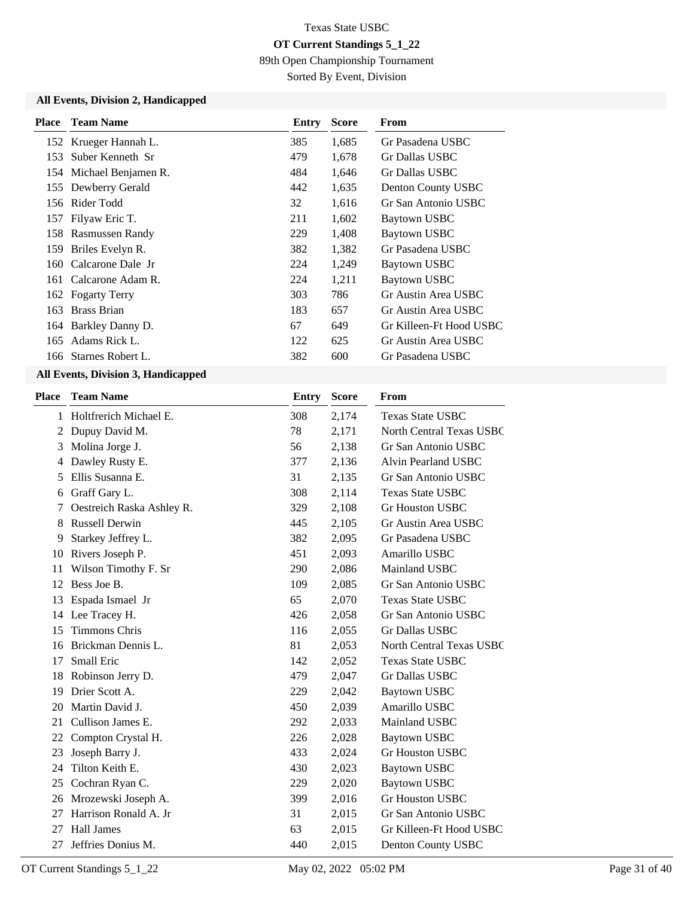89th Open Championship Tournament

Sorted By Event, Division

### **All Events, Division 2, Handicapped**

| <b>Place</b> | Team Name               | Entry | <b>Score</b> | From                    |
|--------------|-------------------------|-------|--------------|-------------------------|
|              | 152 Krueger Hannah L.   | 385   | 1,685        | Gr Pasadena USBC        |
| 153          | Suber Kenneth Sr        | 479   | 1,678        | Gr Dallas USBC          |
|              | 154 Michael Benjamen R. | 484   | 1,646        | Gr Dallas USBC          |
|              | 155 Dewberry Gerald     | 442   | 1,635        | Denton County USBC      |
|              | 156 Rider Todd          | 32    | 1,616        | Gr San Antonio USBC     |
|              | 157 Filyaw Eric T.      | 211   | 1,602        | <b>Baytown USBC</b>     |
|              | 158 Rasmussen Randy     | 229   | 1,408        | Baytown USBC            |
| 159          | Briles Evelyn R.        | 382   | 1,382        | Gr Pasadena USBC        |
| 160          | Calcarone Dale Jr       | 224   | 1,249        | <b>Baytown USBC</b>     |
|              | 161 Calcarone Adam R.   | 224   | 1,211        | <b>Baytown USBC</b>     |
|              | 162 Fogarty Terry       | 303   | 786          | Gr Austin Area USBC     |
| 163          | <b>Brass Brian</b>      | 183   | 657          | Gr Austin Area USBC     |
|              | 164 Barkley Danny D.    | 67    | 649          | Gr Killeen-Ft Hood USBC |
| 165          | Adams Rick L.           | 122   | 625          | Gr Austin Area USBC     |
|              | 166 Starnes Robert L.   | 382   | 600          | Gr Pasadena USBC        |

| Place | <b>Team Name</b>          | <b>Entry</b> | <b>Score</b> | From                            |
|-------|---------------------------|--------------|--------------|---------------------------------|
| 1     | Holtfrerich Michael E.    | 308          | 2,174        | <b>Texas State USBC</b>         |
| 2     | Dupuy David M.            | 78           | 2,171        | North Central Texas USBC        |
| 3     | Molina Jorge J.           | 56           | 2,138        | Gr San Antonio USBC             |
| 4     | Dawley Rusty E.           | 377          | 2,136        | Alvin Pearland USBC             |
| 5     | Ellis Susanna E.          | 31           | 2,135        | Gr San Antonio USBC             |
| 6     | Graff Gary L.             | 308          | 2,114        | <b>Texas State USBC</b>         |
| 7     | Oestreich Raska Ashley R. | 329          | 2,108        | <b>Gr Houston USBC</b>          |
| 8     | <b>Russell Derwin</b>     | 445          | 2,105        | Gr Austin Area USBC             |
| 9     | Starkey Jeffrey L.        | 382          | 2,095        | Gr Pasadena USBC                |
| 10    | Rivers Joseph P.          | 451          | 2,093        | Amarillo USBC                   |
| 11    | Wilson Timothy F. Sr      | 290          | 2,086        | Mainland USBC                   |
| 12    | Bess Joe B.               | 109          | 2,085        | Gr San Antonio USBC             |
| 13    | Espada Ismael Jr          | 65           | 2,070        | <b>Texas State USBC</b>         |
| 14    | Lee Tracey H.             | 426          | 2,058        | Gr San Antonio USBC             |
| 15    | <b>Timmons Chris</b>      | 116          | 2,055        | Gr Dallas USBC                  |
| 16    | Brickman Dennis L.        | 81           | 2,053        | <b>North Central Texas USBC</b> |
| 17    | Small Eric                | 142          | 2,052        | <b>Texas State USBC</b>         |
| 18    | Robinson Jerry D.         | 479          | 2,047        | Gr Dallas USBC                  |
| 19    | Drier Scott A.            | 229          | 2,042        | Baytown USBC                    |
| 20    | Martin David J.           | 450          | 2,039        | Amarillo USBC                   |
| 21    | Cullison James E.         | 292          | 2,033        | Mainland USBC                   |
| 22    | Compton Crystal H.        | 226          | 2,028        | Baytown USBC                    |
| 23    | Joseph Barry J.           | 433          | 2,024        | <b>Gr Houston USBC</b>          |
| 24    | Tilton Keith E.           | 430          | 2,023        | Baytown USBC                    |
| 25    | Cochran Ryan C.           | 229          | 2,020        | <b>Baytown USBC</b>             |
| 26    | Mrozewski Joseph A.       | 399          | 2,016        | <b>Gr Houston USBC</b>          |
| 27    | Harrison Ronald A. Jr     | 31           | 2,015        | Gr San Antonio USBC             |
| 27    | Hall James                | 63           | 2,015        | Gr Killeen-Ft Hood USBC         |
| 27    | Jeffries Donius M.        | 440          | 2,015        | Denton County USBC              |
|       |                           |              |              |                                 |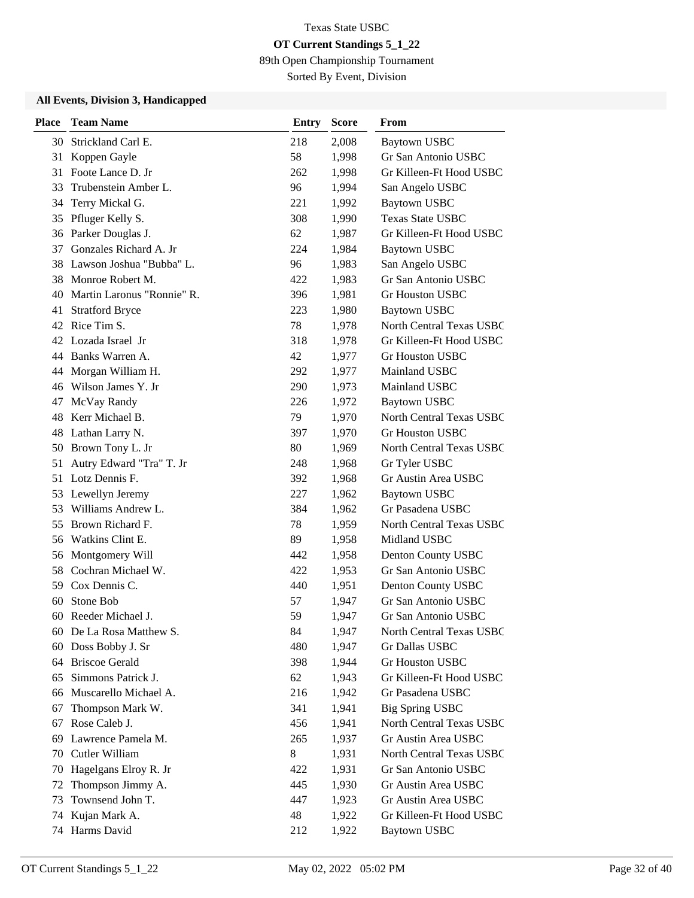89th Open Championship Tournament

Sorted By Event, Division

| <b>Place</b> | <b>Team Name</b>              | Entry | <b>Score</b> | From                            |
|--------------|-------------------------------|-------|--------------|---------------------------------|
|              | 30 Strickland Carl E.         | 218   | 2,008        | <b>Baytown USBC</b>             |
| 31           | Koppen Gayle                  | 58    | 1,998        | Gr San Antonio USBC             |
| 31           | Foote Lance D. Jr             | 262   | 1,998        | Gr Killeen-Ft Hood USBC         |
|              | 33 Trubenstein Amber L.       | 96    | 1,994        | San Angelo USBC                 |
| 34           | Terry Mickal G.               | 221   | 1,992        | <b>Baytown USBC</b>             |
| 35           | Pfluger Kelly S.              | 308   | 1,990        | <b>Texas State USBC</b>         |
| 36           | Parker Douglas J.             | 62    | 1,987        | Gr Killeen-Ft Hood USBC         |
| 37           | Gonzales Richard A. Jr        | 224   | 1,984        | <b>Baytown USBC</b>             |
|              | 38 Lawson Joshua "Bubba" L.   | 96    | 1,983        | San Angelo USBC                 |
|              | 38 Monroe Robert M.           | 422   | 1,983        | Gr San Antonio USBC             |
|              | 40 Martin Laronus "Ronnie" R. | 396   | 1,981        | <b>Gr Houston USBC</b>          |
|              | 41 Stratford Bryce            | 223   | 1,980        | <b>Baytown USBC</b>             |
|              | 42 Rice Tim S.                | 78    | 1,978        | North Central Texas USBC        |
|              | 42 Lozada Israel Jr           | 318   | 1,978        | Gr Killeen-Ft Hood USBC         |
|              | 44 Banks Warren A.            | 42    | 1,977        | <b>Gr Houston USBC</b>          |
|              | 44 Morgan William H.          | 292   | 1,977        | Mainland USBC                   |
|              | 46 Wilson James Y. Jr         | 290   | 1,973        | Mainland USBC                   |
| 47           | McVay Randy                   | 226   | 1,972        | <b>Baytown USBC</b>             |
|              | 48 Kerr Michael B.            | 79    | 1,970        | <b>North Central Texas USBC</b> |
|              | 48 Lathan Larry N.            | 397   | 1,970        | <b>Gr Houston USBC</b>          |
|              | 50 Brown Tony L. Jr           | 80    | 1,969        | North Central Texas USBC        |
| 51           | Autry Edward "Tra" T. Jr      | 248   | 1,968        | Gr Tyler USBC                   |
|              | 51 Lotz Dennis F.             | 392   | 1,968        | Gr Austin Area USBC             |
|              | 53 Lewellyn Jeremy            | 227   | 1,962        | <b>Baytown USBC</b>             |
| 53           | Williams Andrew L.            | 384   | 1,962        | Gr Pasadena USBC                |
| 55           | Brown Richard F.              | 78    | 1,959        | <b>North Central Texas USBC</b> |
| 56           | Watkins Clint E.              | 89    | 1,958        | Midland USBC                    |
|              | 56 Montgomery Will            | 442   | 1,958        | Denton County USBC              |
|              | 58 Cochran Michael W.         | 422   | 1,953        | Gr San Antonio USBC             |
| 59           | Cox Dennis C.                 | 440   | 1,951        | Denton County USBC              |
| 60           | Stone Bob                     | 57    | 1,947        | Gr San Antonio USBC             |
| 60           | Reeder Michael J.             | 59    | 1,947        | Gr San Antonio USBC             |
|              | 60 De La Rosa Matthew S.      | 84    | 1,947        | North Central Texas USBC        |
| 60           | Doss Bobby J. Sr              | 480   | 1,947        | Gr Dallas USBC                  |
| 64           | <b>Briscoe Gerald</b>         | 398   | 1,944        | <b>Gr Houston USBC</b>          |
|              | 65 Simmons Patrick J.         | 62    | 1,943        | Gr Killeen-Ft Hood USBC         |
| 66           | Muscarello Michael A.         | 216   | 1,942        | Gr Pasadena USBC                |
| 67           | Thompson Mark W.              | 341   | 1,941        | <b>Big Spring USBC</b>          |
| 67           | Rose Caleb J.                 | 456   | 1,941        | North Central Texas USBC        |
| 69           | Lawrence Pamela M.            | 265   | 1,937        | Gr Austin Area USBC             |
| 70           | Cutler William                | 8     | 1,931        | North Central Texas USBC        |
| 70           | Hagelgans Elroy R. Jr         | 422   | 1,931        | Gr San Antonio USBC             |
| 72           | Thompson Jimmy A.             | 445   | 1,930        | Gr Austin Area USBC             |
| 73           | Townsend John T.              | 447   | 1,923        | Gr Austin Area USBC             |
| 74           | Kujan Mark A.                 | 48    | 1,922        | Gr Killeen-Ft Hood USBC         |
| 74           | Harms David                   | 212   | 1,922        | <b>Baytown USBC</b>             |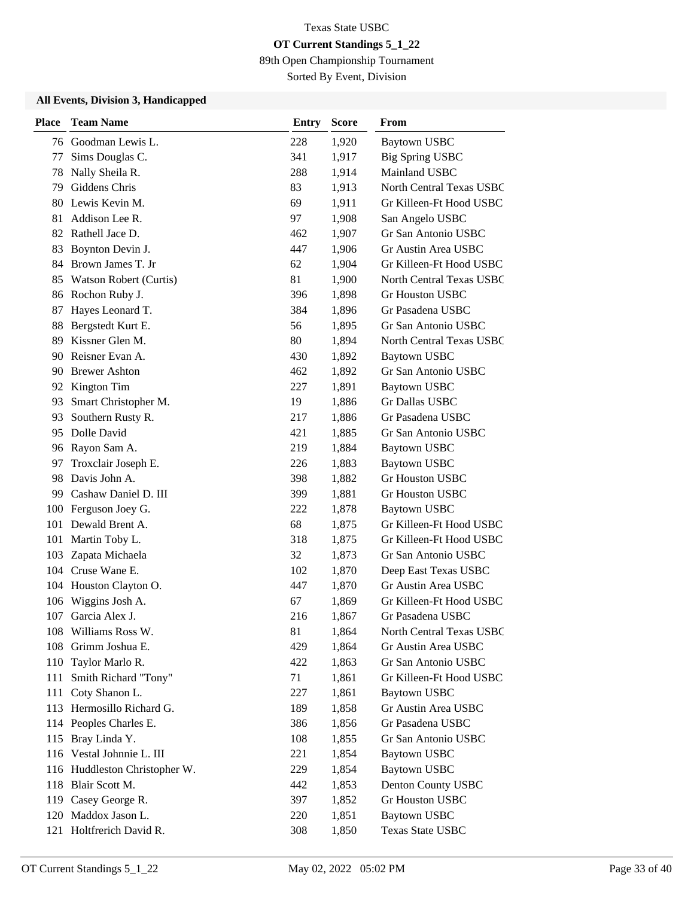89th Open Championship Tournament

Sorted By Event, Division

| <b>Place</b> | <b>Team Name</b>              | <b>Entry</b> | <b>Score</b> | From                     |
|--------------|-------------------------------|--------------|--------------|--------------------------|
|              | 76 Goodman Lewis L.           | 228          | 1,920        | <b>Baytown USBC</b>      |
| 77           | Sims Douglas C.               | 341          | 1,917        | <b>Big Spring USBC</b>   |
| 78           | Nally Sheila R.               | 288          | 1,914        | Mainland USBC            |
|              | 79 Giddens Chris              | 83           | 1,913        | North Central Texas USBC |
|              | 80 Lewis Kevin M.             | 69           | 1,911        | Gr Killeen-Ft Hood USBC  |
| 81           | Addison Lee R.                | 97           | 1,908        | San Angelo USBC          |
|              | 82 Rathell Jace D.            | 462          | 1,907        | Gr San Antonio USBC      |
| 83           | Boynton Devin J.              | 447          | 1,906        | Gr Austin Area USBC      |
|              | 84 Brown James T. Jr          | 62           | 1,904        | Gr Killeen-Ft Hood USBC  |
|              | 85 Watson Robert (Curtis)     | 81           | 1,900        | North Central Texas USBC |
| 86           | Rochon Ruby J.                | 396          | 1,898        | <b>Gr Houston USBC</b>   |
| 87           | Hayes Leonard T.              | 384          | 1,896        | Gr Pasadena USBC         |
| 88           | Bergstedt Kurt E.             | 56           | 1,895        | Gr San Antonio USBC      |
| 89           | Kissner Glen M.               | 80           | 1,894        | North Central Texas USBC |
| 90           | Reisner Evan A.               | 430          | 1,892        | Baytown USBC             |
|              | 90 Brewer Ashton              | 462          | 1,892        | Gr San Antonio USBC      |
| 92           | Kington Tim                   | 227          | 1,891        | <b>Baytown USBC</b>      |
| 93           | Smart Christopher M.          | 19           | 1,886        | <b>Gr Dallas USBC</b>    |
| 93           | Southern Rusty R.             | 217          | 1,886        | Gr Pasadena USBC         |
|              | 95 Dolle David                | 421          | 1,885        | Gr San Antonio USBC      |
|              | 96 Rayon Sam A.               | 219          | 1,884        | <b>Baytown USBC</b>      |
| 97           | Troxclair Joseph E.           | 226          | 1,883        | <b>Baytown USBC</b>      |
| 98           | Davis John A.                 | 398          | 1,882        | <b>Gr Houston USBC</b>   |
|              | 99 Cashaw Daniel D. III       | 399          | 1,881        | <b>Gr Houston USBC</b>   |
| 100          | Ferguson Joey G.              | 222          | 1,878        | <b>Baytown USBC</b>      |
| 101          | Dewald Brent A.               | 68           | 1,875        | Gr Killeen-Ft Hood USBC  |
| 101          | Martin Toby L.                | 318          | 1,875        | Gr Killeen-Ft Hood USBC  |
|              | 103 Zapata Michaela           | 32           | 1,873        | Gr San Antonio USBC      |
|              | 104 Cruse Wane E.             | 102          | 1,870        | Deep East Texas USBC     |
|              | 104 Houston Clayton O.        | 447          | 1,870        | Gr Austin Area USBC      |
| 106          | Wiggins Josh A.               | 67           | 1,869        | Gr Killeen-Ft Hood USBC  |
|              | 107 Garcia Alex J.            | 216          | 1,867        | Gr Pasadena USBC         |
|              | 108 Williams Ross W.          | 81           | 1,864        | North Central Texas USBC |
|              | 108 Grimm Joshua E.           | 429          | 1,864        | Gr Austin Area USBC      |
| 110          | Taylor Marlo R.               | 422          | 1,863        | Gr San Antonio USBC      |
| 111          | Smith Richard "Tony"          | 71           | 1,861        | Gr Killeen-Ft Hood USBC  |
|              | 111 Coty Shanon L.            | 227          | 1,861        | <b>Baytown USBC</b>      |
|              | 113 Hermosillo Richard G.     | 189          | 1,858        | Gr Austin Area USBC      |
|              | 114 Peoples Charles E.        | 386          | 1,856        | Gr Pasadena USBC         |
|              | 115 Bray Linda Y.             | 108          | 1,855        | Gr San Antonio USBC      |
|              | 116 Vestal Johnnie L. III     | 221          | 1,854        | <b>Baytown USBC</b>      |
|              | 116 Huddleston Christopher W. | 229          | 1,854        | <b>Baytown USBC</b>      |
|              | 118 Blair Scott M.            | 442          | 1,853        | Denton County USBC       |
|              | 119 Casey George R.           | 397          | 1,852        | Gr Houston USBC          |
|              | 120 Maddox Jason L.           | 220          | 1,851        | <b>Baytown USBC</b>      |
|              | 121 Holtfrerich David R.      | 308          | 1,850        | Texas State USBC         |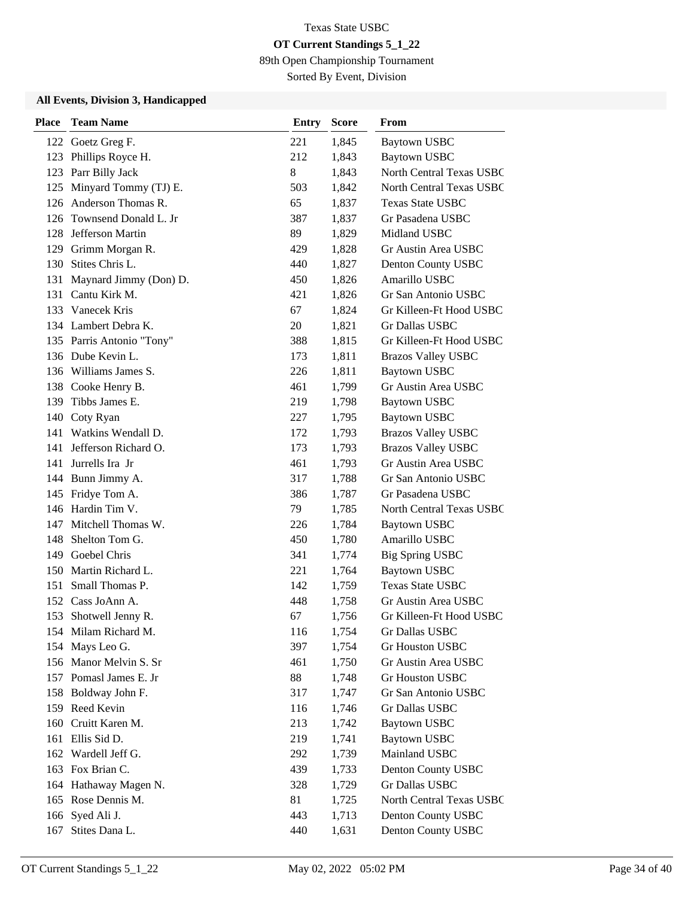89th Open Championship Tournament

Sorted By Event, Division

| <b>Place</b> | <b>Team Name</b>          | Entry | <b>Score</b> | From                      |
|--------------|---------------------------|-------|--------------|---------------------------|
|              | 122 Goetz Greg F.         | 221   | 1,845        | <b>Baytown USBC</b>       |
|              | 123 Phillips Royce H.     | 212   | 1,843        | <b>Baytown USBC</b>       |
|              | 123 Parr Billy Jack       | 8     | 1,843        | North Central Texas USBC  |
|              | 125 Minyard Tommy (TJ) E. | 503   | 1,842        | North Central Texas USBC  |
| 126          | Anderson Thomas R.        | 65    | 1,837        | <b>Texas State USBC</b>   |
| 126          | Townsend Donald L. Jr     | 387   | 1,837        | Gr Pasadena USBC          |
| 128          | Jefferson Martin          | 89    | 1,829        | Midland USBC              |
|              | 129 Grimm Morgan R.       | 429   | 1,828        | Gr Austin Area USBC       |
|              | 130 Stites Chris L.       | 440   | 1,827        | Denton County USBC        |
| 131          | Maynard Jimmy (Don) D.    | 450   | 1,826        | Amarillo USBC             |
|              | 131 Cantu Kirk M.         | 421   | 1,826        | Gr San Antonio USBC       |
|              | 133 Vanecek Kris          | 67    | 1,824        | Gr Killeen-Ft Hood USBC   |
|              | 134 Lambert Debra K.      | 20    | 1,821        | Gr Dallas USBC            |
|              | 135 Parris Antonio "Tony" | 388   | 1,815        | Gr Killeen-Ft Hood USBC   |
|              | 136 Dube Kevin L.         | 173   | 1,811        | <b>Brazos Valley USBC</b> |
|              | 136 Williams James S.     | 226   | 1,811        | <b>Baytown USBC</b>       |
|              | 138 Cooke Henry B.        | 461   | 1,799        | Gr Austin Area USBC       |
| 139          | Tibbs James E.            | 219   | 1,798        | <b>Baytown USBC</b>       |
| 140          | Coty Ryan                 | 227   | 1,795        | <b>Baytown USBC</b>       |
| 141          | Watkins Wendall D.        | 172   | 1,793        | <b>Brazos Valley USBC</b> |
| 141          | Jefferson Richard O.      | 173   | 1,793        | <b>Brazos Valley USBC</b> |
| 141          | Jurrells Ira Jr           | 461   | 1,793        | Gr Austin Area USBC       |
|              | 144 Bunn Jimmy A.         | 317   | 1,788        | Gr San Antonio USBC       |
|              | 145 Fridye Tom A.         | 386   | 1,787        | Gr Pasadena USBC          |
|              | 146 Hardin Tim V.         | 79    | 1,785        | North Central Texas USBC  |
| 147          | Mitchell Thomas W.        | 226   | 1,784        | <b>Baytown USBC</b>       |
| 148          | Shelton Tom G.            | 450   | 1,780        | Amarillo USBC             |
|              | 149 Goebel Chris          | 341   | 1,774        | Big Spring USBC           |
| 150          | Martin Richard L.         | 221   | 1,764        | <b>Baytown USBC</b>       |
|              | 151 Small Thomas P.       | 142   | 1,759        | <b>Texas State USBC</b>   |
|              | 152 Cass JoAnn A.         | 448   | 1,758        | Gr Austin Area USBC       |
|              | 153 Shotwell Jenny R.     | 67    | 1,756        | Gr Killeen-Ft Hood USBC   |
|              | 154 Milam Richard M.      | 116   | 1,754        | Gr Dallas USBC            |
|              | 154 Mays Leo G.           | 397   | 1,754        | <b>Gr Houston USBC</b>    |
|              | 156 Manor Melvin S. Sr    | 461   | 1,750        | Gr Austin Area USBC       |
|              | 157 Pomasl James E. Jr    | 88    | 1,748        | Gr Houston USBC           |
|              | 158 Boldway John F.       | 317   | 1,747        | Gr San Antonio USBC       |
|              | 159 Reed Kevin            | 116   | 1,746        | Gr Dallas USBC            |
| 160          | Cruitt Karen M.           | 213   | 1,742        | <b>Baytown USBC</b>       |
|              | 161 Ellis Sid D.          | 219   | 1,741        | <b>Baytown USBC</b>       |
|              | 162 Wardell Jeff G.       | 292   | 1,739        | Mainland USBC             |
|              | 163 Fox Brian C.          | 439   | 1,733        | Denton County USBC        |
|              | 164 Hathaway Magen N.     | 328   | 1,729        | Gr Dallas USBC            |
|              | 165 Rose Dennis M.        | 81    | 1,725        | North Central Texas USBC  |
|              | 166 Syed Ali J.           | 443   | 1,713        | Denton County USBC        |
| 167          | Stites Dana L.            | 440   | 1,631        | Denton County USBC        |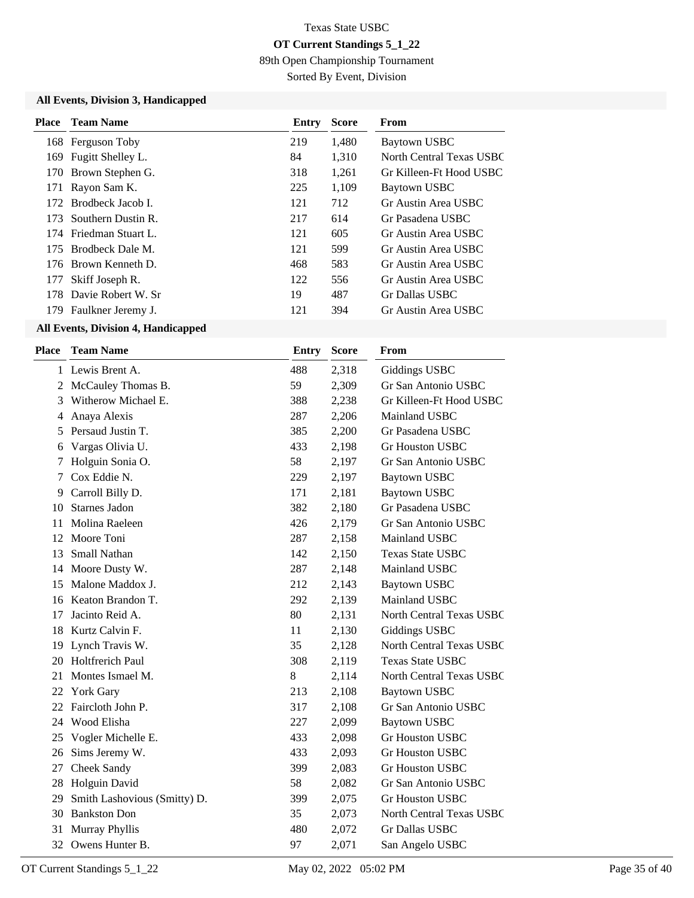89th Open Championship Tournament

Sorted By Event, Division

#### **All Events, Division 3, Handicapped**

| Place | <b>Team Name</b>       | Entry | <b>Score</b> | From                     |
|-------|------------------------|-------|--------------|--------------------------|
|       | 168 Ferguson Toby      | 219   | 1,480        | Baytown USBC             |
| 169   | Fugitt Shelley L.      | 84    | 1,310        | North Central Texas USBC |
| 170   | Brown Stephen G.       | 318   | 1.261        | Gr Killeen-Ft Hood USBC  |
|       | 171 Rayon Sam K.       | 225   | 1,109        | Baytown USBC             |
|       | 172 Brodbeck Jacob L   | 121   | 712          | Gr Austin Area USBC      |
| 173.  | Southern Dustin R.     | 217   | 614          | Gr Pasadena USBC         |
|       | 174 Friedman Stuart L. | 121   | 605          | Gr Austin Area USBC      |
|       | 175 Brodbeck Dale M.   | 121   | 599          | Gr Austin Area USBC      |
|       | 176 Brown Kenneth D.   | 468   | 583          | Gr Austin Area USBC      |
| 177   | Skiff Joseph R.        | 122   | 556          | Gr Austin Area USBC      |
|       | 178 Davie Robert W. Sr | 19    | 487          | Gr Dallas USBC           |
| 179   | Faulkner Jeremy J.     | 121   | 394          | Gr Austin Area USBC      |
|       |                        |       |              |                          |

| Place | <b>Team Name</b>             | <b>Entry</b> | <b>Score</b> | <b>From</b>              |
|-------|------------------------------|--------------|--------------|--------------------------|
|       | 1 Lewis Brent A.             | 488          | 2,318        | Giddings USBC            |
|       | 2 McCauley Thomas B.         | 59           | 2,309        | Gr San Antonio USBC      |
| 3     | Witherow Michael E.          | 388          | 2,238        | Gr Killeen-Ft Hood USBC  |
| 4     | Anaya Alexis                 | 287          | 2,206        | Mainland USBC            |
| 5     | Persaud Justin T.            | 385          | 2,200        | Gr Pasadena USBC         |
| 6     | Vargas Olivia U.             | 433          | 2,198        | <b>Gr Houston USBC</b>   |
| 7     | Holguin Sonia O.             | 58           | 2,197        | Gr San Antonio USBC      |
| 7     | Cox Eddie N.                 | 229          | 2,197        | Baytown USBC             |
| 9     | Carroll Billy D.             | 171          | 2,181        | <b>Baytown USBC</b>      |
| 10    | <b>Starnes Jadon</b>         | 382          | 2,180        | Gr Pasadena USBC         |
| 11    | Molina Raeleen               | 426          | 2,179        | Gr San Antonio USBC      |
| 12    | Moore Toni                   | 287          | 2,158        | Mainland USBC            |
| 13    | Small Nathan                 | 142          | 2,150        | <b>Texas State USBC</b>  |
| 14    | Moore Dusty W.               | 287          | 2,148        | Mainland USBC            |
| 15    | Malone Maddox J.             | 212          | 2,143        | <b>Baytown USBC</b>      |
| 16    | Keaton Brandon T.            | 292          | 2,139        | Mainland USBC            |
| 17    | Jacinto Reid A.              | 80           | 2,131        | North Central Texas USBC |
| 18    | Kurtz Calvin F.              | 11           | 2,130        | Giddings USBC            |
| 19    | Lynch Travis W.              | 35           | 2,128        | North Central Texas USBC |
| 20    | <b>Holtfrerich Paul</b>      | 308          | 2,119        | <b>Texas State USBC</b>  |
| 21    | Montes Ismael M.             | 8            | 2,114        | North Central Texas USBC |
| 22    | York Gary                    | 213          | 2,108        | <b>Baytown USBC</b>      |
| 22    | Faircloth John P.            | 317          | 2,108        | Gr San Antonio USBC      |
|       | 24 Wood Elisha               | 227          | 2,099        | Baytown USBC             |
|       | 25 Vogler Michelle E.        | 433          | 2,098        | <b>Gr Houston USBC</b>   |
| 26    | Sims Jeremy W.               | 433          | 2,093        | <b>Gr Houston USBC</b>   |
| 27    | Cheek Sandy                  | 399          | 2,083        | <b>Gr Houston USBC</b>   |
| 28    | Holguin David                | 58           | 2,082        | Gr San Antonio USBC      |
| 29    | Smith Lashovious (Smitty) D. | 399          | 2,075        | <b>Gr Houston USBC</b>   |
| 30    | <b>Bankston Don</b>          | 35           | 2,073        | North Central Texas USBC |
| 31    | Murray Phyllis               | 480          | 2,072        | Gr Dallas USBC           |
|       | 32 Owens Hunter B.           | 97           | 2,071        | San Angelo USBC          |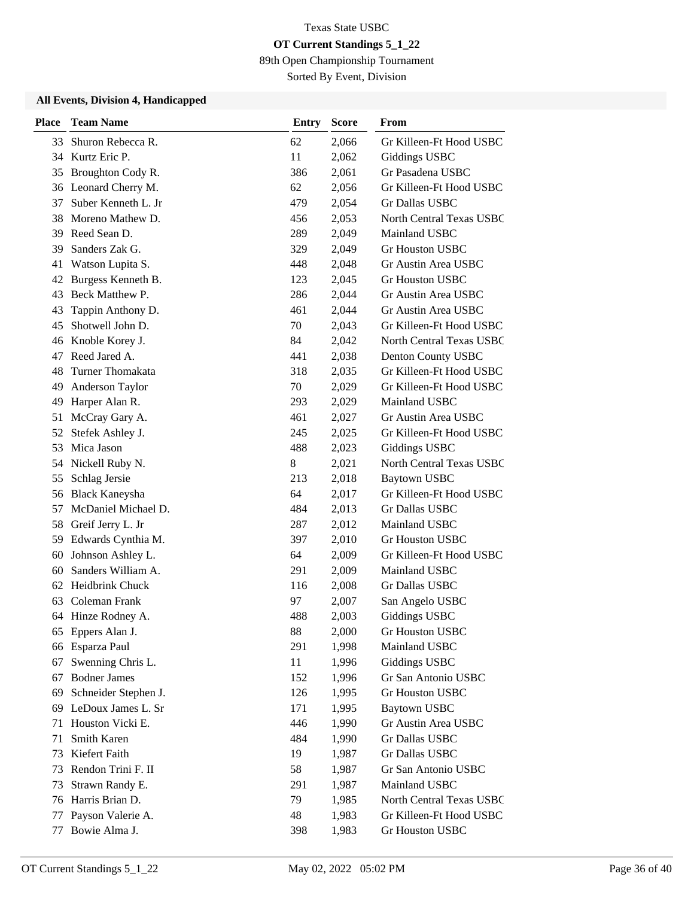89th Open Championship Tournament

Sorted By Event, Division

| <b>Place</b> | <b>Team Name</b>      | Entry | <b>Score</b> | From                            |
|--------------|-----------------------|-------|--------------|---------------------------------|
| 33           | Shuron Rebecca R.     | 62    | 2,066        | Gr Killeen-Ft Hood USBC         |
|              | 34 Kurtz Eric P.      | 11    | 2,062        | <b>Giddings USBC</b>            |
| 35           | Broughton Cody R.     | 386   | 2,061        | Gr Pasadena USBC                |
|              | 36 Leonard Cherry M.  | 62    | 2,056        | Gr Killeen-Ft Hood USBC         |
| 37           | Suber Kenneth L. Jr   | 479   | 2,054        | Gr Dallas USBC                  |
| 38           | Moreno Mathew D.      | 456   | 2,053        | North Central Texas USBC        |
| 39           | Reed Sean D.          | 289   | 2,049        | Mainland USBC                   |
| 39           | Sanders Zak G.        | 329   | 2,049        | <b>Gr Houston USBC</b>          |
| 41           | Watson Lupita S.      | 448   | 2,048        | Gr Austin Area USBC             |
| 42           | Burgess Kenneth B.    | 123   | 2,045        | <b>Gr Houston USBC</b>          |
| 43           | Beck Matthew P.       | 286   | 2,044        | Gr Austin Area USBC             |
| 43           | Tappin Anthony D.     | 461   | 2,044        | Gr Austin Area USBC             |
| 45           | Shotwell John D.      | 70    | 2,043        | Gr Killeen-Ft Hood USBC         |
|              | 46 Knoble Korey J.    | 84    | 2,042        | <b>North Central Texas USBC</b> |
| 47           | Reed Jared A.         | 441   | 2,038        | Denton County USBC              |
| 48           | Turner Thomakata      | 318   | 2,035        | Gr Killeen-Ft Hood USBC         |
| 49           | Anderson Taylor       | 70    | 2,029        | Gr Killeen-Ft Hood USBC         |
| 49           | Harper Alan R.        | 293   | 2,029        | Mainland USBC                   |
| 51           | McCray Gary A.        | 461   | 2,027        | Gr Austin Area USBC             |
| 52           | Stefek Ashley J.      | 245   | 2,025        | Gr Killeen-Ft Hood USBC         |
| 53           | Mica Jason            | 488   | 2,023        | <b>Giddings USBC</b>            |
| 54           | Nickell Ruby N.       | 8     | 2,021        | North Central Texas USBC        |
| 55           | Schlag Jersie         | 213   | 2,018        | Baytown USBC                    |
| 56           | <b>Black Kaneysha</b> | 64    | 2,017        | Gr Killeen-Ft Hood USBC         |
| 57           | McDaniel Michael D.   | 484   | 2,013        | Gr Dallas USBC                  |
| 58           | Greif Jerry L. Jr     | 287   | 2,012        | Mainland USBC                   |
| 59           | Edwards Cynthia M.    | 397   | 2,010        | <b>Gr Houston USBC</b>          |
| 60           | Johnson Ashley L.     | 64    | 2,009        | Gr Killeen-Ft Hood USBC         |
| 60           | Sanders William A.    | 291   | 2,009        | Mainland USBC                   |
| 62           | Heidbrink Chuck       | 116   | 2,008        | <b>Gr Dallas USBC</b>           |
| 63           | Coleman Frank         | 97    | 2,007        | San Angelo USBC                 |
|              | 64 Hinze Rodney A.    | 488   | 2,003        | <b>Giddings USBC</b>            |
| 65           | Eppers Alan J.        | 88    | 2,000        | Gr Houston USBC                 |
| 66           | Esparza Paul          | 291   | 1,998        | Mainland USBC                   |
| 67           | Swenning Chris L.     | 11    | 1,996        | <b>Giddings USBC</b>            |
| 67           | <b>Bodner James</b>   | 152   | 1,996        | Gr San Antonio USBC             |
| 69           | Schneider Stephen J.  | 126   | 1,995        | Gr Houston USBC                 |
| 69           | LeDoux James L. Sr    | 171   | 1,995        | <b>Baytown USBC</b>             |
| 71           | Houston Vicki E.      | 446   | 1,990        | Gr Austin Area USBC             |
| 71           | Smith Karen           | 484   | 1,990        | Gr Dallas USBC                  |
| 73           | Kiefert Faith         | 19    | 1,987        | <b>Gr Dallas USBC</b>           |
| 73           | Rendon Trini F. II    | 58    | 1,987        | Gr San Antonio USBC             |
| 73           | Strawn Randy E.       | 291   | 1,987        | Mainland USBC                   |
| 76           | Harris Brian D.       | 79    | 1,985        | North Central Texas USBC        |
| 77           | Payson Valerie A.     | 48    | 1,983        | Gr Killeen-Ft Hood USBC         |
| 77           | Bowie Alma J.         | 398   | 1,983        | Gr Houston USBC                 |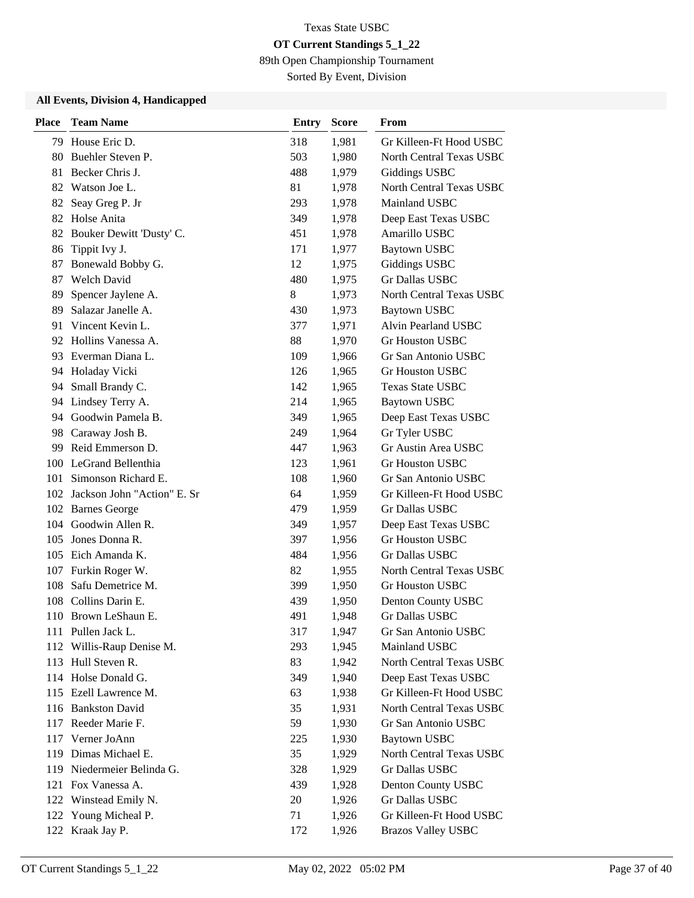89th Open Championship Tournament

Sorted By Event, Division

| <b>Place</b> | <b>Team Name</b>                | <b>Entry</b> | <b>Score</b> | From                            |
|--------------|---------------------------------|--------------|--------------|---------------------------------|
|              | 79 House Eric D.                | 318          | 1,981        | Gr Killeen-Ft Hood USBC         |
| 80.          | Buehler Steven P.               | 503          | 1,980        | North Central Texas USBC        |
| 81           | Becker Chris J.                 | 488          | 1,979        | Giddings USBC                   |
|              | 82 Watson Joe L.                | 81           | 1,978        | North Central Texas USBC        |
| 82           | Seay Greg P. Jr                 | 293          | 1,978        | Mainland USBC                   |
| 82           | Holse Anita                     | 349          | 1,978        | Deep East Texas USBC            |
| 82           | Bouker Dewitt 'Dusty' C.        | 451          | 1,978        | Amarillo USBC                   |
| 86           | Tippit Ivy J.                   | 171          | 1,977        | Baytown USBC                    |
| 87           | Bonewald Bobby G.               | 12           | 1,975        | Giddings USBC                   |
| 87           | <b>Welch David</b>              | 480          | 1,975        | Gr Dallas USBC                  |
| 89           | Spencer Jaylene A.              | 8            | 1,973        | North Central Texas USBC        |
| 89           | Salazar Janelle A.              | 430          | 1,973        | <b>Baytown USBC</b>             |
|              | 91 Vincent Kevin L.             | 377          | 1,971        | Alvin Pearland USBC             |
| 92           | Hollins Vanessa A.              | 88           | 1,970        | <b>Gr Houston USBC</b>          |
| 93           | Everman Diana L.                | 109          | 1,966        | Gr San Antonio USBC             |
|              | 94 Holaday Vicki                | 126          | 1,965        | Gr Houston USBC                 |
| 94           | Small Brandy C.                 | 142          | 1,965        | <b>Texas State USBC</b>         |
| 94           | Lindsey Terry A.                | 214          | 1,965        | <b>Baytown USBC</b>             |
|              | 94 Goodwin Pamela B.            | 349          | 1,965        | Deep East Texas USBC            |
|              | 98 Caraway Josh B.              | 249          | 1,964        | Gr Tyler USBC                   |
| 99           | Reid Emmerson D.                | 447          | 1,963        | Gr Austin Area USBC             |
|              | 100 LeGrand Bellenthia          | 123          | 1,961        | <b>Gr Houston USBC</b>          |
| 101          | Simonson Richard E.             | 108          | 1,960        | Gr San Antonio USBC             |
|              | 102 Jackson John "Action" E. Sr | 64           | 1,959        | Gr Killeen-Ft Hood USBC         |
|              | 102 Barnes George               | 479          | 1,959        | Gr Dallas USBC                  |
|              | 104 Goodwin Allen R.            | 349          | 1,957        | Deep East Texas USBC            |
| 105          | Jones Donna R.                  | 397          | 1,956        | <b>Gr Houston USBC</b>          |
|              | 105 Eich Amanda K.              | 484          | 1,956        | Gr Dallas USBC                  |
| 107          | Furkin Roger W.                 | 82           | 1,955        | <b>North Central Texas USBC</b> |
| 108          | Safu Demetrice M.               | 399          | 1,950        | <b>Gr Houston USBC</b>          |
| 108          | Collins Darin E.                | 439          | 1,950        | Denton County USBC              |
|              | 110 Brown LeShaun E.            | 491          | 1,948        | Gr Dallas USBC                  |
|              | 111 Pullen Jack L.              | 317          | 1,947        | Gr San Antonio USBC             |
|              | 112 Willis-Raup Denise M.       | 293          | 1,945        | Mainland USBC                   |
|              | 113 Hull Steven R.              | 83           | 1,942        | North Central Texas USBC        |
|              | 114 Holse Donald G.             | 349          | 1,940        | Deep East Texas USBC            |
|              | 115 Ezell Lawrence M.           | 63           | 1,938        | Gr Killeen-Ft Hood USBC         |
|              | 116 Bankston David              | 35           | 1,931        | North Central Texas USBC        |
|              | 117 Reeder Marie F.             | 59           | 1,930        | Gr San Antonio USBC             |
|              | 117 Verner JoAnn                | 225          | 1,930        | <b>Baytown USBC</b>             |
|              | 119 Dimas Michael E.            | 35           | 1,929        | North Central Texas USBC        |
|              | 119 Niedermeier Belinda G.      | 328          | 1,929        | Gr Dallas USBC                  |
|              | 121 Fox Vanessa A.              | 439          | 1,928        | Denton County USBC              |
|              | 122 Winstead Emily N.           | 20           | 1,926        | Gr Dallas USBC                  |
|              | 122 Young Micheal P.            | 71           | 1,926        | Gr Killeen-Ft Hood USBC         |
|              | 122 Kraak Jay P.                | 172          | 1,926        | <b>Brazos Valley USBC</b>       |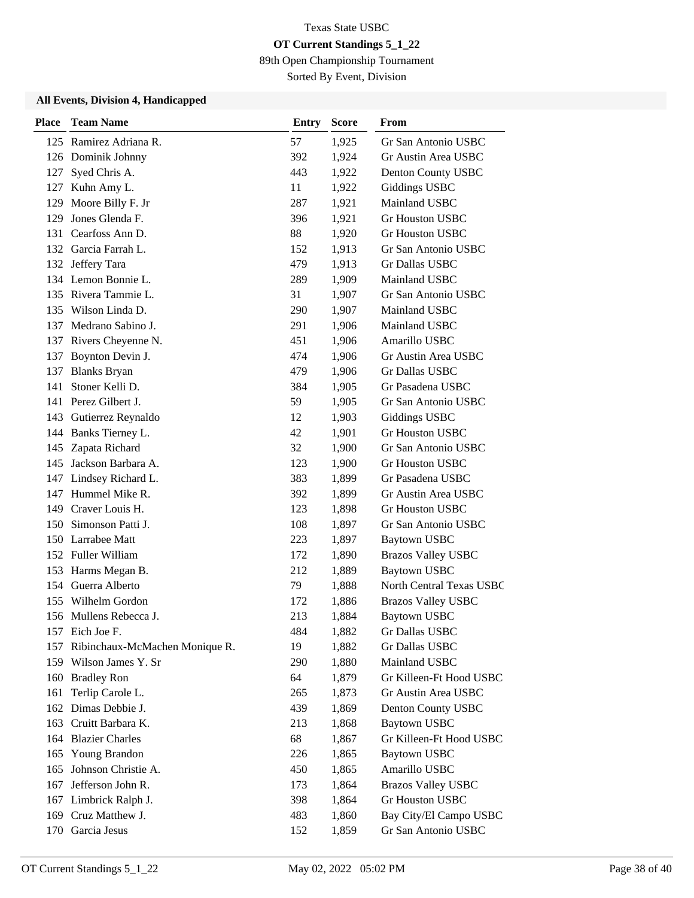89th Open Championship Tournament

Sorted By Event, Division

| <b>Place</b> | <b>Team Name</b>                   | Entry | <b>Score</b> | From                      |
|--------------|------------------------------------|-------|--------------|---------------------------|
|              | 125 Ramirez Adriana R.             | 57    | 1,925        | Gr San Antonio USBC       |
|              | 126 Dominik Johnny                 | 392   | 1,924        | Gr Austin Area USBC       |
| 127          | Syed Chris A.                      | 443   | 1,922        | Denton County USBC        |
|              | 127 Kuhn Amy L.                    | 11    | 1,922        | <b>Giddings USBC</b>      |
| 129          | Moore Billy F. Jr                  | 287   | 1,921        | Mainland USBC             |
| 129          | Jones Glenda F.                    | 396   | 1,921        | <b>Gr Houston USBC</b>    |
|              | 131 Cearfoss Ann D.                | 88    | 1,920        | <b>Gr Houston USBC</b>    |
|              | 132 Garcia Farrah L.               | 152   | 1,913        | Gr San Antonio USBC       |
|              | 132 Jeffery Tara                   | 479   | 1,913        | Gr Dallas USBC            |
|              | 134 Lemon Bonnie L.                | 289   | 1,909        | Mainland USBC             |
|              | 135 Rivera Tammie L.               | 31    | 1,907        | Gr San Antonio USBC       |
|              | 135 Wilson Linda D.                | 290   | 1,907        | Mainland USBC             |
|              | 137 Medrano Sabino J.              | 291   | 1,906        | Mainland USBC             |
|              | 137 Rivers Cheyenne N.             | 451   | 1,906        | Amarillo USBC             |
| 137          | Boynton Devin J.                   | 474   | 1,906        | Gr Austin Area USBC       |
|              | 137 Blanks Bryan                   | 479   | 1,906        | Gr Dallas USBC            |
| 141          | Stoner Kelli D.                    | 384   | 1,905        | Gr Pasadena USBC          |
|              | 141 Perez Gilbert J.               | 59    | 1,905        | Gr San Antonio USBC       |
|              | 143 Gutierrez Reynaldo             | 12    | 1,903        | <b>Giddings USBC</b>      |
|              | 144 Banks Tierney L.               | 42    | 1,901        | <b>Gr Houston USBC</b>    |
|              | 145 Zapata Richard                 | 32    | 1,900        | Gr San Antonio USBC       |
|              | 145 Jackson Barbara A.             | 123   | 1,900        | <b>Gr Houston USBC</b>    |
|              | 147 Lindsey Richard L.             | 383   | 1,899        | Gr Pasadena USBC          |
|              | 147 Hummel Mike R.                 | 392   | 1,899        | Gr Austin Area USBC       |
|              | 149 Craver Louis H.                | 123   | 1,898        | <b>Gr Houston USBC</b>    |
| 150          | Simonson Patti J.                  | 108   | 1,897        | Gr San Antonio USBC       |
|              | 150 Larrabee Matt                  | 223   | 1,897        | <b>Baytown USBC</b>       |
|              | 152 Fuller William                 | 172   | 1,890        | <b>Brazos Valley USBC</b> |
|              | 153 Harms Megan B.                 | 212   | 1,889        | <b>Baytown USBC</b>       |
|              | 154 Guerra Alberto                 | 79    | 1,888        | North Central Texas USBC  |
|              | 155 Wilhelm Gordon                 | 172   | 1,886        | <b>Brazos Valley USBC</b> |
|              | 156 Mullens Rebecca J.             | 213   | 1,884        | <b>Baytown USBC</b>       |
|              | 157 Eich Joe F.                    | 484   | 1,882        | Gr Dallas USBC            |
|              | 157 Ribinchaux-McMachen Monique R. | 19    | 1,882        | Gr Dallas USBC            |
|              | 159 Wilson James Y. Sr             | 290   | 1,880        | Mainland USBC             |
|              | 160 Bradley Ron                    | 64    | 1,879        | Gr Killeen-Ft Hood USBC   |
| 161          | Terlip Carole L.                   | 265   | 1,873        | Gr Austin Area USBC       |
|              | 162 Dimas Debbie J.                | 439   | 1,869        | Denton County USBC        |
|              | 163 Cruitt Barbara K.              | 213   | 1,868        | <b>Baytown USBC</b>       |
|              | 164 Blazier Charles                | 68    | 1,867        | Gr Killeen-Ft Hood USBC   |
|              | 165 Young Brandon                  | 226   | 1,865        | <b>Baytown USBC</b>       |
| 165          | Johnson Christie A.                | 450   | 1,865        | Amarillo USBC             |
| 167          | Jefferson John R.                  | 173   | 1,864        | <b>Brazos Valley USBC</b> |
|              | 167 Limbrick Ralph J.              | 398   | 1,864        | Gr Houston USBC           |
|              | 169 Cruz Matthew J.                | 483   | 1,860        | Bay City/El Campo USBC    |
|              | 170 Garcia Jesus                   | 152   | 1,859        | Gr San Antonio USBC       |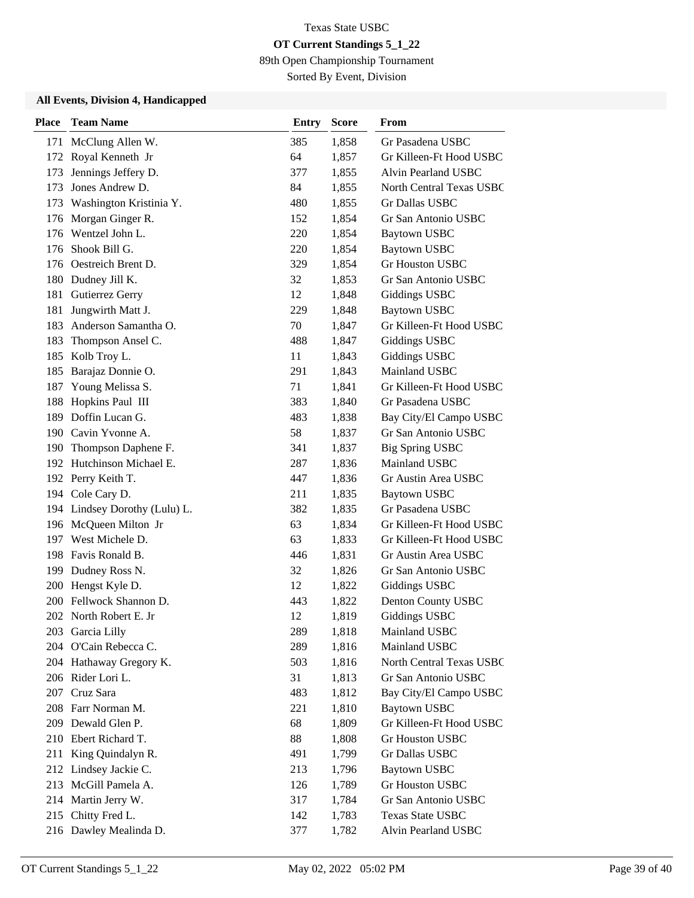89th Open Championship Tournament

Sorted By Event, Division

| <b>Place</b> | <b>Team Name</b>              | <b>Entry</b> | <b>Score</b> | From                     |
|--------------|-------------------------------|--------------|--------------|--------------------------|
|              | 171 McClung Allen W.          | 385          | 1,858        | Gr Pasadena USBC         |
| 172          | Royal Kenneth Jr              | 64           | 1,857        | Gr Killeen-Ft Hood USBC  |
| 173          | Jennings Jeffery D.           | 377          | 1,855        | Alvin Pearland USBC      |
| 173          | Jones Andrew D.               | 84           | 1,855        | North Central Texas USBC |
|              | 173 Washington Kristinia Y.   | 480          | 1,855        | Gr Dallas USBC           |
| 176          | Morgan Ginger R.              | 152          | 1,854        | Gr San Antonio USBC      |
| 176          | Wentzel John L.               | 220          | 1,854        | <b>Baytown USBC</b>      |
| 176          | Shook Bill G.                 | 220          | 1,854        | <b>Baytown USBC</b>      |
|              | 176 Oestreich Brent D.        | 329          | 1,854        | <b>Gr Houston USBC</b>   |
| 180          | Dudney Jill K.                | 32           | 1,853        | Gr San Antonio USBC      |
| 181          | Gutierrez Gerry               | 12           | 1,848        | Giddings USBC            |
| 181          | Jungwirth Matt J.             | 229          | 1,848        | <b>Baytown USBC</b>      |
| 183          | Anderson Samantha O.          | 70           | 1,847        | Gr Killeen-Ft Hood USBC  |
| 183          | Thompson Ansel C.             | 488          | 1,847        | Giddings USBC            |
| 185          | Kolb Troy L.                  | 11           | 1,843        | Giddings USBC            |
| 185          | Barajaz Donnie O.             | 291          | 1,843        | Mainland USBC            |
| 187          | Young Melissa S.              | 71           | 1,841        | Gr Killeen-Ft Hood USBC  |
| 188          | Hopkins Paul III              | 383          | 1,840        | Gr Pasadena USBC         |
| 189          | Doffin Lucan G.               | 483          | 1,838        | Bay City/El Campo USBC   |
|              | 190 Cavin Yvonne A.           | 58           | 1,837        | Gr San Antonio USBC      |
|              | 190 Thompson Daphene F.       | 341          | 1,837        | <b>Big Spring USBC</b>   |
|              | 192 Hutchinson Michael E.     | 287          | 1,836        | Mainland USBC            |
|              | 192 Perry Keith T.            | 447          | 1,836        | Gr Austin Area USBC      |
|              | 194 Cole Cary D.              | 211          | 1,835        | <b>Baytown USBC</b>      |
|              | 194 Lindsey Dorothy (Lulu) L. | 382          | 1,835        | Gr Pasadena USBC         |
|              | 196 McQueen Milton Jr         | 63           | 1,834        | Gr Killeen-Ft Hood USBC  |
|              | 197 West Michele D.           | 63           | 1,833        | Gr Killeen-Ft Hood USBC  |
|              | 198 Favis Ronald B.           | 446          | 1,831        | Gr Austin Area USBC      |
|              | 199 Dudney Ross N.            | 32           | 1,826        | Gr San Antonio USBC      |
|              | 200 Hengst Kyle D.            | 12           | 1,822        | <b>Giddings USBC</b>     |
|              | 200 Fellwock Shannon D.       | 443          | 1,822        | Denton County USBC       |
|              | 202 North Robert E. Jr        | 12           | 1,819        | <b>Giddings USBC</b>     |
|              | 203 Garcia Lilly              | 289          | 1,818        | Mainland USBC            |
|              | 204 O'Cain Rebecca C.         | 289          | 1,816        | Mainland USBC            |
|              | 204 Hathaway Gregory K.       | 503          | 1,816        | North Central Texas USBC |
|              | 206 Rider Lori L.             | 31           | 1,813        | Gr San Antonio USBC      |
|              | 207 Cruz Sara                 | 483          | 1,812        | Bay City/El Campo USBC   |
|              | 208 Farr Norman M.            | 221          | 1,810        | <b>Baytown USBC</b>      |
|              | 209 Dewald Glen P.            | 68           | 1,809        | Gr Killeen-Ft Hood USBC  |
|              | 210 Ebert Richard T.          | 88           | 1,808        | Gr Houston USBC          |
|              | 211 King Quindalyn R.         | 491          | 1,799        | Gr Dallas USBC           |
|              | 212 Lindsey Jackie C.         | 213          | 1,796        | <b>Baytown USBC</b>      |
|              | 213 McGill Pamela A.          | 126          | 1,789        | Gr Houston USBC          |
|              | 214 Martin Jerry W.           | 317          | 1,784        | Gr San Antonio USBC      |
|              | 215 Chitty Fred L.            | 142          | 1,783        | <b>Texas State USBC</b>  |
|              | 216 Dawley Mealinda D.        | 377          | 1,782        | Alvin Pearland USBC      |